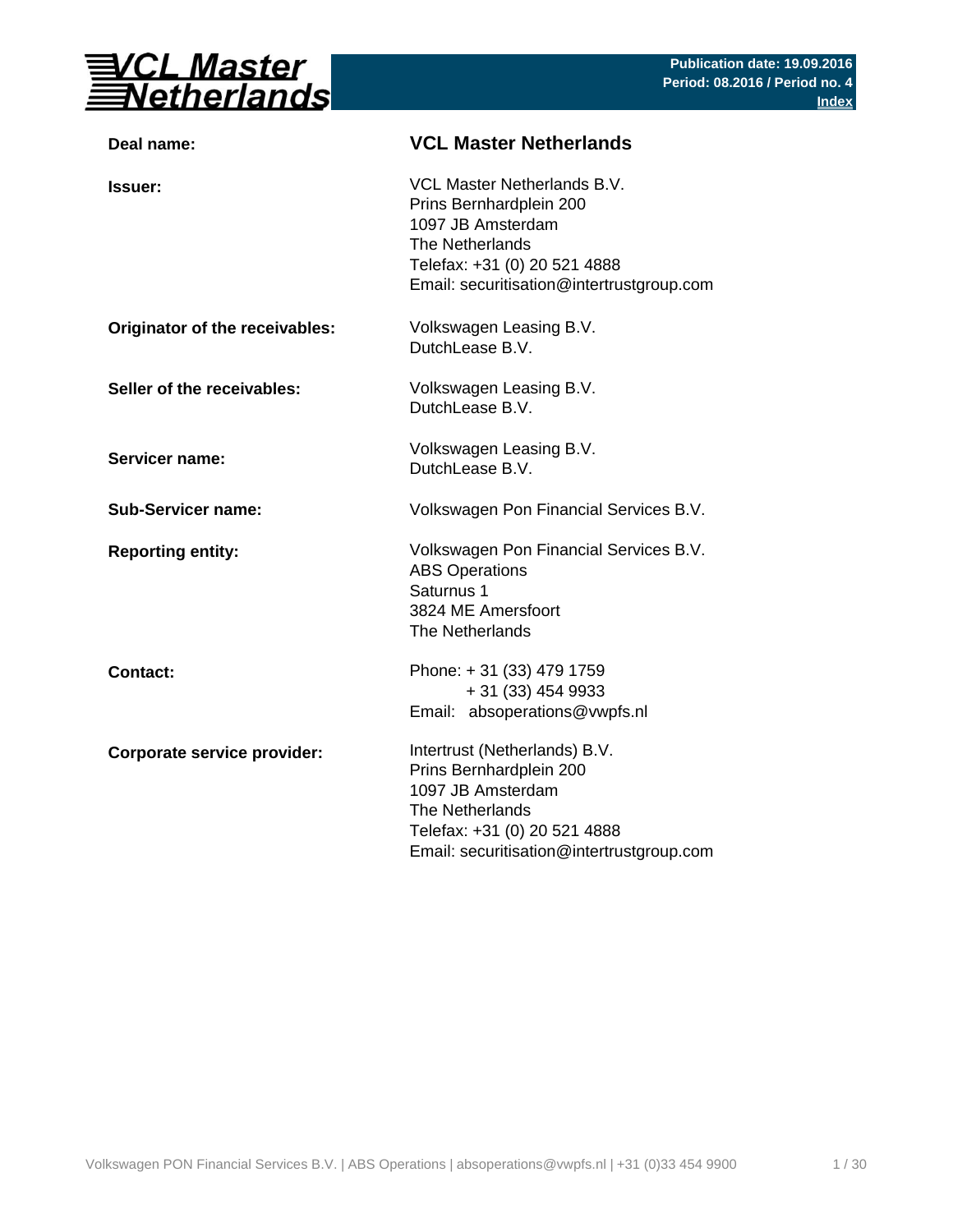

| Deal name:                     | <b>VCL Master Netherlands</b>                                                                                                                                                 |
|--------------------------------|-------------------------------------------------------------------------------------------------------------------------------------------------------------------------------|
| <b>Issuer:</b>                 | VCL Master Netherlands B.V.<br>Prins Bernhardplein 200<br>1097 JB Amsterdam<br>The Netherlands<br>Telefax: +31 (0) 20 521 4888<br>Email: securitisation@intertrustgroup.com   |
| Originator of the receivables: | Volkswagen Leasing B.V.<br>DutchLease B.V.                                                                                                                                    |
| Seller of the receivables:     | Volkswagen Leasing B.V.<br>DutchLease B.V.                                                                                                                                    |
| <b>Servicer name:</b>          | Volkswagen Leasing B.V.<br>DutchLease B.V.                                                                                                                                    |
| <b>Sub-Servicer name:</b>      | Volkswagen Pon Financial Services B.V.                                                                                                                                        |
| <b>Reporting entity:</b>       | Volkswagen Pon Financial Services B.V.<br><b>ABS Operations</b><br>Saturnus 1<br>3824 ME Amersfoort<br>The Netherlands                                                        |
| <b>Contact:</b>                | Phone: +31 (33) 479 1759<br>+ 31 (33) 454 9933<br>Email: absoperations@vwpfs.nl                                                                                               |
| Corporate service provider:    | Intertrust (Netherlands) B.V.<br>Prins Bernhardplein 200<br>1097 JB Amsterdam<br>The Netherlands<br>Telefax: +31 (0) 20 521 4888<br>Email: securitisation@intertrustgroup.com |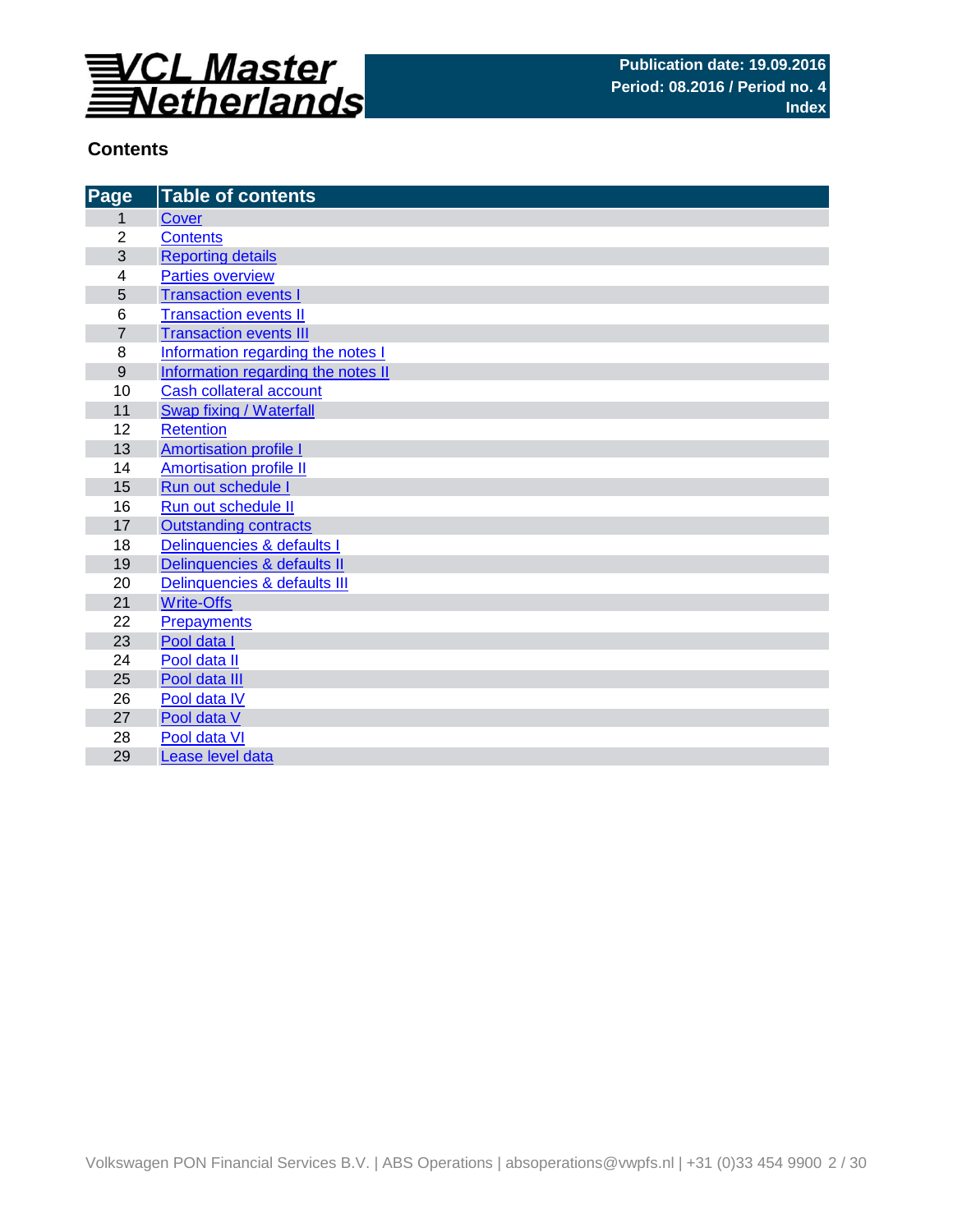

## **Contents**

| Page                                   | <b>Table of contents</b>                                                                                        |
|----------------------------------------|-----------------------------------------------------------------------------------------------------------------|
| 1                                      | Cover                                                                                                           |
| $\overline{2}$                         | <b>Contents</b>                                                                                                 |
| 3                                      | <b>Reporting details</b>                                                                                        |
| 4                                      | <b>Parties overview</b>                                                                                         |
| 5                                      | <b>Transaction events I</b>                                                                                     |
| 6                                      | <b>Transaction events II</b>                                                                                    |
| $\overline{7}$                         | <b>Transaction events III</b>                                                                                   |
| 8                                      | Information regarding the notes I                                                                               |
| 9                                      | Information regarding the notes II                                                                              |
| 10                                     | <b>Cash collateral account</b>                                                                                  |
| 11                                     | Swap fixing / Waterfall                                                                                         |
| 12                                     | <b>Retention</b>                                                                                                |
| 13                                     | <b>Amortisation profile I</b>                                                                                   |
| 14                                     | <b>Amortisation profile II</b>                                                                                  |
| 15                                     | Run out schedule I                                                                                              |
| 16                                     | Run out schedule II                                                                                             |
| 17                                     | <b>Outstanding contracts</b>                                                                                    |
| 18                                     | Delinquencies & defaults I                                                                                      |
| 19                                     | Delinquencies & defaults II                                                                                     |
| 20                                     | Delinquencies & defaults III                                                                                    |
| 21                                     | <b>Write-Offs</b>                                                                                               |
| 22                                     | <b>Prepayments</b>                                                                                              |
|                                        |                                                                                                                 |
|                                        |                                                                                                                 |
|                                        |                                                                                                                 |
|                                        |                                                                                                                 |
|                                        |                                                                                                                 |
|                                        |                                                                                                                 |
| 23<br>24<br>25<br>26<br>27<br>28<br>29 | Pool data I<br>Pool data II<br>Pool data III<br>Pool data IV<br>Pool data V<br>Pool data VI<br>Lease level data |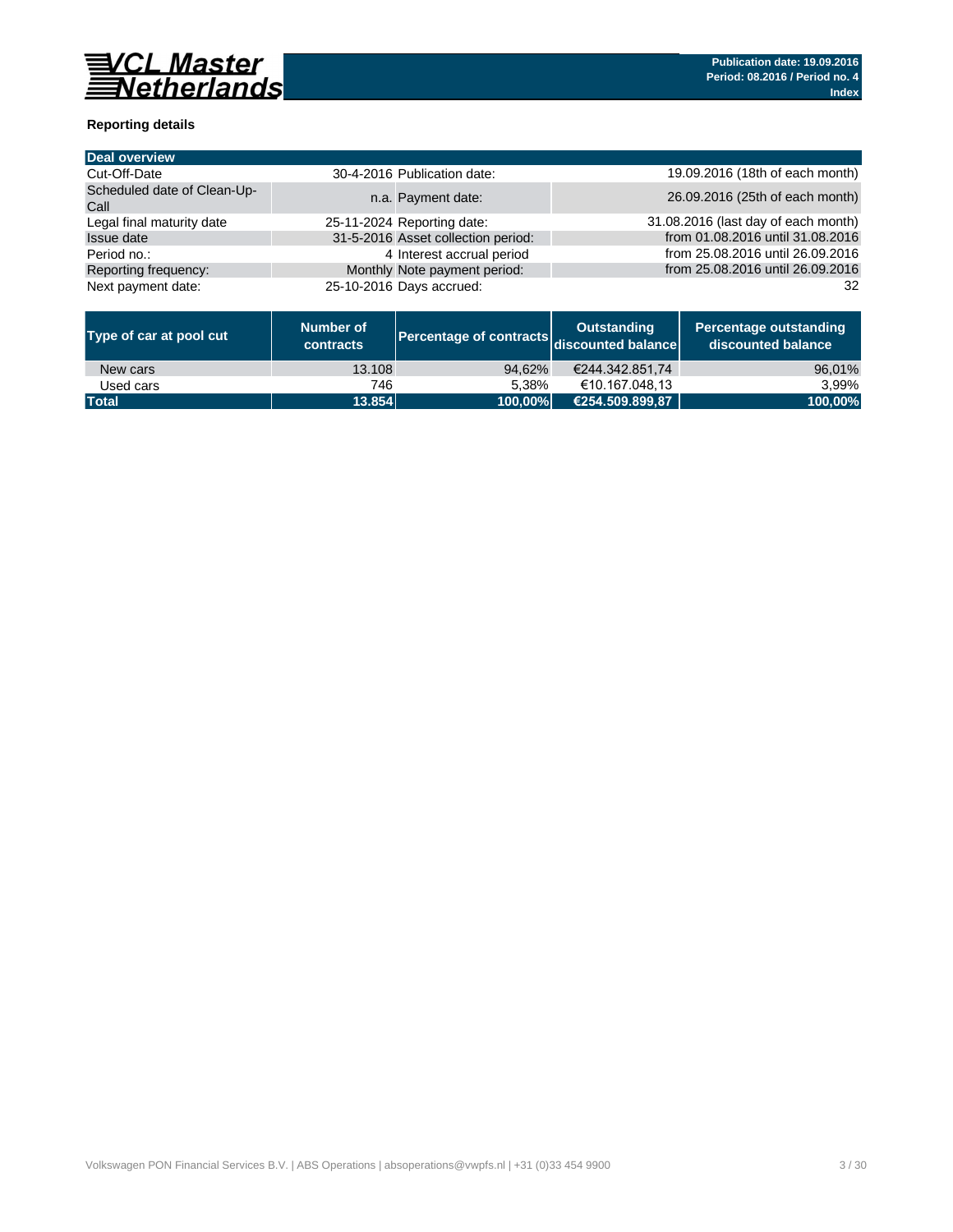

## **Reporting details**

| <b>Deal overview</b>                |                                    |                                     |
|-------------------------------------|------------------------------------|-------------------------------------|
| Cut-Off-Date                        | 30-4-2016 Publication date:        | 19.09.2016 (18th of each month)     |
| Scheduled date of Clean-Up-<br>Call | n.a. Payment date:                 | 26.09.2016 (25th of each month)     |
| Legal final maturity date           | 25-11-2024 Reporting date:         | 31.08.2016 (last day of each month) |
| <b>Issue date</b>                   | 31-5-2016 Asset collection period: | from 01.08.2016 until 31.08.2016    |
| Period no.:                         | 4 Interest accrual period          | from 25.08.2016 until 26.09.2016    |
| Reporting frequency:                | Monthly Note payment period:       | from 25.08.2016 until 26.09.2016    |
| Next payment date:                  | 25-10-2016 Days accrued:           | 32                                  |

| Type of car at pool cut | Number of<br><b>contracts</b> | Percentage of contracts discounted balance | <b>Outstanding</b> | <b>Percentage outstanding</b><br>discounted balance |
|-------------------------|-------------------------------|--------------------------------------------|--------------------|-----------------------------------------------------|
| New cars                | 13.108                        | 94.62%                                     | €244.342.851.74    | 96,01%                                              |
| Used cars               | 746                           | 5.38%                                      | €10.167.048.13     | 3.99%                                               |
| <b>Total</b>            | 13.854                        | 100,00%                                    | €254.509.899,87    | 100,00%                                             |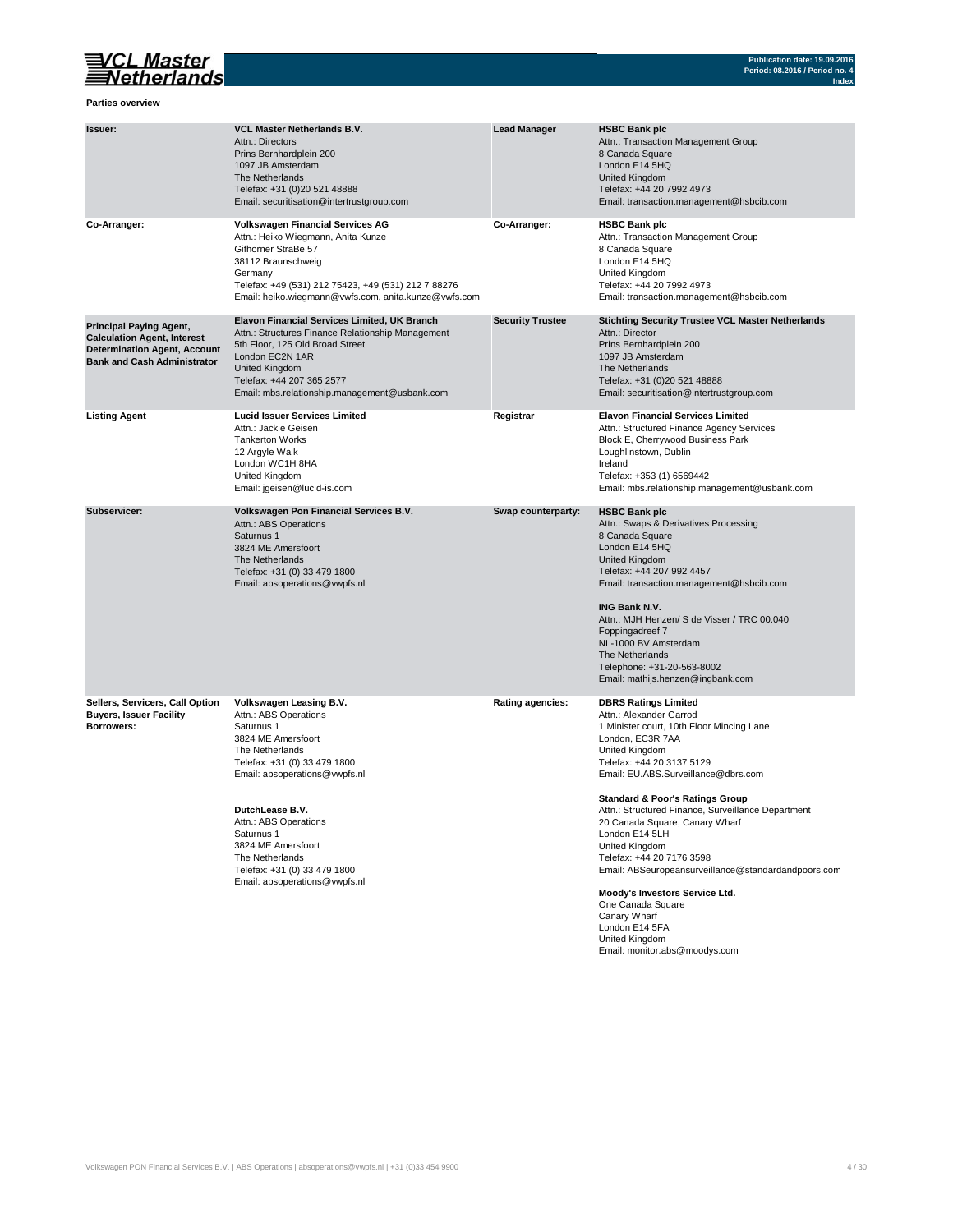

**Index**

### **Parties overview**

| Issuer:                                                                                                                                           | <b>VCL Master Netherlands B.V.</b><br>Attn.: Directors<br>Prins Bernhardplein 200<br>1097 JB Amsterdam<br>The Netherlands<br>Telefax: +31 (0)20 521 48888<br>Email: securitisation@intertrustgroup.com                                                                                                                                       | <b>Lead Manager</b>     | <b>HSBC Bank plc</b><br>Attn.: Transaction Management Group<br>8 Canada Square<br>London E14 5HQ<br>United Kingdom<br>Telefax: +44 20 7992 4973<br>Email: transaction.management@hsbcib.com                                                                                                                                                                                                                                                                                                                                                                                                                             |
|---------------------------------------------------------------------------------------------------------------------------------------------------|----------------------------------------------------------------------------------------------------------------------------------------------------------------------------------------------------------------------------------------------------------------------------------------------------------------------------------------------|-------------------------|-------------------------------------------------------------------------------------------------------------------------------------------------------------------------------------------------------------------------------------------------------------------------------------------------------------------------------------------------------------------------------------------------------------------------------------------------------------------------------------------------------------------------------------------------------------------------------------------------------------------------|
| Co-Arranger:                                                                                                                                      | Volkswagen Financial Services AG<br>Attn.: Heiko Wiegmann, Anita Kunze<br>Gifhorner StraBe 57<br>38112 Braunschweig<br>Germany<br>Telefax: +49 (531) 212 75423, +49 (531) 212 7 88276<br>Email: heiko.wiegmann@vwfs.com, anita.kunze@vwfs.com                                                                                                | Co-Arranger:            | <b>HSBC Bank plc</b><br>Attn.: Transaction Management Group<br>8 Canada Square<br>London E14 5HQ<br>United Kingdom<br>Telefax: +44 20 7992 4973<br>Email: transaction.management@hsbcib.com                                                                                                                                                                                                                                                                                                                                                                                                                             |
| <b>Principal Paying Agent,</b><br><b>Calculation Agent, Interest</b><br><b>Determination Agent, Account</b><br><b>Bank and Cash Administrator</b> | Elavon Financial Services Limited, UK Branch<br>Attn.: Structures Finance Relationship Management<br>5th Floor, 125 Old Broad Street<br>London EC2N 1AR<br>United Kingdom<br>Telefax: +44 207 365 2577<br>Email: mbs.relationship.management@usbank.com                                                                                      | <b>Security Trustee</b> | <b>Stichting Security Trustee VCL Master Netherlands</b><br>Attn.: Director<br>Prins Bernhardplein 200<br>1097 JB Amsterdam<br>The Netherlands<br>Telefax: +31 (0)20 521 48888<br>Email: securitisation@intertrustgroup.com                                                                                                                                                                                                                                                                                                                                                                                             |
| <b>Listing Agent</b>                                                                                                                              | <b>Lucid Issuer Services Limited</b><br>Attn.: Jackie Geisen<br><b>Tankerton Works</b><br>12 Argyle Walk<br>London WC1H 8HA<br>United Kingdom<br>Email: jgeisen@lucid-is.com                                                                                                                                                                 | Registrar               | <b>Elavon Financial Services Limited</b><br>Attn.: Structured Finance Agency Services<br>Block E, Cherrywood Business Park<br>Loughlinstown, Dublin<br>Ireland<br>Telefax: +353 (1) 6569442<br>Email: mbs.relationship.management@usbank.com                                                                                                                                                                                                                                                                                                                                                                            |
| Subservicer:                                                                                                                                      | Volkswagen Pon Financial Services B.V.<br>Attn.: ABS Operations<br>Saturnus 1<br>3824 ME Amersfoort<br>The Netherlands<br>Telefax: +31 (0) 33 479 1800<br>Email: absoperations@vwpfs.nl                                                                                                                                                      | Swap counterparty:      | <b>HSBC Bank plc</b><br>Attn.: Swaps & Derivatives Processing<br>8 Canada Square<br>London E14 5HQ<br>United Kingdom<br>Telefax: +44 207 992 4457<br>Email: transaction.management@hsbcib.com<br><b>ING Bank N.V.</b><br>Attn.: MJH Henzen/ S de Visser / TRC 00.040<br>Foppingadreef 7<br>NL-1000 BV Amsterdam<br>The Netherlands<br>Telephone: +31-20-563-8002<br>Email: mathijs.henzen@ingbank.com                                                                                                                                                                                                                   |
| Sellers, Servicers, Call Option<br><b>Buyers, Issuer Facility</b><br>Borrowers:                                                                   | Volkswagen Leasing B.V.<br>Attn.: ABS Operations<br>Saturnus 1<br>3824 ME Amersfoort<br>The Netherlands<br>Telefax: +31 (0) 33 479 1800<br>Email: absoperations@vwpfs.nl<br>DutchLease B.V.<br>Attn.: ABS Operations<br>Saturnus 1<br>3824 ME Amersfoort<br>The Netherlands<br>Telefax: +31 (0) 33 479 1800<br>Email: absoperations@vwpfs.nl | <b>Rating agencies:</b> | <b>DBRS Ratings Limited</b><br>Attn.: Alexander Garrod<br>1 Minister court, 10th Floor Mincing Lane<br>London, EC3R 7AA<br>United Kingdom<br>Telefax: +44 20 3137 5129<br>Email: EU.ABS.Surveillance@dbrs.com<br><b>Standard &amp; Poor's Ratings Group</b><br>Attn.: Structured Finance, Surveillance Department<br>20 Canada Square, Canary Wharf<br>London E14 5LH<br>United Kingdom<br>Telefax: +44 20 7176 3598<br>Email: ABSeuropeansurveillance@standardandpoors.com<br>Moody's Investors Service Ltd.<br>One Canada Square<br>Canary Wharf<br>London E14 5FA<br>United Kingdom<br>Email: monitor.abs@moodys.com |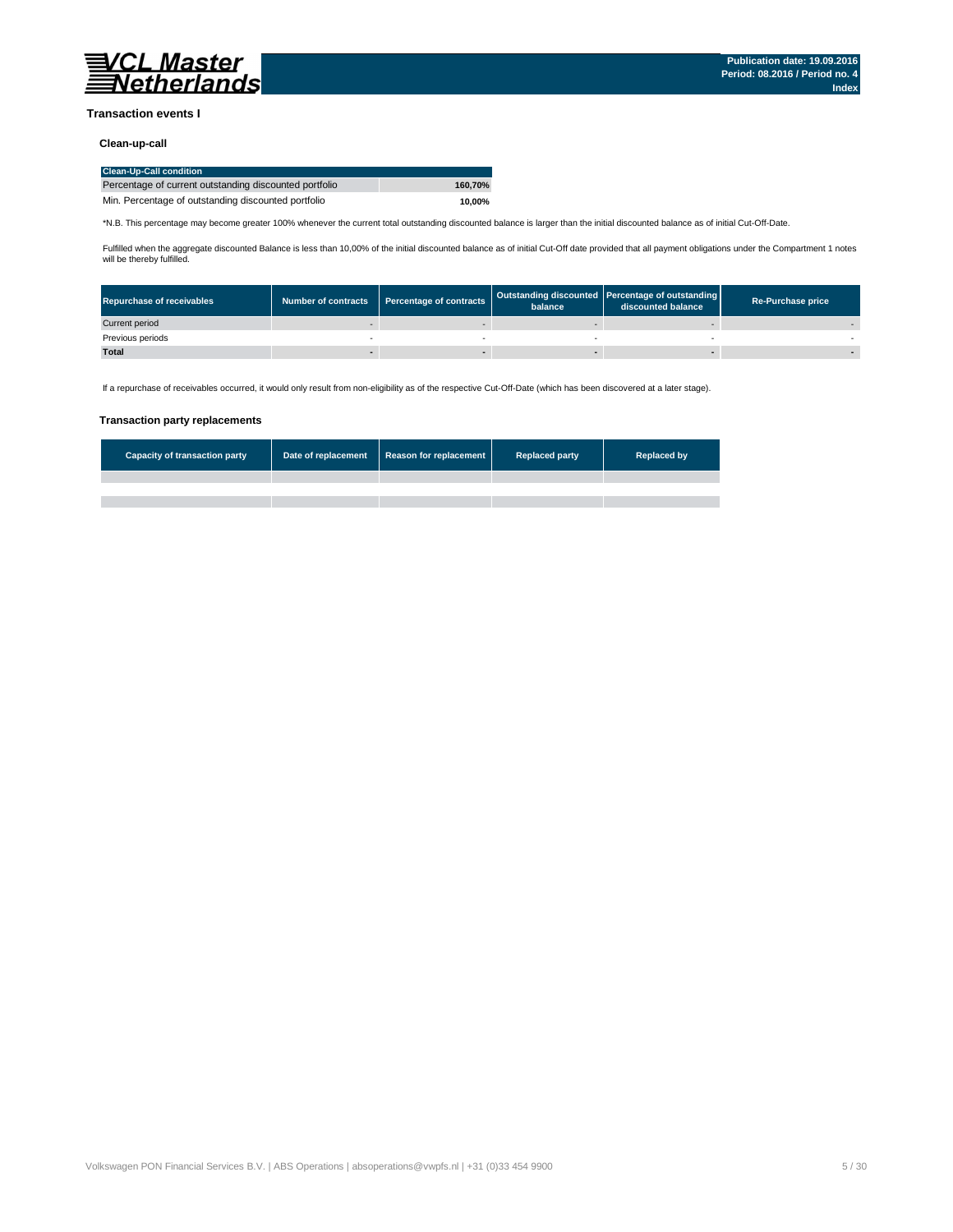

#### **Transaction events I**

#### **Clean-up-call**

| <b>Clean-Up-Call condition</b>                         |         |
|--------------------------------------------------------|---------|
| Percentage of current outstanding discounted portfolio | 160.70% |
| Min. Percentage of outstanding discounted portfolio    | 10.00%  |

\*N.B. This percentage may become greater 100% whenever the current total outstanding discounted balance is larger than the initial discounted balance as of initial Cut-Off-Date.

Fulfilled when the aggregate discounted Balance is less than 10,00% of the initial discounted balance as of initial Cut-Off date provided that all payment obligations under the Compartment 1 notes<br>will be thereby fulfilled

| <b>Repurchase of receivables</b> | <b>Number of contracts</b> | Percentage of contracts | balance | Outstanding discounted   Percentage of outstanding  <br>discounted balance | <b>Re-Purchase price</b> |
|----------------------------------|----------------------------|-------------------------|---------|----------------------------------------------------------------------------|--------------------------|
| Current period                   |                            |                         |         |                                                                            |                          |
| Previous periods                 |                            |                         |         |                                                                            |                          |
| <b>Total</b>                     |                            |                         |         |                                                                            |                          |

If a repurchase of receivables occurred, it would only result from non-eligibility as of the respective Cut-Off-Date (which has been discovered at a later stage).

### **Transaction party replacements**

| <b>Capacity of transaction party</b> | Date of replacement | Reason for replacement | <b>Replaced party</b> | <b>Replaced by</b> |
|--------------------------------------|---------------------|------------------------|-----------------------|--------------------|
|                                      |                     |                        |                       |                    |
|                                      |                     |                        |                       |                    |
|                                      |                     |                        |                       |                    |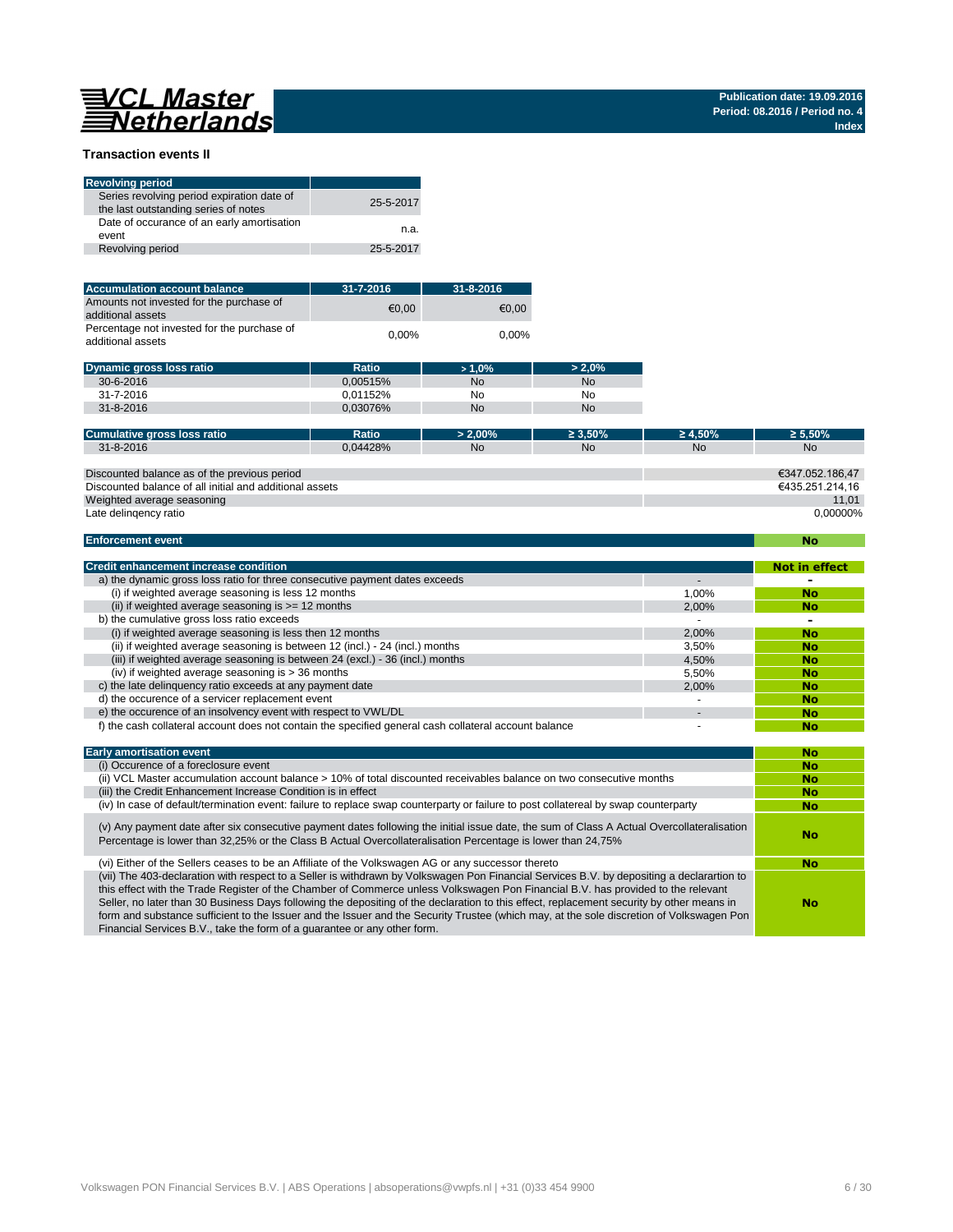# 

### **Transaction events II**

| <b>Revolving period</b>                                                            |           |
|------------------------------------------------------------------------------------|-----------|
| Series revolving period expiration date of<br>the last outstanding series of notes | 25-5-2017 |
| Date of occurance of an early amortisation<br>event                                | n.a.      |
| Revolving period                                                                   | 25-5-2017 |

| <b>Accumulation account balance</b>                              | $31 - 7 - 2016$ | 31-8-2016 |
|------------------------------------------------------------------|-----------------|-----------|
| Amounts not invested for the purchase of<br>additional assets    | €0.00           | €0.00     |
| Percentage not invested for the purchase of<br>additional assets | $0.00\%$        | $0.00\%$  |

| <b>Dynamic gross loss ratio</b> | <b>Ratio</b> | >1.0% | $> 2.0\%$ |
|---------------------------------|--------------|-------|-----------|
| $30 - 6 - 2016$                 | 0.00515%     | No    | No        |
| 31-7-2016                       | 0.01152%     | No    | No        |
| $31 - 8 - 2016$                 | 0.03076%     | No    | No        |

| Cumulative gross loss ratio                             | Ratio    | $> 2.00\%$ | $\geq 3.50\%$ | $\geq 4.50\%$ | $\geq 5.50\%$   |
|---------------------------------------------------------|----------|------------|---------------|---------------|-----------------|
| 31-8-2016                                               | 0.04428% | <b>No</b>  | <b>No</b>     | <b>No</b>     | <b>No</b>       |
|                                                         |          |            |               |               |                 |
| Discounted balance as of the previous period            |          |            |               |               | €347.052.186,47 |
| Discounted balance of all initial and additional assets |          |            |               |               | €435.251.214.16 |
| Weighted average seasoning                              |          |            |               |               | 11.01           |
| Late delingency ratio                                   |          |            |               |               | 0,00000%        |
|                                                         |          |            |               |               |                 |
| <b>Enforcement event</b>                                |          |            |               |               | No              |

### **Enforcement event**

| <b>Credit enhancement increase condition</b>                                                                               |       | <b>Not in effect</b> |  |  |  |  |
|----------------------------------------------------------------------------------------------------------------------------|-------|----------------------|--|--|--|--|
| a) the dynamic gross loss ratio for three consecutive payment dates exceeds                                                |       |                      |  |  |  |  |
| (i) if weighted average seasoning is less 12 months                                                                        | 1.00% | <b>No</b>            |  |  |  |  |
| (ii) if weighted average seasoning is $\geq$ 12 months                                                                     | 2.00% | <b>No</b>            |  |  |  |  |
| b) the cumulative gross loss ratio exceeds                                                                                 |       |                      |  |  |  |  |
| (i) if weighted average seasoning is less then 12 months                                                                   | 2,00% | <b>No</b>            |  |  |  |  |
| (ii) if weighted average seasoning is between 12 (incl.) - 24 (incl.) months                                               | 3.50% | <b>No</b>            |  |  |  |  |
| (iii) if weighted average seasoning is between 24 (excl.) - 36 (incl.) months                                              | 4.50% | <b>No</b>            |  |  |  |  |
| (iv) if weighted average seasoning is $>$ 36 months                                                                        | 5.50% | <b>No</b>            |  |  |  |  |
| c) the late delinquency ratio exceeds at any payment date                                                                  | 2,00% | <b>No</b>            |  |  |  |  |
| d) the occurence of a servicer replacement event                                                                           |       | <b>No</b>            |  |  |  |  |
| e) the occurence of an insolvency event with respect to VWL/DL                                                             |       | <b>No</b>            |  |  |  |  |
| f) the cash collateral account does not contain the specified general cash collateral account balance                      |       | <b>No</b>            |  |  |  |  |
|                                                                                                                            |       |                      |  |  |  |  |
| <b>Early amortisation event</b>                                                                                            |       | <b>No</b>            |  |  |  |  |
| (i) Occurence of a foreclosure event                                                                                       |       | <b>No</b>            |  |  |  |  |
| (ii) $1/C1$ Meeter esqumulation asseumt belange = 100/ of total discounted resolugibles belange on two consequitive months |       |                      |  |  |  |  |

| (ii) VCL Master accumulation account balance > 10% of total discounted receivables balance on two consecutive months                                                                                                                                                                                                                                                                                                       | No |
|----------------------------------------------------------------------------------------------------------------------------------------------------------------------------------------------------------------------------------------------------------------------------------------------------------------------------------------------------------------------------------------------------------------------------|----|
| (iii) the Credit Enhancement Increase Condition is in effect                                                                                                                                                                                                                                                                                                                                                               | No |
| (iv) In case of default/termination event: failure to replace swap counterparty or failure to post collatereal by swap counterparty                                                                                                                                                                                                                                                                                        | No |
| (v) Any payment date after six consecutive payment dates following the initial issue date, the sum of Class A Actual Overcollateralisation<br>Percentage is lower than 32,25% or the Class B Actual Overcollateralisation Percentage is lower than 24,75%                                                                                                                                                                  | No |
| (vi) Either of the Sellers ceases to be an Affiliate of the Volkswagen AG or any successor thereto                                                                                                                                                                                                                                                                                                                         | No |
| (vii) The 403-declaration with respect to a Seller is withdrawn by Volkswagen Pon Financial Services B.V. by depositing a declarartion to<br>this effect with the Trade Register of the Chamber of Commerce unless Volkswagen Pon Financial B.V. has provided to the relevant<br>Seller, no later than 30 Business Days following the depositing of the declaration to this effect, replacement security by other means in | No |
|                                                                                                                                                                                                                                                                                                                                                                                                                            |    |

form and substance sufficient to the Issuer and the Issuer and the Security Trustee (which may, at the sole discretion of Volkswagen Pon Financial Services B.V., take the form of a guarantee or any other form.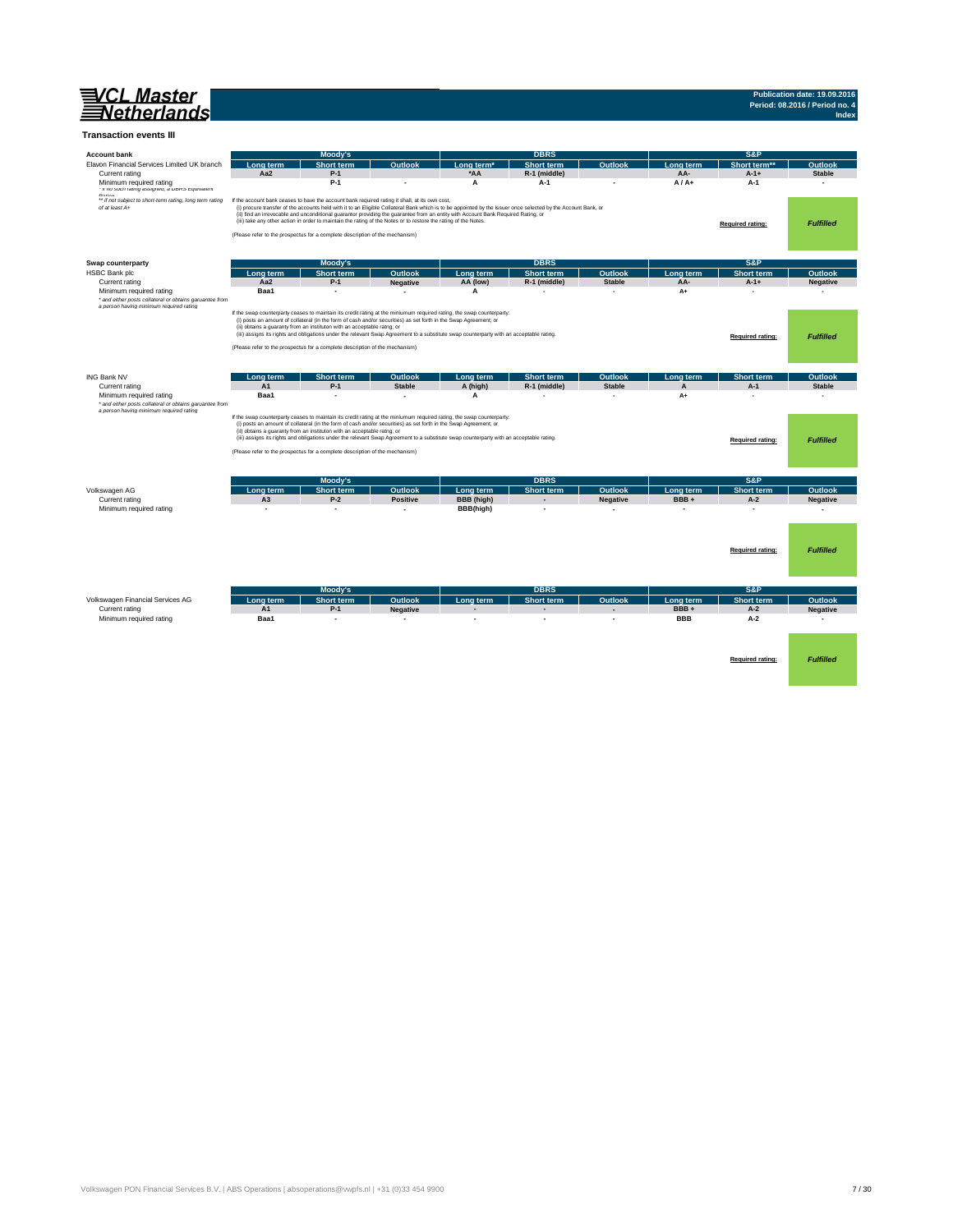

## **Publication date: 19.09.2016 Period: 08.2016 / Period no. 4 Index**

#### **Transaction events III**

| <b>Account bank</b>                                                                                                           |                             | Moody's                                                                                                                                                                                                                                              |                          |            | <b>DBRS</b>                                                                                                                                                   |                          |                      | S&P                      |                  |
|-------------------------------------------------------------------------------------------------------------------------------|-----------------------------|------------------------------------------------------------------------------------------------------------------------------------------------------------------------------------------------------------------------------------------------------|--------------------------|------------|---------------------------------------------------------------------------------------------------------------------------------------------------------------|--------------------------|----------------------|--------------------------|------------------|
| Elavon Financial Services Limited UK branch                                                                                   | Long term                   | <b>Short term</b>                                                                                                                                                                                                                                    | Outlook                  | Long term' | Short term                                                                                                                                                    | Outlook                  | Long term            | Short term               | Outlook          |
| Current rating                                                                                                                | Aa2                         | $P-1$                                                                                                                                                                                                                                                |                          | *AA        | R-1 (middle)                                                                                                                                                  |                          | AA-                  | $A-1+$                   | <b>Stable</b>    |
| Minimum required rating<br>· it no such rating assigned, a DBRS Equivalent                                                    |                             | $P-1$                                                                                                                                                                                                                                                |                          | A          | A-1                                                                                                                                                           |                          | $A/A+$               | $A-1$                    | $\sim$           |
| Poting<br>** if not subject to short-term rating, long term rating<br>of at least A+                                          |                             | If the account bank ceases to have the account bank required rating it shall, at its own cost,                                                                                                                                                       |                          |            | (i) procure transfer of the accounts held with it to an Eligible Collateral Bank which is to be appointed by the Issuer once selected by the Account Bank, or |                          |                      |                          |                  |
|                                                                                                                               |                             | (ii) find an irrevocable and unconditional guarantor providing the guarantee from an entity with Account Bank Required Rating, or<br>(iii) take any other action in order to maintain the rating of the Notes or to restore the rating of the Notes. |                          |            |                                                                                                                                                               |                          |                      |                          |                  |
|                                                                                                                               |                             |                                                                                                                                                                                                                                                      |                          |            |                                                                                                                                                               |                          |                      | Required rating:         | <b>Fulfilled</b> |
|                                                                                                                               |                             | (Please refer to the prospectus for a complete description of the mechanism)                                                                                                                                                                         |                          |            |                                                                                                                                                               |                          |                      |                          |                  |
|                                                                                                                               |                             |                                                                                                                                                                                                                                                      |                          |            |                                                                                                                                                               |                          |                      |                          |                  |
| Swap counterparty                                                                                                             |                             | Moody's                                                                                                                                                                                                                                              |                          |            | <b>DBRS</b>                                                                                                                                                   |                          |                      | S&P                      |                  |
| <b>HSBC Bank plc</b>                                                                                                          | Long term                   | <b>Short term</b>                                                                                                                                                                                                                                    | Outlook                  | Long term  | <b>Short term</b>                                                                                                                                             | Outlook                  | Long term            | Short term               | Outlook          |
| Current rating                                                                                                                | Aa2                         | $P-1$                                                                                                                                                                                                                                                | <b>Negative</b>          | AA (low)   | R-1 (middle)                                                                                                                                                  | <b>Stable</b>            | AA-                  | $A-1+$                   | <b>Negative</b>  |
| Minimum required rating                                                                                                       | Baa1                        | $\overline{\phantom{a}}$                                                                                                                                                                                                                             | $\sim$                   | A          | ٠                                                                                                                                                             | $\overline{\phantom{a}}$ | A+                   | . —                      |                  |
| * and either posts collateral or obtains garuantee from<br>a person having minimum required rating                            |                             |                                                                                                                                                                                                                                                      |                          |            |                                                                                                                                                               |                          |                      |                          |                  |
|                                                                                                                               |                             | If the swap counterparty ceases to maintain its credit rating at the miniumum required rating, the swap counterparty:<br>(i) posts an amount of collateral (in the form of cash and/or securities) as set forth in the Swap Agreement; or            |                          |            |                                                                                                                                                               |                          |                      |                          |                  |
|                                                                                                                               |                             | (ii) obtains a guaranty from an instituton with an acceptable ratng; or                                                                                                                                                                              |                          |            |                                                                                                                                                               |                          |                      |                          |                  |
|                                                                                                                               |                             | (iii) assigns its rights and obligations under the relevant Swap Agreement to a substitute swap counterparty with an acceptable rating.                                                                                                              |                          |            |                                                                                                                                                               |                          |                      | Required rating:         | <b>Fulfilled</b> |
|                                                                                                                               |                             | (Please refer to the prospectus for a complete description of the mechanism)                                                                                                                                                                         |                          |            |                                                                                                                                                               |                          |                      |                          |                  |
|                                                                                                                               |                             |                                                                                                                                                                                                                                                      |                          |            |                                                                                                                                                               |                          |                      |                          |                  |
|                                                                                                                               |                             |                                                                                                                                                                                                                                                      |                          |            |                                                                                                                                                               |                          |                      |                          |                  |
| ING Bank NV                                                                                                                   | ona term                    | <b>Short term</b>                                                                                                                                                                                                                                    | Outlook                  | ona term.  | <b>Short term</b>                                                                                                                                             | Outlook                  | ona term             | <b>Short term</b>        | Outlook          |
| Current rating                                                                                                                | A <sub>1</sub><br>Baa1      | $P-1$                                                                                                                                                                                                                                                | <b>Stable</b>            | A (high)   | R-1 (middle)                                                                                                                                                  | <b>Stable</b>            | A                    | $A-1$                    | <b>Stable</b>    |
| Minimum required rating<br>* and either posts collateral or obtains garuantee from<br>a person having minimum required rating |                             |                                                                                                                                                                                                                                                      |                          | А          |                                                                                                                                                               | ٠                        | A+                   |                          |                  |
|                                                                                                                               |                             | If the swap counterparty ceases to maintain its credit rating at the miniumum required rating, the swap counterparty:                                                                                                                                |                          |            |                                                                                                                                                               |                          |                      |                          |                  |
|                                                                                                                               |                             | (i) posts an amount of collateral (in the form of cash and/or securities) as set forth in the Swap Agreement; or<br>(ii) obtains a guaranty from an instituton with an acceptable ratng; or                                                          |                          |            |                                                                                                                                                               |                          |                      |                          |                  |
|                                                                                                                               |                             | (iii) assigns its rights and obligations under the relevant Swap Agreement to a substitute swap counterparty with an acceptable rating.                                                                                                              |                          |            |                                                                                                                                                               |                          |                      | <b>Required rating:</b>  | <b>Fulfilled</b> |
|                                                                                                                               |                             | (Please refer to the prospectus for a complete description of the mechanism)                                                                                                                                                                         |                          |            |                                                                                                                                                               |                          |                      |                          |                  |
|                                                                                                                               |                             |                                                                                                                                                                                                                                                      |                          |            |                                                                                                                                                               |                          |                      |                          |                  |
|                                                                                                                               |                             |                                                                                                                                                                                                                                                      |                          |            |                                                                                                                                                               |                          |                      |                          |                  |
|                                                                                                                               |                             | Moody's                                                                                                                                                                                                                                              |                          |            | <b>DBRS</b>                                                                                                                                                   |                          |                      | S&P                      |                  |
| Volkswagen AG                                                                                                                 | Lona term                   | <b>Short term</b>                                                                                                                                                                                                                                    | Outlook                  | Long term  | <b>Short term</b>                                                                                                                                             | Outlook                  | ona term.            | Short term               | Outlook          |
| Current rating                                                                                                                | A <sub>3</sub>              | $P-2$                                                                                                                                                                                                                                                | <b>Positive</b>          | BBB (high) |                                                                                                                                                               | <b>Negative</b>          | BBB+                 | $A-2$                    | <b>Negative</b>  |
| Minimum required rating                                                                                                       |                             | $\overline{\phantom{a}}$                                                                                                                                                                                                                             | ÷                        | BBB(high)  | $\overline{\phantom{a}}$                                                                                                                                      | ٠                        |                      | $\overline{\phantom{a}}$ | $\sim$           |
|                                                                                                                               |                             |                                                                                                                                                                                                                                                      |                          |            |                                                                                                                                                               |                          |                      |                          |                  |
|                                                                                                                               |                             |                                                                                                                                                                                                                                                      |                          |            |                                                                                                                                                               |                          |                      |                          |                  |
|                                                                                                                               |                             |                                                                                                                                                                                                                                                      |                          |            |                                                                                                                                                               |                          |                      |                          |                  |
|                                                                                                                               |                             |                                                                                                                                                                                                                                                      |                          |            |                                                                                                                                                               |                          |                      | Required rating:         | <b>Fulfilled</b> |
|                                                                                                                               |                             |                                                                                                                                                                                                                                                      |                          |            |                                                                                                                                                               |                          |                      |                          |                  |
|                                                                                                                               |                             |                                                                                                                                                                                                                                                      |                          |            |                                                                                                                                                               |                          |                      |                          |                  |
|                                                                                                                               |                             | Moody's                                                                                                                                                                                                                                              |                          |            | <b>DBRS</b>                                                                                                                                                   |                          |                      | S&P                      |                  |
| Volkswagen Financial Services AG                                                                                              |                             |                                                                                                                                                                                                                                                      | Outlook                  |            |                                                                                                                                                               | Outlook                  |                      | Short term               | Outlook          |
| Current rating                                                                                                                | Long term<br>A <sub>1</sub> | <b>Short term</b><br>$P-1$                                                                                                                                                                                                                           | <b>Negative</b>          | Long term  | Short term                                                                                                                                                    |                          | Long term<br>$BBB +$ | $A-2$                    | <b>Negative</b>  |
| Minimum required rating                                                                                                       | Baa1                        | $\sim$                                                                                                                                                                                                                                               | $\overline{\phantom{a}}$ | ÷          | $\overline{\phantom{a}}$                                                                                                                                      | ٠                        | <b>BBB</b>           | $A-2$                    | $\sim$           |
|                                                                                                                               |                             |                                                                                                                                                                                                                                                      |                          |            |                                                                                                                                                               |                          |                      |                          |                  |
|                                                                                                                               |                             |                                                                                                                                                                                                                                                      |                          |            |                                                                                                                                                               |                          |                      |                          |                  |
|                                                                                                                               |                             |                                                                                                                                                                                                                                                      |                          |            |                                                                                                                                                               |                          |                      |                          |                  |
|                                                                                                                               |                             |                                                                                                                                                                                                                                                      |                          |            |                                                                                                                                                               |                          |                      | Required rating:         | <b>Fulfilled</b> |
|                                                                                                                               |                             |                                                                                                                                                                                                                                                      |                          |            |                                                                                                                                                               |                          |                      |                          |                  |
|                                                                                                                               |                             |                                                                                                                                                                                                                                                      |                          |            |                                                                                                                                                               |                          |                      |                          |                  |
|                                                                                                                               |                             |                                                                                                                                                                                                                                                      |                          |            |                                                                                                                                                               |                          |                      |                          |                  |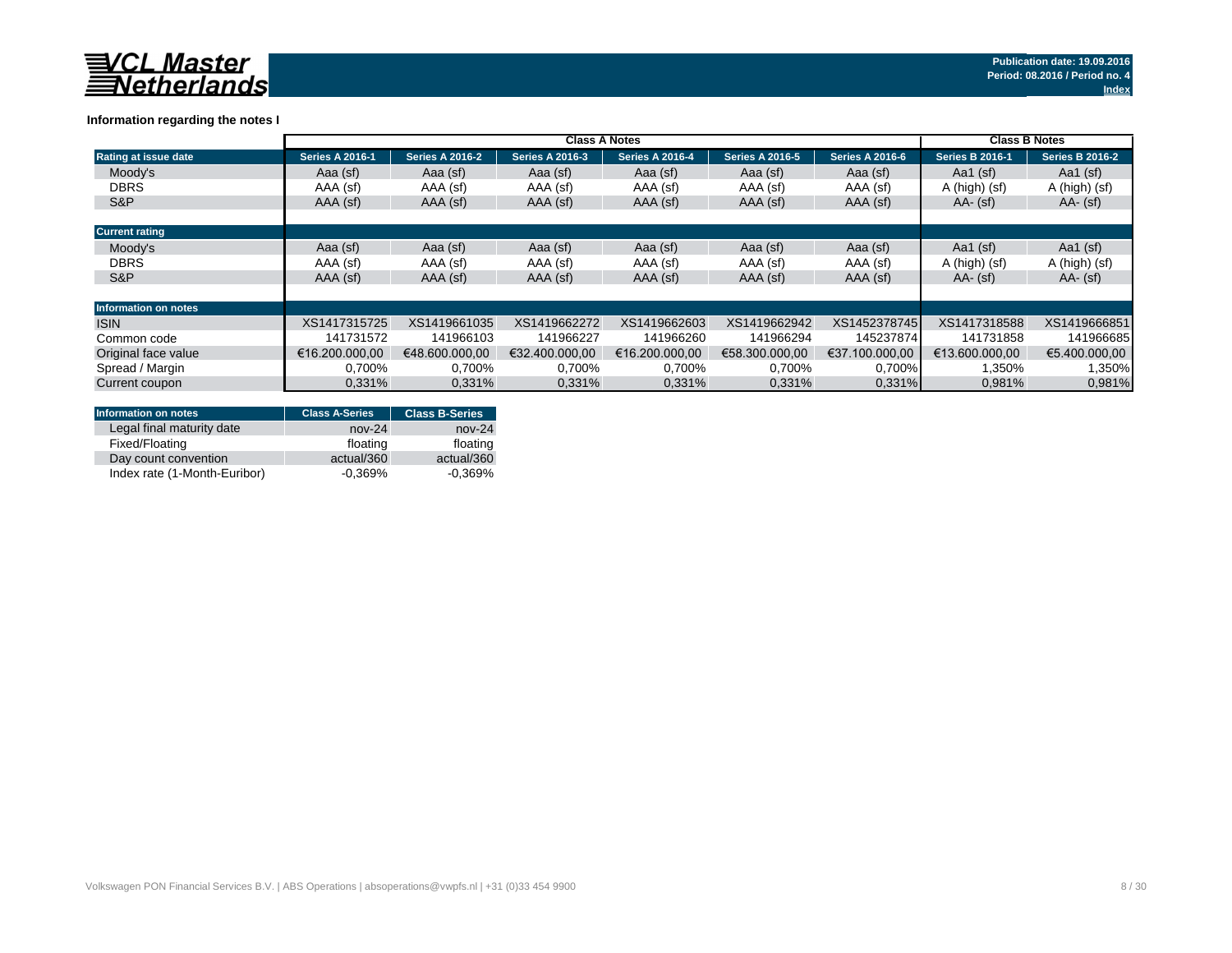|                             |                        | <b>Class B Notes</b>   |                        |                        |                        |                        |                        |                        |
|-----------------------------|------------------------|------------------------|------------------------|------------------------|------------------------|------------------------|------------------------|------------------------|
| Rating at issue date        | <b>Series A 2016-1</b> | <b>Series A 2016-2</b> | <b>Series A 2016-3</b> | <b>Series A 2016-4</b> | <b>Series A 2016-5</b> | <b>Series A 2016-6</b> | <b>Series B 2016-1</b> | <b>Series B 2016-2</b> |
| Moody's                     | Aaa (sf)               | Aaa (sf)               | Aaa (sf)               | Aaa (sf)               | Aaa (sf)               | Aaa (sf)               | Aa1 $(sf)$             | Aa1 $(sf)$             |
| <b>DBRS</b>                 | AAA (sf)               | AAA (sf)               | AAA (sf)               | AAA (sf)               | AAA (sf)               | AAA (sf)               | A (high) (sf)          | A (high) (sf)          |
| S&P                         | AAA (sf)               | AAA (sf)               | AAA (sf)               | AAA (sf)               | AAA (sf)               | AAA (sf)               | $AA - (sf)$            | $AA - (sf)$            |
|                             |                        |                        |                        |                        |                        |                        |                        |                        |
| <b>Current rating</b>       |                        |                        |                        |                        |                        |                        |                        |                        |
| Moodv's                     | Aaa (sf)               | Aaa (sf)               | Aaa (sf)               | Aaa (sf)               | Aaa (sf)               | Aaa (sf)               | Aa1 $(sf)$             | Aa1 $(sf)$             |
| <b>DBRS</b>                 | AAA (sf)               | AAA (sf)               | AAA (sf)               | AAA (sf)               | AAA (sf)               | AAA (sf)               | A (high) (sf)          | A (high) (sf)          |
| S&P                         | AAA (sf)               | AAA (sf)               | AAA (sf)               | AAA (sf)               | AAA (sf)               | AAA (sf)               | $AA - (sf)$            | $AA - (sf)$            |
|                             |                        |                        |                        |                        |                        |                        |                        |                        |
| <b>Information on notes</b> |                        |                        |                        |                        |                        |                        |                        |                        |
| <b>ISIN</b>                 | XS1417315725           | XS1419661035           | XS1419662272           | XS1419662603           | XS1419662942           | XS1452378745           | XS1417318588           | XS1419666851           |
| Common code                 | 141731572              | 141966103              | 141966227              | 141966260              | 141966294              | 145237874              | 141731858              | 141966685              |
| Original face value         | €16.200.000.00         | €48,600,000,00         | €32.400.000.00         | €16.200.000.00         | €58.300.000.00         | €37.100.000.00         | €13.600.000.00         | €5.400.000,00          |
| Spread / Margin             | 0.700%                 | 0,700%                 | 0,700%                 | 0,700%                 | 0,700%                 | $0,700\%$              | 1,350%                 | 1,350%                 |
| Current coupon              | 0.331%                 | 0.331%                 | 0,331%                 | 0,331%                 | 0.331%                 | 0.331%                 | 0,981%                 | 0,981%                 |

## **Information regarding the notes I**

| <b>Information on notes</b>  | <b>Class A-Series</b> | <b>Class B-Series</b> |
|------------------------------|-----------------------|-----------------------|
| Legal final maturity date    | $nov-24$              | $nov-24$              |
| Fixed/Floating               | floating              | floating              |
| Day count convention         | actual/360            | actual/360            |
| Index rate (1-Month-Euribor) | $-0.369%$             | $-0.369\%$            |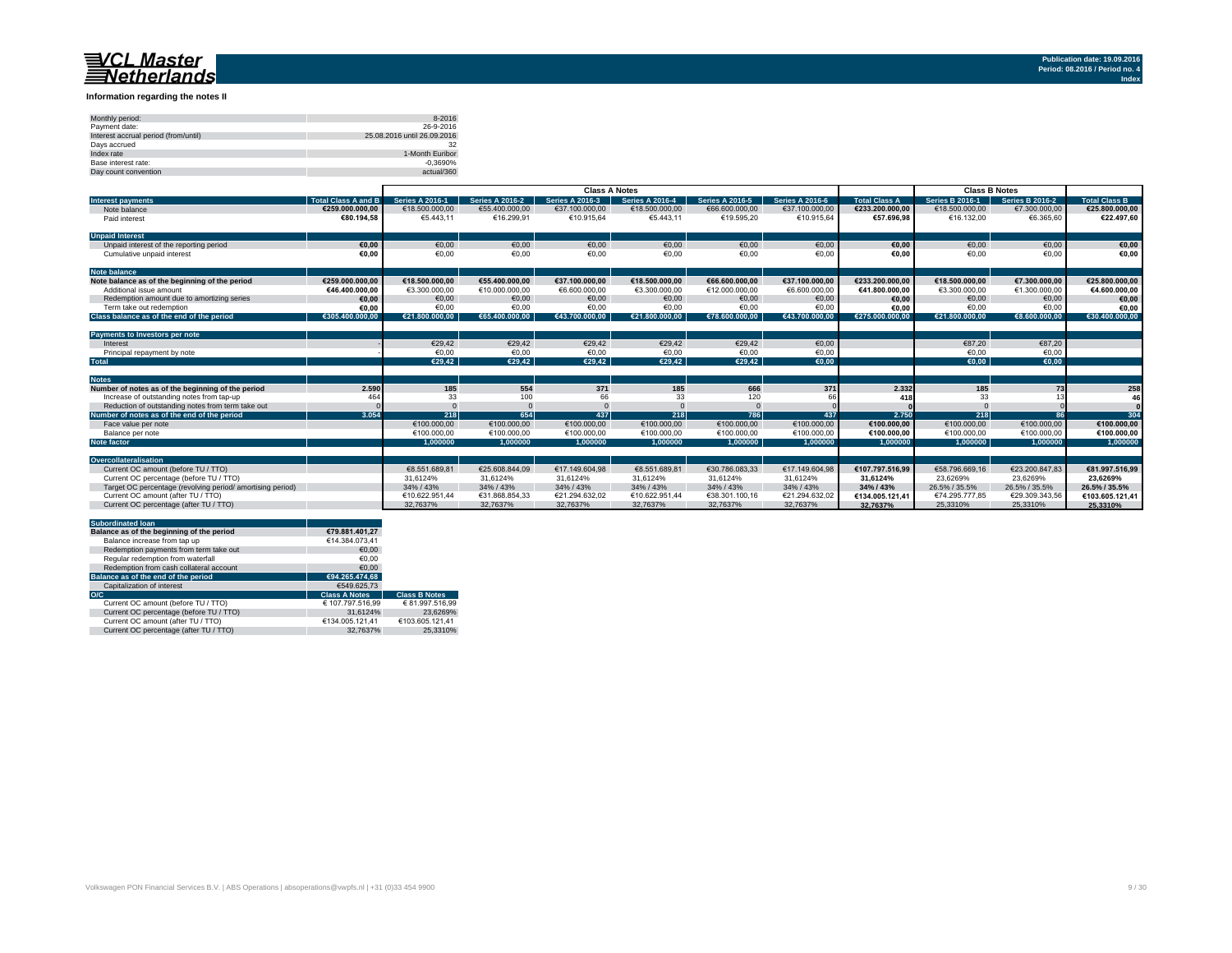### **Information regarding the notes II**

| Monthly period:                      | 8-2016                      |
|--------------------------------------|-----------------------------|
| Payment date:                        | 26-9-2016                   |
| Interest accrual period (from/until) | 25.08.2016 until 26.09.2016 |
| Days accrued                         | 32                          |
| Index rate                           | 1-Month Euribor             |
| Base interest rate:                  | $-0.3690%$                  |
| Day count convention                 | actual/360                  |

|                                                           |                            | <b>Class A Notes</b>   |                        |                        |                        |                        |                        | <b>Class B Notes</b> |                        |                        |                      |
|-----------------------------------------------------------|----------------------------|------------------------|------------------------|------------------------|------------------------|------------------------|------------------------|----------------------|------------------------|------------------------|----------------------|
| <b>Interest payments</b>                                  | <b>Total Class A and B</b> | <b>Series A 2016-1</b> | <b>Series A 2016-2</b> | <b>Series A 2016-3</b> | <b>Series A 2016-4</b> | <b>Series A 2016-5</b> | <b>Series A 2016-6</b> | <b>Total Class A</b> | <b>Series B 2016-1</b> | <b>Series B 2016-2</b> | <b>Total Class B</b> |
| Note balance                                              | €259.000.000.00            | €18,500,000,00         | €55,400,000,00         | €37.100.000,00         | €18,500,000,00         | €66,600,000,00         | €37.100.000.00         | €233.200.000,00      | €18,500,000,00         | €7.300.000,00          | €25.800.000,00       |
| Paid interest                                             | €80.194.58                 | €5.443.11              | €16.299.91             | €10.915.64             | €5.443.11              | €19.595.20             | €10.915.64             | €57.696.98           | €16.132.00             | €6.365.60              | €22.497.60           |
|                                                           |                            |                        |                        |                        |                        |                        |                        |                      |                        |                        |                      |
| <b>Unpaid Interest</b>                                    |                            |                        |                        |                        |                        |                        |                        |                      |                        |                        |                      |
| Unpaid interest of the reporting period                   | €0.00                      | €0.00                  | €0.00                  | €0.00                  | €0,00                  | €0.00                  | €0,00                  | €0,00                | €0.00                  | €0,00                  | €0,00                |
| Cumulative unpaid interest                                | €0.00                      | €0,00                  | €0,00                  | €0,00                  | €0,00                  | €0,00                  | €0,00                  | €0,00                | €0,00                  | €0,00                  | €0.00                |
| <b>Note balance</b>                                       |                            |                        |                        |                        |                        |                        |                        |                      |                        |                        |                      |
| Note balance as of the beginning of the period            | €259.000.000.00            | €18.500.000.00         | €55.400.000.00         | €37.100.000.00         | €18.500.000.00         | €66,600,000,00         | €37.100.000.00         | €233.200.000.00      | €18.500.000.00         | €7.300.000.00          | €25.800.000.00       |
| Additional issue amount                                   | €46.400.000.00             | €3.300.000.00          | €10.000.000.00         | €6.600.000.00          | €3.300.000.00          | €12.000.000.00         | €6.600.000.00          | €41.800.000.00       | €3.300.000.00          | €1.300.000.00          | €4.600.000.00        |
| Redemption amount due to amortizing series                | €0,00                      | €0.00                  | €0.00                  | €0,00                  | €0.00                  | €0,00                  | €0,00                  | €0.00                | €0,00                  | €0,00                  | €0,00                |
| Term take out redemption                                  | €0.00                      | €0.00                  | €0.00                  | €0.00                  | €0.00                  | €0.00                  | €0.00                  | €0.00                | €0.00                  | €0.00                  | €0,00                |
| Class balance as of the end of the period                 | €305.400.000.00            | €21.800.000.00         | €65,400,000,00         | €43.700.000.00         | €21.800.000.00         | €78.600.000.00         | €43.700.000.00         | €275,000,000,00      | €21.800.000.00         | €8.600.000.00          | €30.400.000.00       |
|                                                           |                            |                        |                        |                        |                        |                        |                        |                      |                        |                        |                      |
| Payments to Investors per note                            |                            |                        |                        |                        |                        |                        |                        |                      |                        |                        |                      |
| Interest                                                  |                            | €29,42                 | €29,42                 | €29,42                 | €29,42                 | €29,42                 | €0,00                  |                      | €87,20                 | €87,20                 |                      |
| Principal repayment by note                               |                            | €0.00                  | €0,00                  | €0,00                  | €0,00                  | €0,00                  | €0,00                  |                      | €0,00                  | €0,00                  |                      |
| <b>Total</b>                                              |                            | €29,42                 | €29.42                 | €29,42                 | €29,42                 | €29.42                 | E(0,00)                |                      | €0.00                  | €0,00                  |                      |
|                                                           |                            |                        |                        |                        |                        |                        |                        |                      |                        |                        |                      |
| <b>Notes</b>                                              |                            |                        |                        |                        |                        |                        |                        |                      |                        |                        |                      |
| Number of notes as of the beginning of the period         | 2.590                      | 185                    | 554                    | 371                    | 185                    | 666                    | 371                    | 2.332                | 185                    | 73                     | 258                  |
| Increase of outstanding notes from tap-up                 | 464                        | 33                     | 100                    | 66                     | 33                     | 120                    |                        | 418                  | 33                     |                        | 46                   |
| Reduction of outstanding notes from term take out         |                            |                        |                        |                        |                        |                        |                        |                      |                        |                        |                      |
| Number of notes as of the end of the period               | 3.054                      | 218                    | 654                    | 437                    | 218                    | 786                    | 437                    | 2.750                | 218                    | 86                     | 304                  |
| Face value per note                                       |                            | €100.000.00            | €100.000,00            | €100,000,00            | €100.000,00            | €100.000.00            | €100,000,00            | €100.000,00          | €100.000,00            | €100.000,00            | €100.000,00          |
| Balance per note                                          |                            | €100.000.00            | €100.000.00            | €100.000.00            | €100.000.00            | €100.000.00            | €100.000.00            | €100.000.00          | €100.000.00            | €100.000.00            | €100.000,00          |
| <b>Note factor</b>                                        |                            | 1.000000               | 1.000000               | 1.000000               | 1.000000               | 1.000000               | 1.000000               | 1.000000             | 1.000000               | 1.000000               | 1.000000             |
|                                                           |                            |                        |                        |                        |                        |                        |                        |                      |                        |                        |                      |
| Overcollateralisation                                     |                            |                        |                        |                        |                        |                        |                        |                      |                        |                        |                      |
| Current OC amount (before TU / TTO)                       |                            | €8.551.689.81          | €25.608.844.09         | €17.149.604.98         | €8.551.689.81          | €30.786.083.33         | €17,149,604,98         | €107.797.516.99      | €58,796,669,16         | €23.200.847.83         | €81.997.516.99       |
| Current OC percentage (before TU / TTO)                   |                            | 31.6124%               | 31.6124%               | 31.6124%               | 31.6124%               | 31.6124%               | 31.6124%               | 31.6124%             | 23.6269%               | 23.6269%               | 23.6269%             |
| Target OC percentage (revolving period/amortising period) |                            | 34% / 43%              | 34% / 43%              | 34% / 43%              | 34% / 43%              | 34% / 43%              | 34% / 43%              | 34% / 43%            | 26.5% / 35.5%          | 26.5% / 35.5%          | 26.5% / 35.5%        |
| Current OC amount (after TU / TTO)                        |                            | €10.622.951.44         | €31.868.854.33         | €21.294.632.02         | €10.622.951.44         | €38.301.100.16         | €21.294.632.02         | €134.005.121.41      | €74.295.777.85         | €29.309.343.56         | €103.605.121.41      |
| Current OC percentage (after TU / TTO)                    |                            | 32.7637%               | 32.7637%               | 32.7637%               | 32.7637%               | 32.7637%               | 32.7637%               | 32.7637%             | 25.3310%               | 25.3310%               | 25.3310%             |

| <b>Subordinated loan</b>                  |                      |                      |
|-------------------------------------------|----------------------|----------------------|
| Balance as of the beginning of the period | €79.881.401.27       |                      |
| Balance increase from tap up              | €14.384.073.41       |                      |
| Redemption payments from term take out    | €0.00                |                      |
| Regular redemption from waterfall         | €0.00                |                      |
| Redemption from cash collateral account   | €0.00                |                      |
| Balance as of the end of the period       | €94.265.474.68       |                      |
| Capitalization of interest                | €549.625.73          |                      |
| O/C                                       | <b>Class A Notes</b> | <b>Class B Notes</b> |
| Current OC amount (before TU / TTO)       | € 107.797.516,99     | € 81.997.516.99      |
| Current OC percentage (before TU / TTO)   | 31.6124%             | 23.6269%             |
| Current OC amount (after TU / TTO)        | €134.005.121.41      | €103.605.121.41      |
| Current OC percentage (after TU / TTO)    | 32.7637%             | 25.3310%             |
|                                           |                      |                      |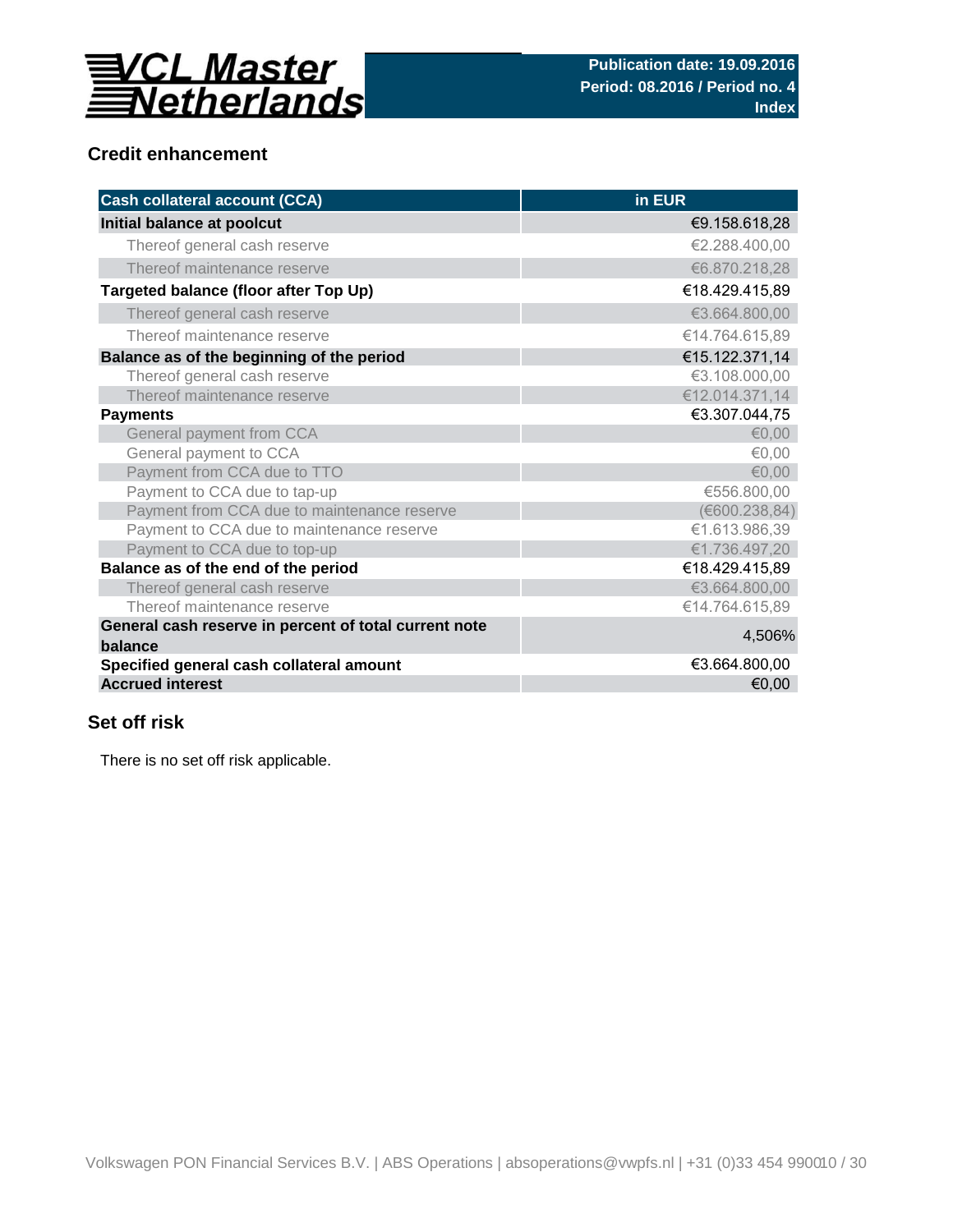

## **Credit enhancement**

| <b>Cash collateral account (CCA)</b>                             | in EUR         |
|------------------------------------------------------------------|----------------|
| Initial balance at poolcut                                       | €9.158.618,28  |
| Thereof general cash reserve                                     | €2.288.400,00  |
| Thereof maintenance reserve                                      | €6.870.218,28  |
| Targeted balance (floor after Top Up)                            | €18.429.415,89 |
| Thereof general cash reserve                                     | €3.664.800,00  |
| Thereof maintenance reserve                                      | €14.764.615,89 |
| Balance as of the beginning of the period                        | €15.122.371,14 |
| Thereof general cash reserve                                     | €3.108.000,00  |
| Thereof maintenance reserve                                      | €12.014.371,14 |
| <b>Payments</b>                                                  | €3.307.044,75  |
| General payment from CCA                                         | € $0,00$       |
| General payment to CCA                                           | € $0,00$       |
| Payment from CCA due to TTO                                      | €0,00          |
| Payment to CCA due to tap-up                                     | €556.800,00    |
| Payment from CCA due to maintenance reserve                      | (E600.238, 84) |
| Payment to CCA due to maintenance reserve                        | €1.613.986,39  |
| Payment to CCA due to top-up                                     | €1.736.497,20  |
| Balance as of the end of the period                              | €18.429.415,89 |
| Thereof general cash reserve                                     | €3.664.800,00  |
| Thereof maintenance reserve                                      | €14.764.615,89 |
| General cash reserve in percent of total current note<br>balance | 4,506%         |
| Specified general cash collateral amount                         | €3.664.800,00  |
| <b>Accrued interest</b>                                          | €0,00          |

## **Set off risk**

There is no set off risk applicable.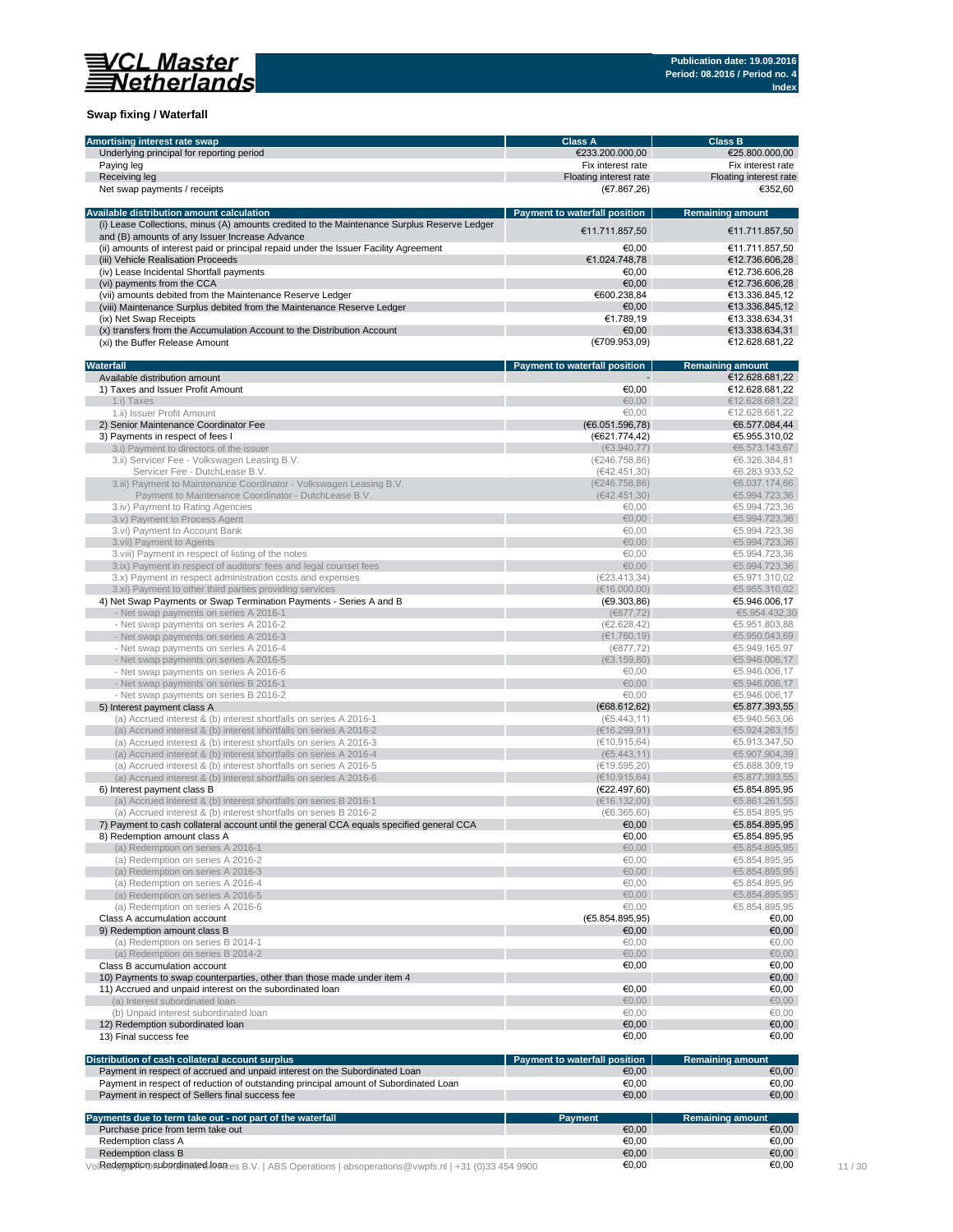

### **Swap fixing / Waterfall**

| Amortising interest rate swap                                                                                                            | <b>Class A</b>                       | <b>Class B</b>                   |
|------------------------------------------------------------------------------------------------------------------------------------------|--------------------------------------|----------------------------------|
| Underlying principal for reporting period                                                                                                | €233.200.000,00                      | €25.800.000,00                   |
| Paying leg                                                                                                                               | Fix interest rate                    | Fix interest rate                |
| Receiving leg                                                                                                                            | Floating interest rate               | Floating interest rate           |
| Net swap payments / receipts                                                                                                             | (E7.867,26)                          | €352,60                          |
|                                                                                                                                          |                                      |                                  |
| Available distribution amount calculation<br>(i) Lease Collections, minus (A) amounts credited to the Maintenance Surplus Reserve Ledger | <b>Payment to waterfall position</b> | <b>Remaining amount</b>          |
| and (B) amounts of any Issuer Increase Advance                                                                                           | €11.711.857.50                       | €11.711.857,50                   |
| (ii) amounts of interest paid or principal repaid under the Issuer Facility Agreement                                                    | €0,00                                | €11.711.857,50                   |
| (iii) Vehicle Realisation Proceeds                                                                                                       | €1.024.748,78                        | €12.736.606,28                   |
| (iv) Lease Incidental Shortfall payments                                                                                                 | €0,00                                | €12.736.606,28                   |
| (vi) payments from the CCA                                                                                                               | €0,00                                | €12.736.606,28                   |
| (vii) amounts debited from the Maintenance Reserve Ledger                                                                                | €600.238,84                          | €13.336.845,12                   |
| (viii) Maintenance Surplus debited from the Maintenance Reserve Ledger                                                                   | €0,00                                | €13.336.845.12                   |
| (ix) Net Swap Receipts                                                                                                                   | €1.789,19                            | €13.338.634,31                   |
| (x) transfers from the Accumulation Account to the Distribution Account                                                                  | €0,00                                | €13.338.634,31                   |
| (xi) the Buffer Release Amount                                                                                                           | (€709.953,09)                        | €12.628.681,22                   |
| Waterfall                                                                                                                                | Payment to waterfall position        | <b>Remaining amount</b>          |
| Available distribution amount                                                                                                            |                                      | €12.628.681,22                   |
| 1) Taxes and Issuer Profit Amount                                                                                                        | €0,00                                | €12.628.681,22                   |
| 1.i) Taxes                                                                                                                               | 60,00                                | €12.628.681,22                   |
| 1.ii) Issuer Profit Amount                                                                                                               | €0,00                                | €12.628.681,22                   |
| 2) Senior Maintenance Coordinator Fee                                                                                                    | (E6.051.596,78)                      | €6.577.084,44                    |
| 3) Payments in respect of fees I                                                                                                         | (€621.774,42)                        | €5.955.310,02                    |
| 3.i) Payment to directors of the issuer                                                                                                  | (€3.940,77)                          | €6.573.143,67                    |
| 3.ii) Servicer Fee - Volkswagen Leasing B.V.                                                                                             | (E246.758,86)                        | €6.326.384,81                    |
| Servicer Fee - DutchLease B.V.                                                                                                           | (642.451,30)                         | €6.283.933,52                    |
| 3.iii) Payment to Maintenance Coordinator - Volkswagen Leasing B.V.                                                                      | (E246.758,86)                        | €6.037.174,66                    |
| Payment to Maintenance Coordinator - DutchLease B.V.                                                                                     | (642.451,30)                         | €5.994.723,36                    |
| 3.iv) Payment to Rating Agencies                                                                                                         | €0,00                                | €5.994.723.36                    |
| 3.v) Payment to Process Agent                                                                                                            | 60,00                                | €5.994.723,36                    |
| 3.vi) Payment to Account Bank                                                                                                            | €0,00                                | €5.994.723,36                    |
| 3.vii) Payment to Agents                                                                                                                 | €0,00                                | €5.994.723,36                    |
| 3. viii) Payment in respect of listing of the notes                                                                                      | €0,00                                | €5.994.723,36                    |
| 3.ix) Payment in respect of auditors' fees and legal counsel fees                                                                        | €0,00                                | €5.994.723,36                    |
| 3.x) Payment in respect administration costs and expenses                                                                                | (E23.413.34)                         | €5.971.310,02                    |
| 3.xi) Payment to other third parties providing services                                                                                  | (€16.000,00)                         | €5.955.310,02                    |
| 4) Net Swap Payments or Swap Termination Payments - Series A and B                                                                       | (E9.303,86)                          | €5.946.006,17                    |
| - Net swap payments on series A 2016-1                                                                                                   | (6877, 72)                           | €5.954.432,30                    |
| - Net swap payments on series A 2016-2                                                                                                   | (€2.628,42)                          | €5.951.803,88                    |
| - Net swap payments on series A 2016-3                                                                                                   | (€1.760, 19)                         | €5.950.043,69                    |
| - Net swap payments on series A 2016-4                                                                                                   | (€877,72)                            | €5.949.165,97                    |
| - Net swap payments on series A 2016-5                                                                                                   | (€3.159,80)                          | €5.946.006,17                    |
| - Net swap payments on series A 2016-6                                                                                                   | €0,00                                | €5.946.006,17                    |
| - Net swap payments on series B 2016-1                                                                                                   | €0,00                                | €5.946.006,17                    |
| - Net swap payments on series B 2016-2                                                                                                   | €0,00                                | €5.946.006,17                    |
| 5) Interest payment class A                                                                                                              | (€68.612,62)                         | €5.877.393,55                    |
| (a) Accrued interest & (b) interest shortfalls on series A 2016-1                                                                        | (65.443, 11)                         | €5.940.563,06                    |
| (a) Accrued interest & (b) interest shortfalls on series A 2016-2                                                                        | (€16.299,91)                         | €5.924.263,15                    |
| (a) Accrued interest & (b) interest shortfalls on series A 2016-3                                                                        | (€10.915,64)                         | €5.913.347,50                    |
| (a) Accrued interest & (b) interest shortfalls on series A 2016-4                                                                        | (65.443, 11)                         | €5.907.904,39                    |
| (a) Accrued interest & (b) interest shortfalls on series A 2016-5                                                                        | (€19.595,20)                         | €5.888.309,19                    |
| (a) Accrued interest & (b) interest shortfalls on series A 2016-6                                                                        | (E10.915, 64)                        | €5.877.393,55                    |
| 6) Interest payment class B                                                                                                              | (E22.497,60)                         | €5.854.895,95                    |
| (a) Accrued interest & (b) interest shortfalls on series B 2016-1                                                                        | (€16.132,00)                         | €5.861.261,55                    |
| (a) Accrued interest & (b) interest shortfalls on series B 2016-2                                                                        | (66.365, 60)                         | €5.854.895,95                    |
| 7) Payment to cash collateral account until the general CCA equals specified general CCA                                                 | €0,00                                | €5.854.895,95                    |
| 8) Redemption amount class A                                                                                                             | €0,00                                | €5.854.895,95                    |
| (a) Redemption on series A 2016-1                                                                                                        | 60,00                                | €5.854.895,95                    |
| (a) Redemption on series A 2016-2                                                                                                        | €0,00                                | €5.854.895,95                    |
| (a) Redemption on series A 2016-3                                                                                                        | 0.09                                 | €5.854.895,95                    |
| (a) Redemption on series A 2016-4                                                                                                        | €0,00                                | €5.854.895,95                    |
| (a) Redemption on series A 2016-5                                                                                                        | 60,00                                | €5.854.895,95                    |
| (a) Redemption on series A 2016-6                                                                                                        | €0,00                                | €5.854.895.95                    |
| Class A accumulation account                                                                                                             | (E5.854.895,95)                      | €0,00                            |
| 9) Redemption amount class B                                                                                                             | €0,00                                | €0,00                            |
| (a) Redemption on series B 2014-1                                                                                                        | €0,00                                | €0,00                            |
| (a) Redemption on series B 2014-2                                                                                                        | €0,00                                | €0,00                            |
| Class B accumulation account                                                                                                             | €0,00                                | €0,00                            |
| 10) Payments to swap counterparties, other than those made under item 4                                                                  |                                      | €0,00                            |
| 11) Accrued and unpaid interest on the subordinated loan                                                                                 |                                      |                                  |
|                                                                                                                                          | €0,00                                | €0,00                            |
| (a) Interest subordinated loan                                                                                                           | € $0,00$                             | €0,00                            |
| (b) Unpaid interest subordinated loan                                                                                                    | €0,00                                | €0,00                            |
| 12) Redemption subordinated loan<br>13) Final success fee                                                                                | €0,00<br>€0,00                       | €0,00<br>€0,00                   |
|                                                                                                                                          |                                      |                                  |
| Distribution of cash collateral account surplus                                                                                          | Payment to waterfall position        | <b>Remaining amount</b>          |
| Payment in respect of accrued and unpaid interest on the Subordinated Loan                                                               | €0,00                                | €0,00                            |
| Payment in respect of reduction of outstanding principal amount of Subordinated Loan                                                     | €0,00                                | €0,00                            |
| Payment in respect of Sellers final success fee                                                                                          | $\epsilon$ 0,00                      | €0,00                            |
| Payments due to term take out - not part of the waterfall                                                                                |                                      |                                  |
|                                                                                                                                          | Payment<br>€0,00                     | <b>Remaining amount</b><br>€0,00 |
|                                                                                                                                          |                                      |                                  |
| Purchase price from term take out                                                                                                        |                                      |                                  |
| Redemption class A<br>Redemption class B                                                                                                 | €0,00<br>€0,00                       | €0,00<br>€0,00                   |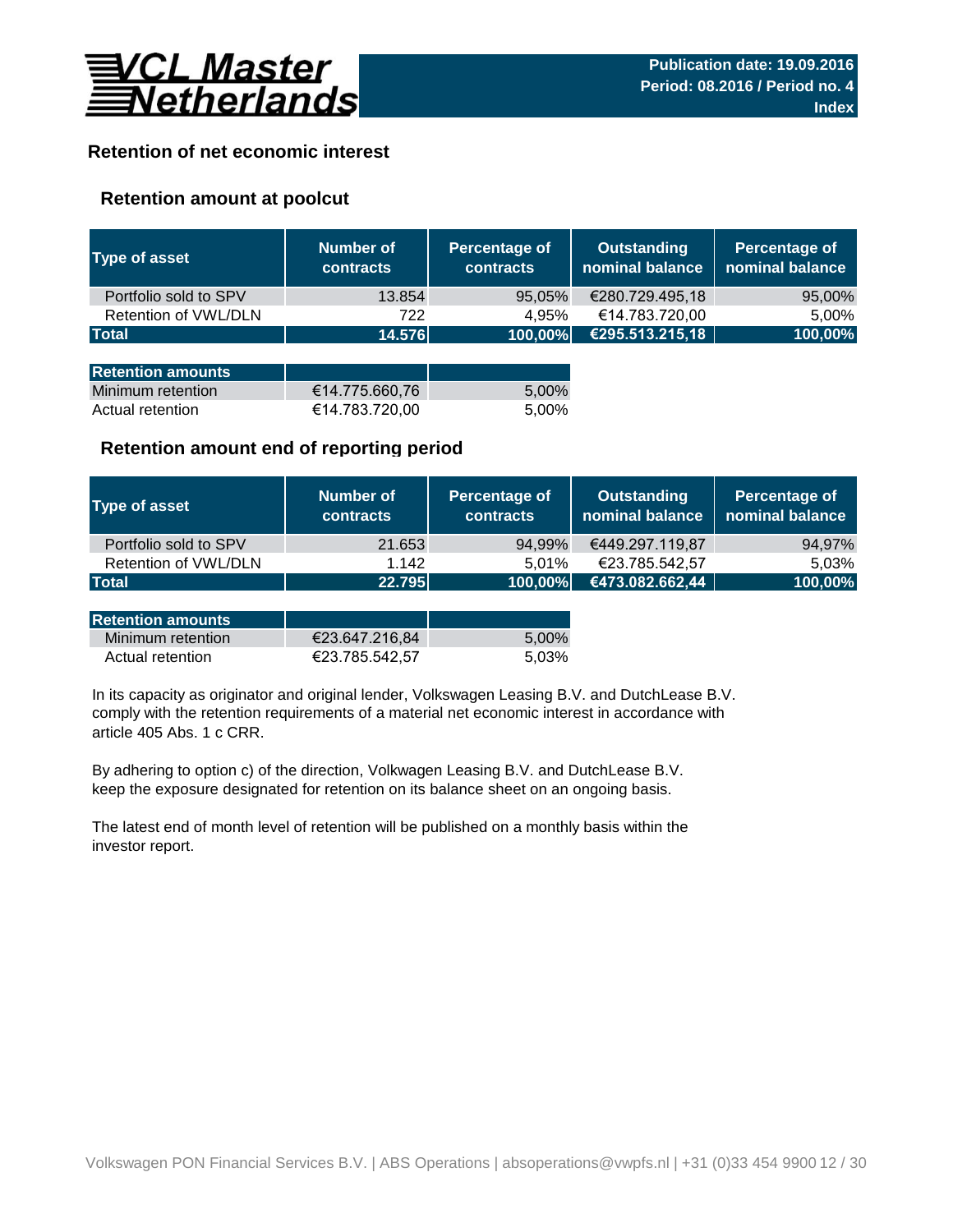

## **Retention of net economic interest**

## **Retention amount at poolcut**

| <b>Type of asset</b>     | <b>Number of</b><br><b>contracts</b> | <b>Percentage of</b><br>contracts | <b>Outstanding</b><br>nominal balance | Percentage of<br>nominal balance |
|--------------------------|--------------------------------------|-----------------------------------|---------------------------------------|----------------------------------|
| Portfolio sold to SPV    | 13.854                               | 95,05%                            | €280.729.495,18                       | 95,00%                           |
| Retention of VWL/DLN     | 722                                  | 4,95%                             | €14.783.720,00                        | 5,00%                            |
| <b>Total</b>             | 14.576                               | 100,00%                           | €295.513.215,18                       | 100,00%                          |
|                          |                                      |                                   |                                       |                                  |
| <b>Retention amounts</b> |                                      |                                   |                                       |                                  |
| Minimum retention        | €14.775.660,76                       | 5,00%                             |                                       |                                  |
| Actual retention         | €14.783.720,00                       | 5,00%                             |                                       |                                  |

## **Retention amount end of reporting period**

| <b>Type of asset</b>  | Number of<br><b>contracts</b> | Percentage of<br><b>contracts</b> | <b>Outstanding</b><br>nominal balance | Percentage of<br>nominal balance |
|-----------------------|-------------------------------|-----------------------------------|---------------------------------------|----------------------------------|
| Portfolio sold to SPV | 21.653                        | 94,99%                            | €449.297.119,87                       | 94,97%                           |
| Retention of VWL/DLN  | 1.142                         | 5.01%                             | €23.785.542,57                        | 5,03%                            |
| <b>Total</b>          | 22.795                        | 100,00%                           | €473.082.662,44                       | 100,00%                          |

| <b>Retention amounts</b> |                |       |
|--------------------------|----------------|-------|
| Minimum retention        | €23.647.216.84 | 5.00% |
| Actual retention         | €23.785.542.57 | 5.03% |

article 405 Abs. 1 c CRR. In its capacity as originator and original lender, Volkswagen Leasing B.V. and DutchLease B.V. comply with the retention requirements of a material net economic interest in accordance with

By adhering to option c) of the direction, Volkwagen Leasing B.V. and DutchLease B.V. keep the exposure designated for retention on its balance sheet on an ongoing basis.

The latest end of month level of retention will be published on a monthly basis within the investor report.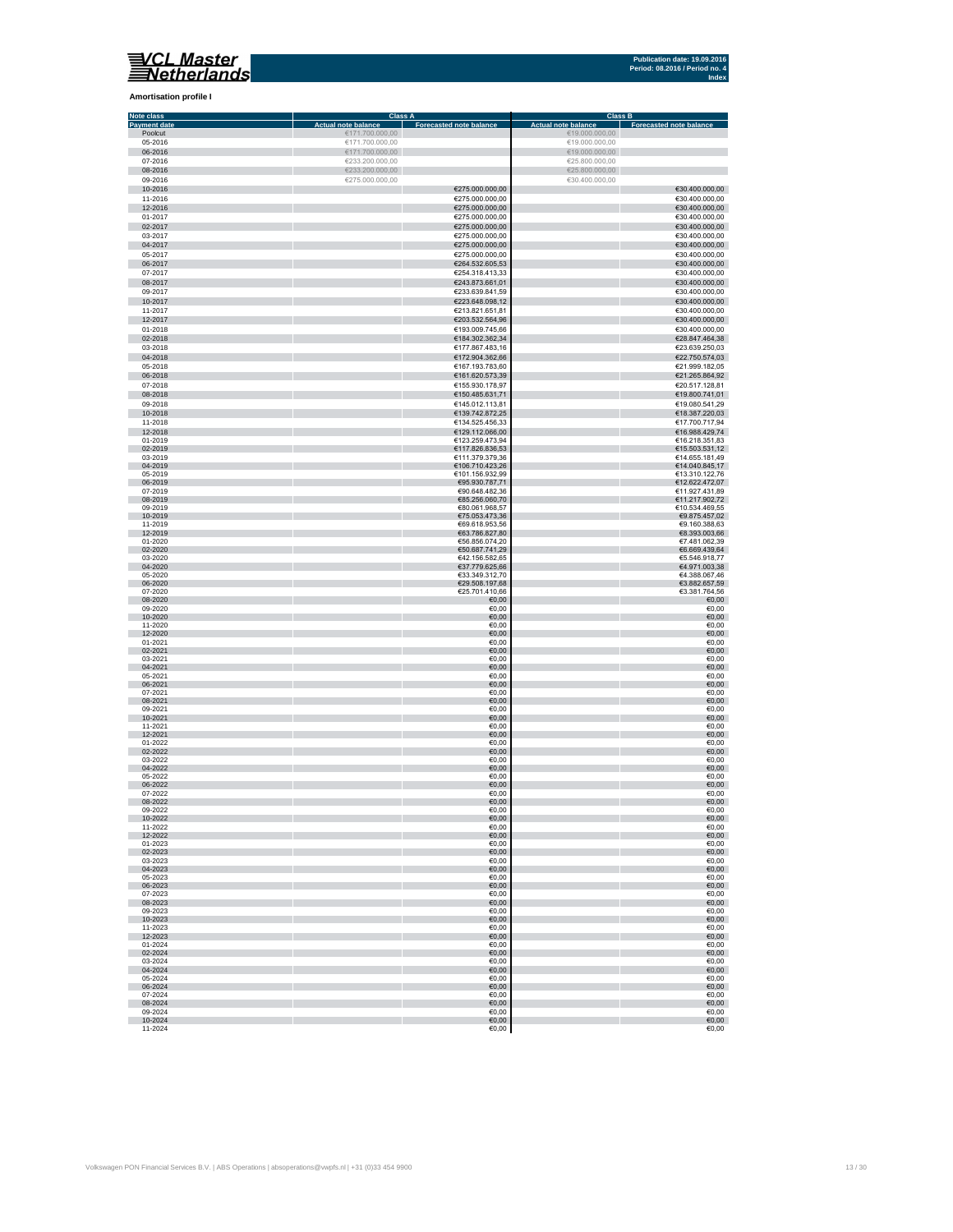

### **Amortisation profile I**

| <b>Note class</b>   | <b>Class A</b>             |                                  | <b>Class B</b>             |                                |
|---------------------|----------------------------|----------------------------------|----------------------------|--------------------------------|
| <b>Payment date</b> | <b>Actual note balance</b> | <b>Forecasted note balance</b>   | <b>Actual note balance</b> | <b>Forecasted note balance</b> |
| Poolcut             | €171.700.000,00            |                                  | €19.000.000,00             |                                |
| 05-2016             | €171.700.000,00            |                                  | €19.000.000,00             |                                |
| 06-2016             | €171.700.000,00            |                                  | €19.000.000,00             |                                |
| 07-2016             | €233.200.000,00            |                                  | €25.800.000,00             |                                |
| 08-2016             | €233.200.000,00            |                                  | €25.800.000,00             |                                |
| 09-2016             | €275.000.000,00            |                                  | €30.400.000,00             |                                |
| 10-2016             |                            | €275.000.000,00                  |                            | €30.400.000,00                 |
| 11-2016             |                            | €275.000.000,00                  |                            | €30.400.000,00                 |
| 12-2016             |                            | €275.000.000,00                  |                            | €30.400.000,00                 |
| 01-2017             |                            | €275.000.000,00                  |                            | €30.400.000,00                 |
| 02-2017             |                            | €275.000.000,00                  |                            | €30.400.000,00                 |
|                     |                            |                                  |                            |                                |
| 03-2017             |                            | €275.000.000,00                  |                            | €30.400.000,00                 |
| 04-2017             |                            | €275.000.000,00                  |                            | €30.400.000,00                 |
| 05-2017             |                            | €275.000.000,00                  |                            | €30.400.000,00                 |
| 06-2017             |                            | €264.532.605,53                  |                            | €30.400.000,00                 |
| 07-2017             |                            | €254.318.413,33                  |                            | €30.400.000,00                 |
| 08-2017             |                            | €243.873.661,01                  |                            | €30.400.000,00                 |
| 09-2017             |                            | €233.639.841,59                  |                            | €30.400.000,00                 |
| 10-2017             |                            | €223.648.098,12                  |                            | €30.400.000,00                 |
| 11-2017             |                            | €213.821.651,81                  |                            | €30.400.000,00                 |
| 12-2017             |                            | €203.532.564,96                  |                            | €30.400.000,00                 |
| 01-2018             |                            | €193.009.745,66                  |                            | €30.400.000,00                 |
| 02-2018             |                            | €184.302.362,34                  |                            | €28.847.464,38                 |
| 03-2018             |                            | €177.867.483,16                  |                            | €23.639.250,03                 |
| 04-2018             |                            | €172.904.362,66                  |                            | €22.750.574,03                 |
|                     |                            |                                  |                            |                                |
| 05-2018             |                            | €167.193.783,60                  |                            | €21.999.182,05                 |
| 06-2018             |                            | €161.620.573,39                  |                            | €21.265.864,92                 |
| 07-2018             |                            | €155.930.178,97                  |                            | €20.517.128,81                 |
| 08-2018             |                            | €150.485.631,71                  |                            | €19.800.741,01                 |
| 09-2018             |                            | €145.012.113,81                  |                            | €19.080.541,29                 |
| 10-2018             |                            | €139.742.872,25                  |                            | €18.387.220,03                 |
| 11-2018             |                            | €134.525.456,33                  |                            | €17.700.717,94                 |
| 12-2018             |                            | €129.112.066,00                  |                            | €16.988.429,74                 |
| 01-2019             |                            | €123.259.473,94                  |                            | €16.218.351,83                 |
| 02-2019             |                            | €117.826.836,53                  |                            | €15.503.531,12                 |
| 03-2019             |                            | €111.379.379,36                  |                            | €14.655.181,49                 |
| 04-2019             |                            | €106.710.423,26                  |                            | €14.040.845,17                 |
| 05-2019             |                            | €101.156.932,99                  |                            | €13.310.122,76                 |
| 06-2019             |                            | €95.930.787,71                   |                            | €12.622.472,07                 |
| 07-2019             |                            | €90.648.482,36                   |                            | €11.927.431,89                 |
| 08-2019             |                            | €85.256.060,70                   |                            | €11.217.902,72                 |
| 09-2019             |                            | €80.061.968,57                   |                            | €10.534.469,55                 |
| 10-2019             |                            | €75.053.473,36                   |                            | €9.875.457,02                  |
| 11-2019             |                            | €69.618.953,56                   |                            | €9.160.388,63                  |
| 12-2019             |                            | €63.786.827,80                   |                            | €8.393.003,66                  |
| 01-2020             |                            | €56.856.074,20                   |                            | €7.481.062,39<br>€6.669.439,64 |
| 02-2020<br>03-2020  |                            | €50.687.741,29<br>€42.156.582,65 |                            | €5.546.918,77                  |
| 04-2020             |                            | €37.779.625,66                   |                            | €4.971.003,38                  |
| 05-2020             |                            | €33.349.312,70                   |                            | €4.388.067,46                  |
| 06-2020             |                            | €29.508.197,68                   |                            | €3.882.657,59                  |
| 07-2020             |                            | €25.701.410,66                   |                            | €3.381.764,56                  |
| 08-2020             |                            | €0,00                            |                            | €0,00                          |
| 09-2020             |                            | €0,00                            |                            | €0,00                          |
| 10-2020             |                            | €0,00                            |                            | €0,00                          |
| 11-2020             |                            | €0,00                            |                            | €0,00                          |
| 12-2020             |                            | €0,00                            |                            | €0,00                          |
| 01-2021             |                            | €0,00                            |                            | €0,00                          |
| 02-2021             |                            | €0,00                            |                            | €0,00                          |
| 03-2021             |                            | €0,00                            |                            | €0,00                          |
| 04-2021             |                            | €0,00                            |                            | €0,00                          |
| 05-2021             |                            | €0,00                            |                            | €0,00                          |
| 06-2021             |                            | €0,00                            |                            | €0,00                          |
| 07-2021             |                            | €0,00                            |                            | €0,00                          |
| 08-2021             |                            | €0,00                            |                            | €0,00                          |
| 09-2021             |                            | €0,00                            |                            | €0,00                          |
| 10-2021             |                            | €0,00                            |                            | €0,00                          |
| 11-2021             |                            | €0,00                            |                            | €0,00                          |
| 12-2021             |                            | €0,00                            |                            | €0,00                          |
| 01-2022<br>02-2022  |                            | €0,00                            |                            | €0,00                          |
| 03-2022             |                            | €0,00<br>€0,00                   |                            | €0,00<br>€0,00                 |
| 04-2022             |                            | €0,00                            |                            | €0,00                          |
| 05-2022             |                            | €0,00                            |                            | €0,00                          |
| 06-2022             |                            | €0,00                            |                            | €0,00                          |
| 07-2022             |                            | €0,00                            |                            | €0,00                          |
| 08-2022             |                            | €0,00                            |                            | €0,00                          |
| 09-2022             |                            | €0,00                            |                            | €0,00                          |
| 10-2022             |                            | €0,00                            |                            | €0,00                          |
| 11-2022             |                            | €0,00                            |                            | €0,00                          |
| 12-2022             |                            | €0,00                            |                            | €0,00                          |
| 01-2023             |                            | €0,00                            |                            | €0,00                          |
| 02-2023             |                            | €0,00                            |                            | €0,00                          |
| 03-2023             |                            | €0,00                            |                            | €0,00                          |
| 04-2023             |                            | €0,00                            |                            | €0,00                          |
| 05-2023             |                            | €0,00                            |                            | €0,00                          |
| 06-2023             |                            | €0,00                            |                            | €0,00                          |
| 07-2023<br>08-2023  |                            | €0,00                            |                            | €0,00                          |
| 09-2023             |                            | €0,00<br>€0,00                   |                            | €0,00<br>€0,00                 |
|                     |                            |                                  |                            |                                |
| 10-2023<br>11-2023  |                            | €0,00<br>€0,00                   |                            | €0,00<br>€0,00                 |
| 12-2023             |                            | €0,00                            |                            | 60,00                          |
| 01-2024             |                            | €0,00                            |                            | €0,00                          |
| 02-2024             |                            | €0,00                            |                            | €0,00                          |
| 03-2024             |                            | €0,00                            |                            | €0,00                          |
| 04-2024             |                            | €0,00                            |                            | €0,00                          |
| 05-2024             |                            | €0,00                            |                            | €0,00                          |
| 06-2024             |                            | €0,00                            |                            | €0,00                          |
| 07-2024             |                            | €0,00                            |                            | €0,00                          |
| 08-2024             |                            | €0,00                            |                            | €0,00                          |
| 09-2024             |                            | €0,00                            |                            | €0,00                          |
| 10-2024             |                            | €0,00                            |                            | 60,00                          |
| 11-2024             |                            | €0,00                            |                            | €0,00                          |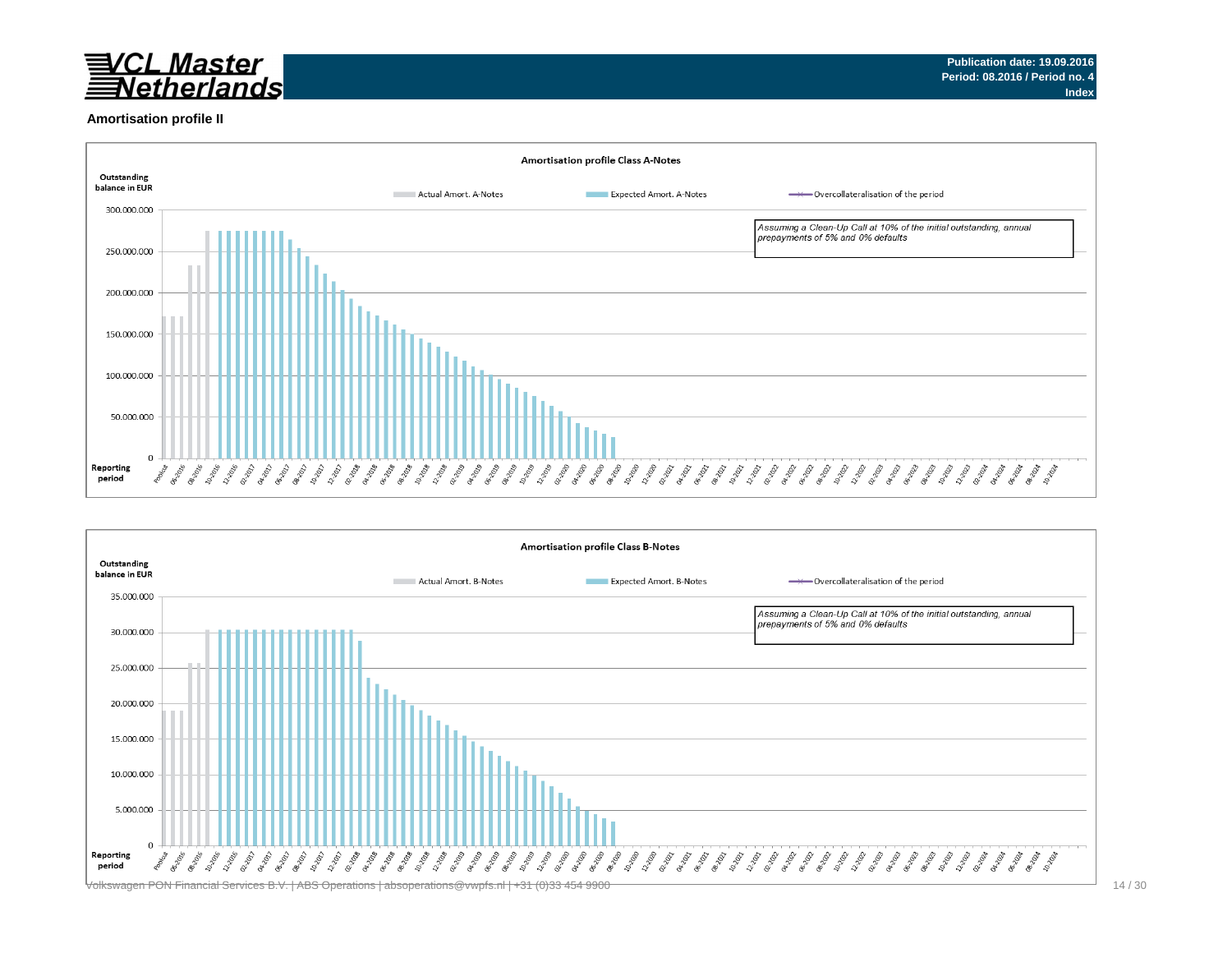

### **Amortisation profile II**



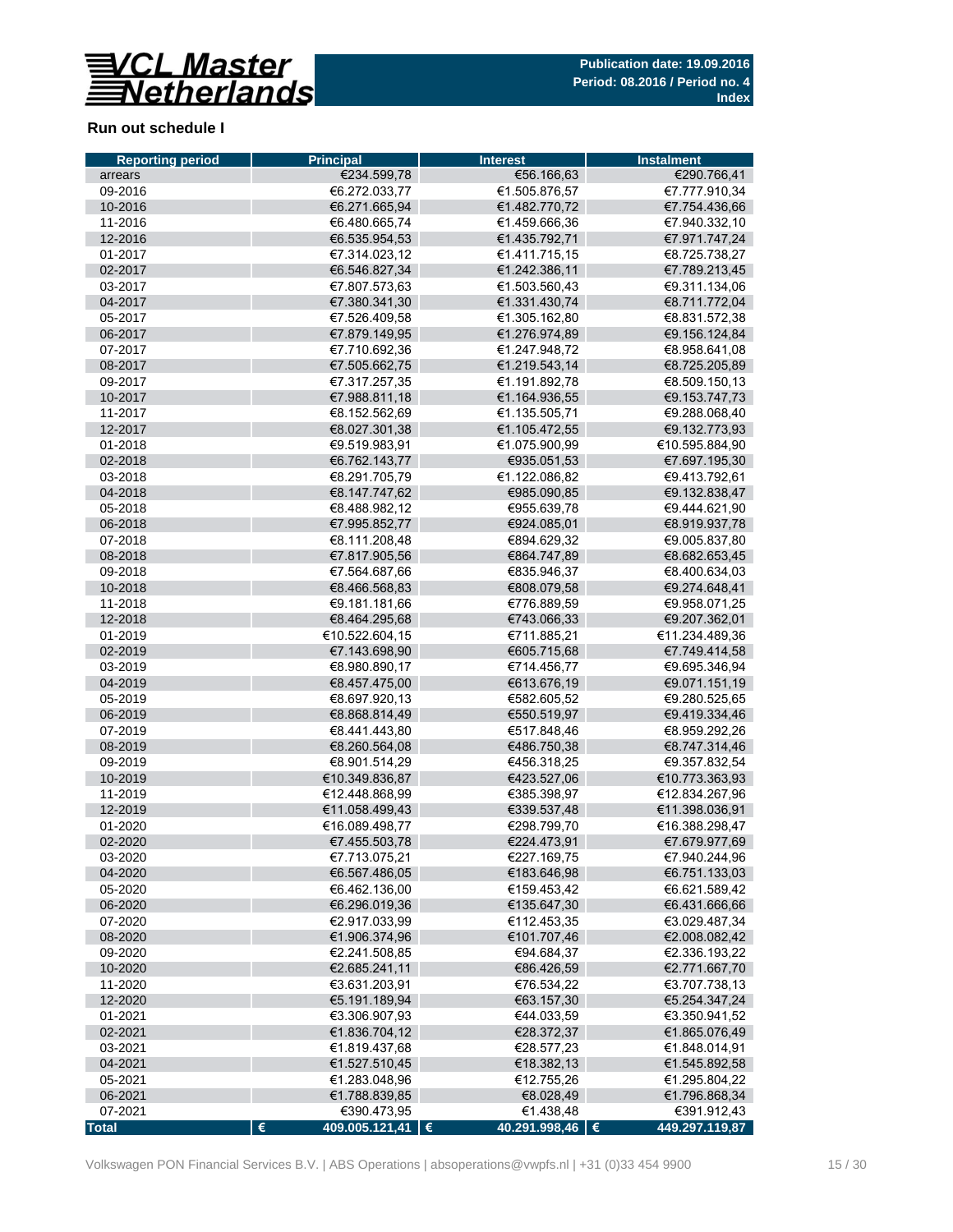

## **Run out schedule I**

| <b>Reporting period</b> | <b>Principal</b>                 | <b>Interest</b>            | <b>Instalment</b>               |
|-------------------------|----------------------------------|----------------------------|---------------------------------|
| arrears                 | €234.599,78                      | €56.166,63                 | €290.766,41                     |
| 09-2016                 | €6.272.033.77                    | €1.505.876,57              | €7.777.910,34                   |
| 10-2016                 | €6.271.665,94                    | €1.482.770,72              | €7.754.436,66                   |
| 11-2016                 | €6.480.665,74                    | €1.459.666,36              | €7.940.332,10                   |
| 12-2016                 | €6.535.954,53                    | €1.435.792,71              | €7.971.747,24                   |
| 01-2017                 | €7.314.023.12                    | €1.411.715,15              | €8.725.738,27                   |
| 02-2017                 | €6.546.827,34                    | €1.242.386,11              | €7.789.213,45                   |
| 03-2017                 | €7.807.573,63                    | €1.503.560,43              | €9.311.134,06                   |
| 04-2017                 | €7.380.341,30                    | €1.331.430,74              | €8.711.772,04                   |
| 05-2017                 | €7.526.409,58                    | €1.305.162.80              | €8.831.572.38                   |
| 06-2017                 | €7.879.149,95                    | €1.276.974,89              | €9.156.124,84                   |
| 07-2017                 | €7.710.692.36                    | €1.247.948,72              | €8.958.641,08                   |
| 08-2017                 | €7.505.662,75                    | €1.219.543,14              | €8.725.205,89                   |
| 09-2017                 | €7.317.257,35                    | €1.191.892,78              | €8.509.150,13                   |
| 10-2017                 | €7.988.811,18                    | €1.164.936,55              | €9.153.747,73                   |
| 11-2017                 | €8.152.562,69                    | €1.135.505,71              | €9.288.068,40                   |
| 12-2017                 | €8.027.301,38                    | €1.105.472,55              | €9.132.773,93                   |
| 01-2018                 | €9.519.983,91                    | €1.075.900,99              | €10.595.884,90                  |
| 02-2018                 | €6.762.143,77                    | €935.051,53                | €7.697.195,30                   |
| 03-2018                 | €8.291.705.79                    | €1.122.086,82              | €9.413.792,61                   |
| 04-2018                 | €8.147.747,62                    | €985.090,85                | €9.132.838,47                   |
| 05-2018                 | €8.488.982,12                    | €955.639.78                | €9.444.621,90                   |
| 06-2018                 | €7.995.852,77                    | €924.085,01                | €8.919.937,78                   |
| 07-2018                 | €8.111.208,48                    | €894.629,32                | €9.005.837,80                   |
| 08-2018                 | €7.817.905,56                    | €864.747,89                | €8.682.653,45                   |
| 09-2018                 | €7.564.687,66                    | €835.946,37                | €8.400.634,03                   |
| 10-2018                 | €8.466.568,83                    | €808.079,58                | €9.274.648,41                   |
| 11-2018                 | €9.181.181,66                    | €776.889,59                | €9.958.071,25                   |
| 12-2018                 | €8.464.295,68                    | €743.066,33                | €9.207.362,01                   |
| 01-2019                 | €10.522.604,15                   | €711.885,21                | €11.234.489,36                  |
| 02-2019                 | €7.143.698,90                    | €605.715,68                | €7.749.414,58                   |
| 03-2019                 | €8.980.890,17                    | €714.456,77                | €9.695.346,94                   |
| 04-2019                 | €8.457.475,00                    | €613.676,19                | €9.071.151,19                   |
| 05-2019                 | €8.697.920,13                    | €582.605,52                | €9.280.525,65                   |
| 06-2019                 | €8.868.814,49                    | €550.519,97                | €9.419.334,46                   |
| 07-2019                 | €8.441.443.80                    | €517.848,46                | €8.959.292,26                   |
|                         | €8.260.564,08                    |                            | €8.747.314,46                   |
| 08-2019                 | €8.901.514.29                    | €486.750,38                |                                 |
| 09-2019                 |                                  | €456.318,25<br>€423.527,06 | €9.357.832,54<br>€10.773.363,93 |
| 10-2019                 | €10.349.836,87                   |                            |                                 |
| 11-2019                 | €12.448.868,99                   | €385.398,97                | €12.834.267,96                  |
| 12-2019                 | €11.058.499,43                   | €339.537,48                | €11.398.036,91                  |
| 01-2020                 | €16.089.498,77                   | €298.799,70                | €16.388.298,47                  |
| 02-2020                 | €7.455.503,78                    | €224.473.91                | €7.679.977,69                   |
| 03-2020                 | €7.713.075,21                    | €227.169,75                | €7.940.244,96                   |
| 04-2020                 | €6.567.486,05                    | €183.646,98                | €6.751.133,03                   |
| 05-2020                 | €6.462.136,00                    | €159.453,42                | €6.621.589,42                   |
| 06-2020                 | €6.296.019,36                    | €135.647,30                | €6.431.666,66                   |
| 07-2020                 | €2.917.033,99                    | €112.453,35                | €3.029.487,34                   |
| 08-2020                 | €1.906.374,96                    | €101.707,46                | €2.008.082,42                   |
| 09-2020                 | €2.241.508,85                    | €94.684,37                 | €2.336.193,22                   |
| 10-2020                 | €2.685.241,11                    | €86.426,59                 | €2.771.667,70                   |
| 11-2020                 | €3.631.203,91                    | €76.534,22                 | €3.707.738,13                   |
| 12-2020                 | €5.191.189,94                    | €63.157,30                 | €5.254.347,24                   |
| 01-2021                 | €3.306.907,93                    | €44.033,59                 | €3.350.941,52                   |
| 02-2021                 | €1.836.704,12                    | €28.372,37                 | €1.865.076,49                   |
| 03-2021                 | €1.819.437,68                    | €28.577,23                 | €1.848.014,91                   |
| 04-2021                 | €1.527.510,45                    | €18.382,13                 | €1.545.892,58                   |
| 05-2021                 | €1.283.048,96                    | €12.755,26                 | €1.295.804,22                   |
| 06-2021                 | €1.788.839,85                    | €8.028,49                  | €1.796.868,34                   |
| 07-2021                 | €390.473,95                      | €1.438,48                  | €391.912,43                     |
| <b>Total</b>            | $\epsilon$<br>409.005.121,41   € | 40.291.998,46   €          | 449.297.119,87                  |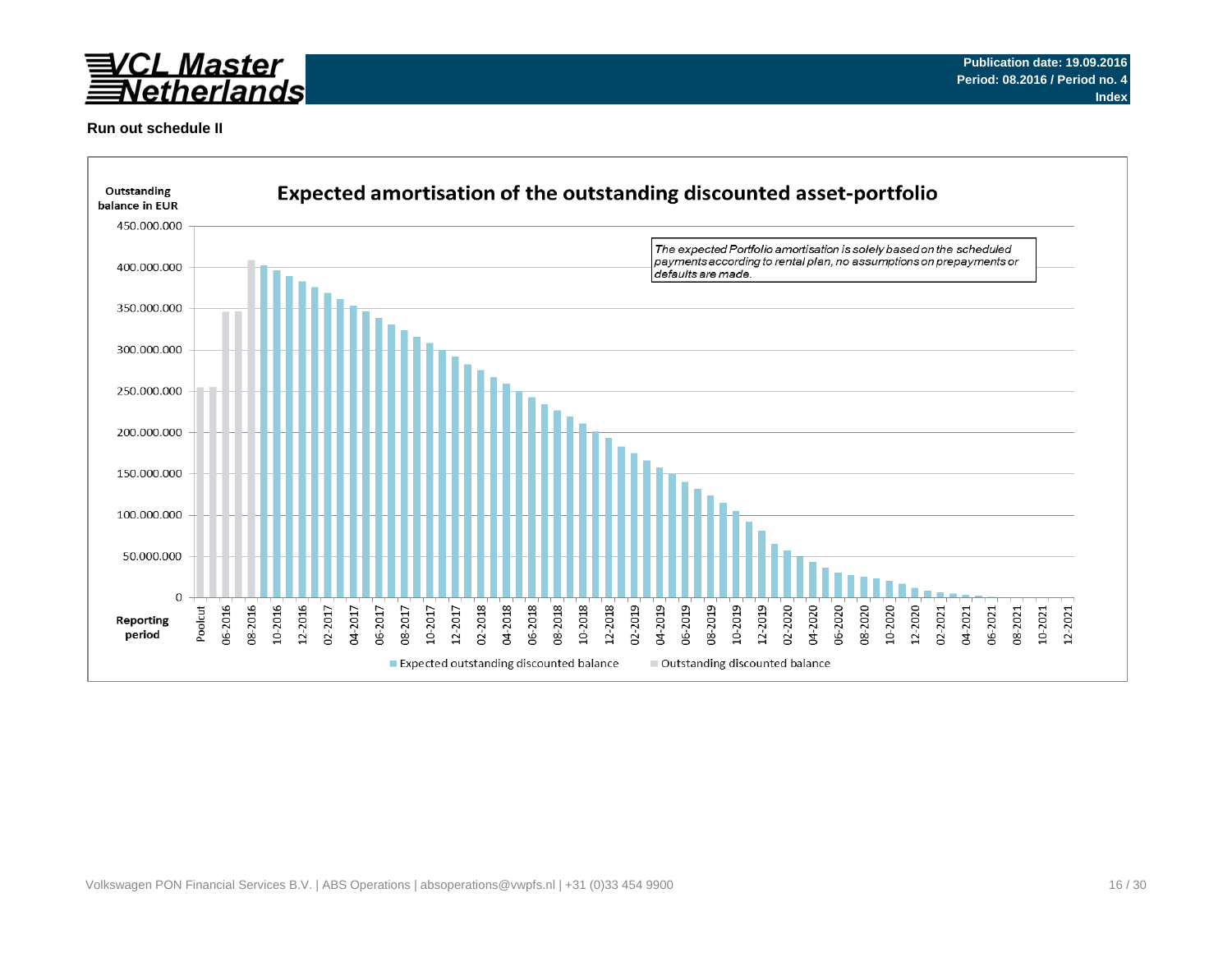

## **Run out schedule II**

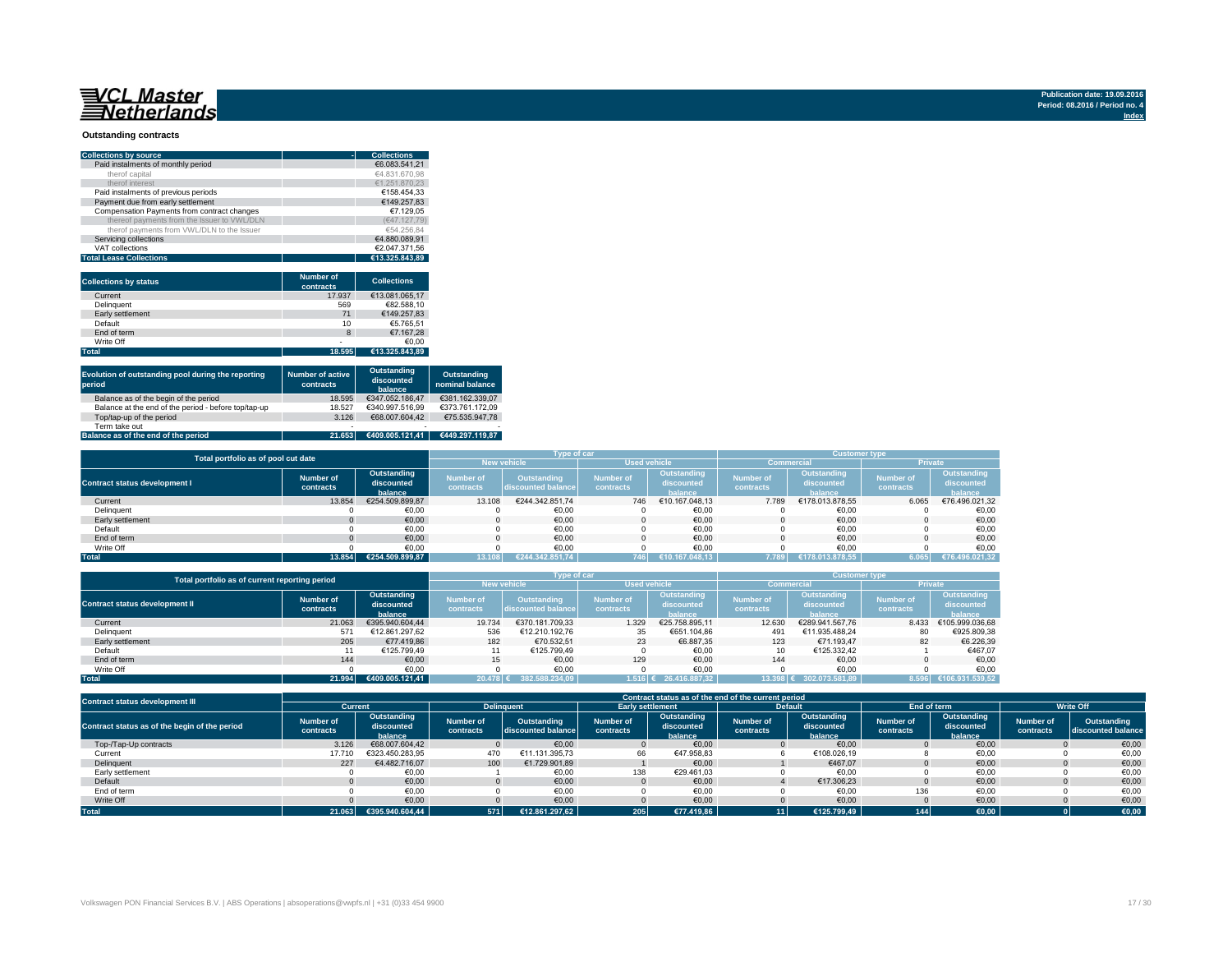## <u>WCL Master</u><br>ENetherlands

#### **Outstanding contracts**

| <b>Collections by source</b>                | <b>Collections</b><br>۰ |
|---------------------------------------------|-------------------------|
| Paid instalments of monthly period          | €6.083.541.21           |
| therof capital                              | €4.831.670.98           |
| therof interest                             | €1.251.870.23           |
| Paid instalments of previous periods        | €158.454.33             |
| Payment due from early settlement           | €149.257.83             |
| Compensation Payments from contract changes | €7.129.05               |
| thereof payments from the Issuer to VWL/DLN | (€47.127.79)            |
| therof payments from VWL/DLN to the Issuer  | €54.256.84              |
| Servicing collections                       | €4.880.089.91           |
| VAT collections                             | €2.047.371.56           |
| <b>Total Lease Collections</b>              | €13.325.843.89          |

| <b>Collections by status</b> | <b>Number of</b><br>contracts | <b>Collections</b> |
|------------------------------|-------------------------------|--------------------|
| Current                      | 17.937                        | €13.081.065.17     |
| Delinquent                   | 569                           | €82.588.10         |
| Early settlement             | 71                            | €149.257.83        |
| Default                      | 10                            | €5.765.51          |
| End of term                  | $\mathbf{8}$                  | €7.167.28          |
| Write Off                    | $\overline{\phantom{0}}$      | €0.00              |
| <b>Total</b>                 | 18.595                        | €13.325.843.89     |

| Evolution of outstanding pool during the reporting<br>period                                         | <b>Number of active</b><br>contracts | Outstanding<br>discounted<br>balance | Outstanding<br>nominal balance |
|------------------------------------------------------------------------------------------------------|--------------------------------------|--------------------------------------|--------------------------------|
| Balance as of the begin of the period                                                                | 18.595                               | €347.052.186.47                      | €381.162.339.07                |
| Balance at the end of the period - before top/tap-up                                                 | 18.527                               | €340.997.516.99                      | €373.761.172.09                |
| Top/tap-up of the period                                                                             | 3.126                                | €68.007.604.42                       | €75.535.947.78                 |
| Term take out                                                                                        | $\overline{\phantom{0}}$             | $\overline{\phantom{0}}$             |                                |
| $\mathbf{B}$ and $\mathbf{B}$ are associated to the contribution of the contribution of $\mathbf{B}$ | 24.25                                |                                      | 0.110,000,110,00               |

#### **Balance as of the end of the period 21.653 €409.005.121,41 €449.297.119,87**

|                                      | Total portfolio as of pool cut date |                                      |                               |                                          |                               | Type of car                          |                               |                                      |                               |                                      |  |  |  |
|--------------------------------------|-------------------------------------|--------------------------------------|-------------------------------|------------------------------------------|-------------------------------|--------------------------------------|-------------------------------|--------------------------------------|-------------------------------|--------------------------------------|--|--|--|
|                                      |                                     |                                      |                               | <b>New vehicle</b>                       | <b>Used vehicle</b>           |                                      |                               | <b>Commercial</b>                    | <b>Private</b>                |                                      |  |  |  |
| <b>Contract status development I</b> | Number of<br>contracts              | Outstanding<br>discounted<br>balance | <b>Number of</b><br>contracts | <b>Outstanding</b><br>discounted balance | <b>Number of</b><br>contracts | Outstanding<br>discounted<br>balance | <b>Number of</b><br>contracts | Outstanding<br>discounted<br>halance | <b>Number of</b><br>contracts | Outstanding<br>discounted<br>balance |  |  |  |
| Current                              | 13.854                              | €254.509.899.87                      | 13.108                        | €244.342.851.74                          | 746                           | €10.167.048.13                       | 7.789                         | €178.013.878.55                      | 6.065                         | €76.496.021,32                       |  |  |  |
| Delinquent                           |                                     | €0,00                                |                               | €0,00                                    |                               | €0,00                                |                               | €0,00                                |                               | €0,00                                |  |  |  |
| Early settlement                     |                                     | €0.00                                |                               | €0,00                                    |                               | €0.00                                |                               | €0.00                                |                               | €0,00                                |  |  |  |
| Default                              |                                     | €0.00                                |                               | €0.00                                    |                               | €0.00                                |                               | €0.00                                |                               | €0,00                                |  |  |  |
| End of term                          |                                     | €0.00                                |                               | €0.00                                    |                               | €0.00                                |                               | €0.00                                |                               | €0.00                                |  |  |  |
| Write Off                            |                                     | €0.00                                |                               | €0.00                                    |                               | €0.00                                |                               | €0.00                                |                               | €0,00                                |  |  |  |
| Total                                | 13.854                              | €254.509.899.87                      | 13.108                        | €244.342.851.74                          | 746                           | €10.167.048.13                       | 7.789                         | €178.013.878.55                      | 6.065                         | €76.496.021,32                       |  |  |  |

| Total portfolio as of current reporting period |           |                 | Type of car      |                    | <b>Customer type</b> |                |                   |                 |                  |                 |
|------------------------------------------------|-----------|-----------------|------------------|--------------------|----------------------|----------------|-------------------|-----------------|------------------|-----------------|
|                                                |           |                 |                  | <b>New vehicle</b> | <b>Used vehicle</b>  |                | <b>Commercial</b> |                 | <b>Private</b>   |                 |
|                                                | Number of | Outstanding     | <b>Number of</b> | Outstanding        | Number of            | Outstanding    | <b>Number</b> of  | Outstanding     | <b>Number of</b> | Outstanding     |
| <b>Contract status development II</b>          |           | discounted      |                  |                    |                      | discounted     |                   | discounted      |                  | discounted      |
|                                                | contracts | balance         | contracts        | discounted balance | contracts            | balance        | contracts         | halance         | contracts        | balance         |
| Current                                        | 21.063    | €395.940.604.44 | 19.734           | €370.181.709.33    | 1.329                | €25.758.895.11 | 12.630            | €289.941.567.76 | 8.433            | €105.999.036.68 |
| Delinquent                                     | 571       | €12.861.297.62  | 536              | €12.210.192.76     | 35                   | €651.104.86    | 491               | €11.935.488.24  | 80               | €925.809,38     |
| Early settlement                               | 205       | €77.419.86      | 182              | €70.532.51         | 23                   | €6.887.35      | 123               | €71.193.47      | 82               | €6.226.39       |
| Default                                        |           | €125.799.49     |                  | €125.799.49        |                      | €0.00          | 10                | €125.332.42     |                  | €467.07         |
| End of term                                    | 144       | €0.00           | 15               | €0.00              | 129                  | €0.00          | 144               | €0.00           |                  | €0.00           |
| Write Off                                      |           | €0.00           |                  | €0,00              |                      | €0.00          |                   | €0.00           |                  | €0,00           |
| <b>Total</b>                                   | 21.994    | €409.005.121.41 | 20.478           | 382.588.234.09     | 1.516 €              | 26.416.887.32  | 13.398            | 302.073.581.89  | 8.596            | 106.931.539.52  |

| <b>Contract status development III</b>        |                               | Contract status as of the end of the current period |                               |                                   |                               |                                                                       |  |                                      |                               |                                      |                        |                                   |  |  |
|-----------------------------------------------|-------------------------------|-----------------------------------------------------|-------------------------------|-----------------------------------|-------------------------------|-----------------------------------------------------------------------|--|--------------------------------------|-------------------------------|--------------------------------------|------------------------|-----------------------------------|--|--|
|                                               | Current                       |                                                     |                               | <b>Delinquent</b>                 |                               | <b>Early settlement</b>                                               |  | <b>Default</b>                       | End of term                   |                                      |                        | <b>Write Off</b>                  |  |  |
| Contract status as of the begin of the period | <b>Number of</b><br>contracts | Outstanding<br>discounted<br>balance                | <b>Number of</b><br>contracts | Outstanding<br>discounted balance | <b>Number of</b><br>contracts | Outstanding<br><b>Number of</b><br>discounted<br>contracts<br>balance |  | Outstanding<br>discounted<br>balance | <b>Number of</b><br>contracts | Outstanding<br>discounted<br>balance | Number of<br>contracts | Outstanding<br>discounted balance |  |  |
| Top-/Tap-Up contracts                         | 3.126                         | €68.007.604.42                                      |                               | €0.00                             |                               | €0,00                                                                 |  | €0,00                                |                               | €0,00                                |                        | €0,00                             |  |  |
| Current                                       | 17.710                        | €323.450.283,95                                     | 470                           | €11.131.395,73                    | 66                            | €47.958,83                                                            |  | €108.026,19                          |                               | €0,00                                |                        | €0,00                             |  |  |
| Delinquent                                    | 227                           | €4.482.716.07                                       | 100                           | €1.729.901.89                     |                               | €0.00                                                                 |  | €467.07                              |                               | €0.00                                |                        | €0,00                             |  |  |
| Early settlement                              |                               | €0,00                                               |                               | €0,00                             | 138                           | €29.461.03                                                            |  | €0,00                                |                               | €0,00                                |                        | €0,00                             |  |  |
| Default                                       |                               | €0.00                                               |                               | €0.00                             |                               | €0.00                                                                 |  | €17.306.23                           |                               | €0.00                                |                        | €0,00                             |  |  |
| End of term                                   |                               | €0,00                                               |                               | €0,00                             |                               | €0,00                                                                 |  | €0,00                                | 136                           | €0,00                                |                        | €0,00                             |  |  |
| Write Off                                     |                               | €0.00                                               |                               | €0,00                             |                               | €0,00                                                                 |  | €0,00                                |                               | €0,00                                |                        | €0,00                             |  |  |
| <b>Total</b>                                  | 21.063                        | €395.940.604.44                                     | 571                           | €12.861.297.62                    | 205                           | €77.419.86                                                            |  | €125.799.49                          | 144                           | $\epsilon$ 0,00                      |                        | €0,00                             |  |  |

**Publication date: 19.09.2016 Period: 08.2016 / Period no. 4 Index**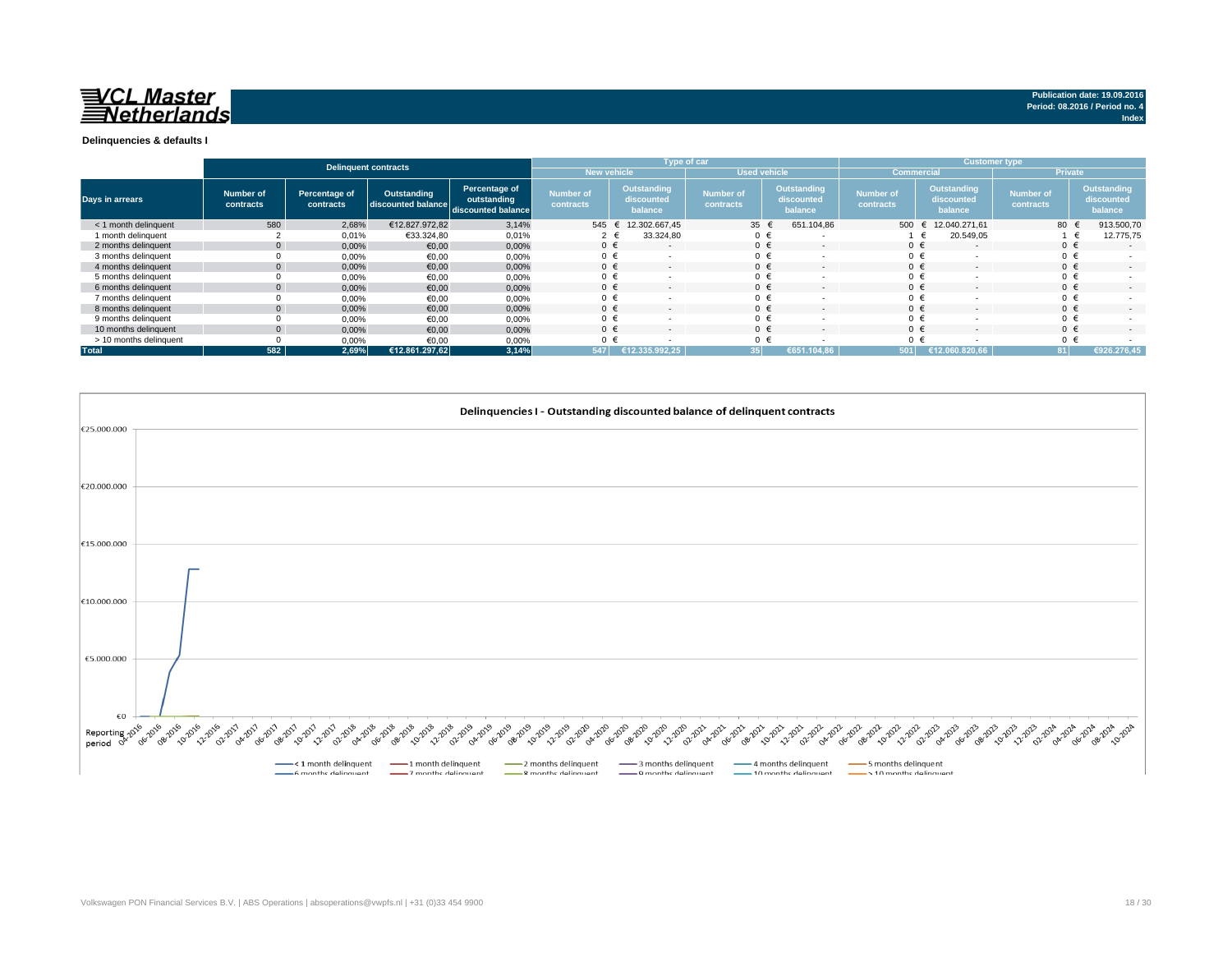## 已 *CL Master* **Netherlands**

**Publication date: 19.09.2016 Period: 08.2016 / Period no. 4 Index**

### **Delinquencies & defaults I**

|                        |                        |                            | <b>Delinquent contracts</b>                          |                              |                               |                                      | Type of car            |                                      | <b>Customer type,</b>         |                                      |                        |                                      |  |  |
|------------------------|------------------------|----------------------------|------------------------------------------------------|------------------------------|-------------------------------|--------------------------------------|------------------------|--------------------------------------|-------------------------------|--------------------------------------|------------------------|--------------------------------------|--|--|
|                        |                        |                            |                                                      |                              | <b>New vehicle</b>            |                                      | <b>Used vehicle</b>    |                                      | <b>Commercial</b>             |                                      | <b>Private</b>         |                                      |  |  |
| Days in arrears        | Number of<br>contracts | Percentage of<br>contracts | Outstanding<br>discounted balance discounted balance | Percentage of<br>outstanding | <b>Number of</b><br>contracts | Outstanding<br>discounted<br>balance | Number of<br>contracts | Outstanding<br>discounted<br>balance | <b>Number of</b><br>contracts | Outstanding<br>discounted<br>balance | Number of<br>contracts | Outstanding<br>discounted<br>balance |  |  |
| < 1 month delinguent   | 580                    | 2,68%                      | €12.827.972.82                                       | 3,14%                        | 545                           | 12.302.667,45                        | 35                     | 651.104,86                           | 500 $\epsilon$                | 12.040.271.61                        | 80 €                   | 913.500,70                           |  |  |
| 1 month delinquent     |                        | 0,01%                      | €33.324,80                                           | 0,01%                        | $2 \in$                       | 33.324,80                            | $0 \in$                |                                      |                               | 20.549,05                            |                        | 12.775,75                            |  |  |
| 2 months delinquent    | $\overline{0}$         | 0,00%                      | €0,00                                                | 0,00%                        | $0 \in$                       | $\overline{\phantom{a}}$             | $0 \in$                | $\overline{\phantom{a}}$             | $0 \in$                       | $\sim$                               | $0 \in$                | the con-                             |  |  |
| 3 months delinquent    |                        | 0,00%                      | €0,00                                                | 0,00%                        | $0 \in$                       |                                      | $0 \in$                |                                      | $0 \in$                       |                                      | $0 \in$                |                                      |  |  |
| 4 months delinguent    |                        | 0,00%                      | €0,00                                                | 0,00%                        | $0 \in$                       | $\sim$                               | $0 \in$                | . .                                  | 0 <sub>6</sub>                | $\sim$                               | $0 \in$                | . .                                  |  |  |
| 5 months delinguent    |                        | 0,00%                      | €0,00                                                | 0,00%                        | $0 \in$                       |                                      | $0 \in$                |                                      | $0 \in$                       |                                      | $0 \in$                | <b>COL</b>                           |  |  |
| 6 months delinquent    | $\overline{0}$         | 0,00%                      | €0,00                                                | 0,00%                        | $0 \in$                       | $\sim$                               | $0 \in$                | . .                                  | $0 \in$                       | $\sim$                               | $0 \in$                | $\sim$                               |  |  |
| 7 months delinquent    |                        | 0,00%                      | €0,00                                                | 0,00%                        | $0 \in$                       |                                      | $0 \in$                |                                      | 0                             |                                      | $0 \in$                |                                      |  |  |
| 8 months delinquent    | $\overline{0}$         | 0,00%                      | €0,00                                                | 0,00%                        | $0 \in$                       | $\overline{\phantom{a}}$             | $0 \in$                | . .                                  | $0 \in$                       | $\sim$                               | $0 \in$                | ۰.                                   |  |  |
| 9 months delinquent    |                        | 0,00%                      | €0,00                                                | 0,00%                        |                               |                                      | $0 \in$                |                                      | 0                             |                                      | $0 \in$                |                                      |  |  |
| 10 months delinquent   | $\overline{0}$         | 0,00%                      | €0,00                                                | 0,00%                        | $0 \in$                       |                                      | $0 \in$                |                                      | $0 \div$                      |                                      | $0 \in$                | . .                                  |  |  |
| > 10 months delinquent |                        | 0,00%                      | €0,00                                                | 0,00%                        | $0 \in$                       |                                      | $0 \in$                |                                      | $^{\circ}$                    |                                      | $0 \in$                |                                      |  |  |
| <b>Total</b>           | 582                    | 2,69%                      | €12.861.297,62                                       | 3,14%                        | 547                           | 12.335.992.25                        | 35                     | €651.104.86                          | 501 L                         | €12.060.820.66                       | 81                     | €926.276,45                          |  |  |

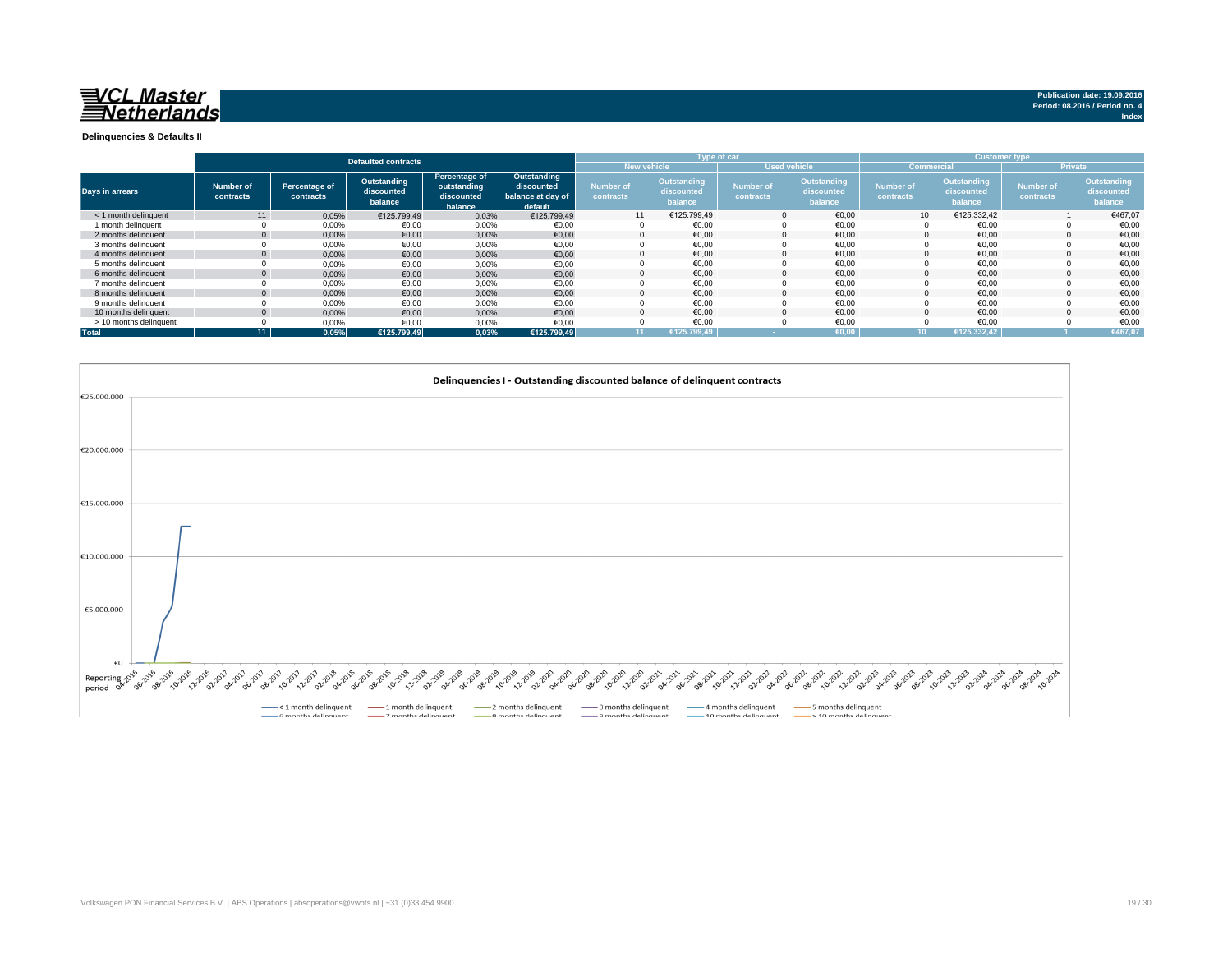## VCL Master<br>Netherlands

**Delinquencies & Defaults II**

|                        |                        |                            | <b>Defaulted contracts</b>           |                                                       |                                                           |                                           |                                      | Type of car                   |                                             |                               |                                      | <b>Customer type</b>          |                                      |
|------------------------|------------------------|----------------------------|--------------------------------------|-------------------------------------------------------|-----------------------------------------------------------|-------------------------------------------|--------------------------------------|-------------------------------|---------------------------------------------|-------------------------------|--------------------------------------|-------------------------------|--------------------------------------|
|                        |                        |                            |                                      |                                                       |                                                           | <b>New vehicle</b><br><b>Used vehicle</b> |                                      |                               |                                             | <b>Commercial</b>             |                                      |                               |                                      |
| Days in arrears        | Number of<br>contracts | Percentage of<br>contracts | Outstanding<br>discounted<br>balance | Percentage of<br>outstanding<br>discounted<br>balance | Outstanding<br>discounted<br>balance at day of<br>default | <b>Number of</b><br>contracts             | Outstanding<br>discounted<br>balance | <b>Number of</b><br>contracts | <b>Outstanding</b><br>discounted<br>balance | <b>Number of</b><br>contracts | Outstanding<br>discounted<br>balance | <b>Number of</b><br>contracts | Outstanding<br>discounted<br>balance |
| < 1 month delinguent   | 11                     | 0,05%                      | €125.799.49                          | 0,03%                                                 | €125.799,49                                               | 11                                        | €125.799,49                          | $\mathbf 0$                   | €0,00                                       | 10                            | €125.332,42                          |                               | €467,07                              |
| 1 month delinguent     |                        | 0,00%                      | €0.00                                | 0,00%                                                 | €0,00                                                     | $\Omega$                                  | €0.00                                |                               | €0,00                                       |                               | €0,00                                |                               | €0,00                                |
| 2 months delinguent    | $\mathbf{0}$           | 0,00%                      | €0,00                                | 0,00%                                                 | €0,00                                                     | $\Omega$                                  | €0.00                                | $\Omega$                      | €0.00                                       |                               | €0.00                                |                               | €0,00                                |
| 3 months delinguent    |                        | 0.00%                      | €0.00                                | 0,00%                                                 | €0,00                                                     |                                           | €0.00                                |                               | €0.00                                       |                               | €0,00                                |                               | €0,00                                |
| 4 months delinguent    | $\Omega$               | 0,00%                      | €0.00                                | 0,00%                                                 | €0,00                                                     | $\Omega$                                  | €0.00                                | $\Omega$                      | €0.00                                       |                               | €0.00                                |                               | €0,00                                |
| 5 months delinquent    |                        | 0.00%                      | €0,00                                | 0,00%                                                 | €0,00                                                     |                                           | €0,00                                | $\Omega$                      | €0,00                                       |                               | €0,00                                |                               | €0,00                                |
| 6 months delinguent    | $\overline{0}$         | 0.00%                      | €0.00                                | 0,00%                                                 | €0,00                                                     | $\Omega$                                  | €0.00                                | $\Omega$                      | €0.00                                       |                               | €0.00                                |                               | €0,00                                |
| 7 months delinguent    |                        | 0,00%                      | €0,00                                | 0,00%                                                 | €0,00                                                     |                                           | €0,00                                |                               | €0,00                                       |                               | €0,00                                |                               | €0,00                                |
| 8 months delinguent    |                        | 0,00%                      | €0,00                                | 0,00%                                                 | €0,00                                                     | 0                                         | €0.00                                | $\mathbf 0$                   | €0.00                                       |                               | €0.00                                |                               | €0,00                                |
| 9 months delinquent    |                        | 0.00%                      | €0.00                                | 0,00%                                                 | €0.00                                                     |                                           | €0,00                                |                               | €0,00                                       |                               | €0,00                                |                               | €0,00                                |
| 10 months delinquent   |                        | 0,00%                      | €0,00                                | 0,00%                                                 | €0,00                                                     |                                           | €0.00                                | $\Omega$                      | €0,00                                       |                               | €0,00                                |                               | €0,00                                |
| > 10 months delinquent |                        | 0,00%                      | €0,00                                | 0,00%                                                 | €0,00                                                     |                                           | €0,00                                |                               | €0,00                                       |                               | €0,00                                |                               | €0,00                                |
| <b>Total</b>           | 11                     | 0.05%                      | €125.799.49                          | 0.03%                                                 | €125.799.49                                               | 11 <sup>1</sup>                           | €125.799.49                          |                               | €0.00                                       | ۱n.                           | €125.332.42                          |                               | €467,07                              |

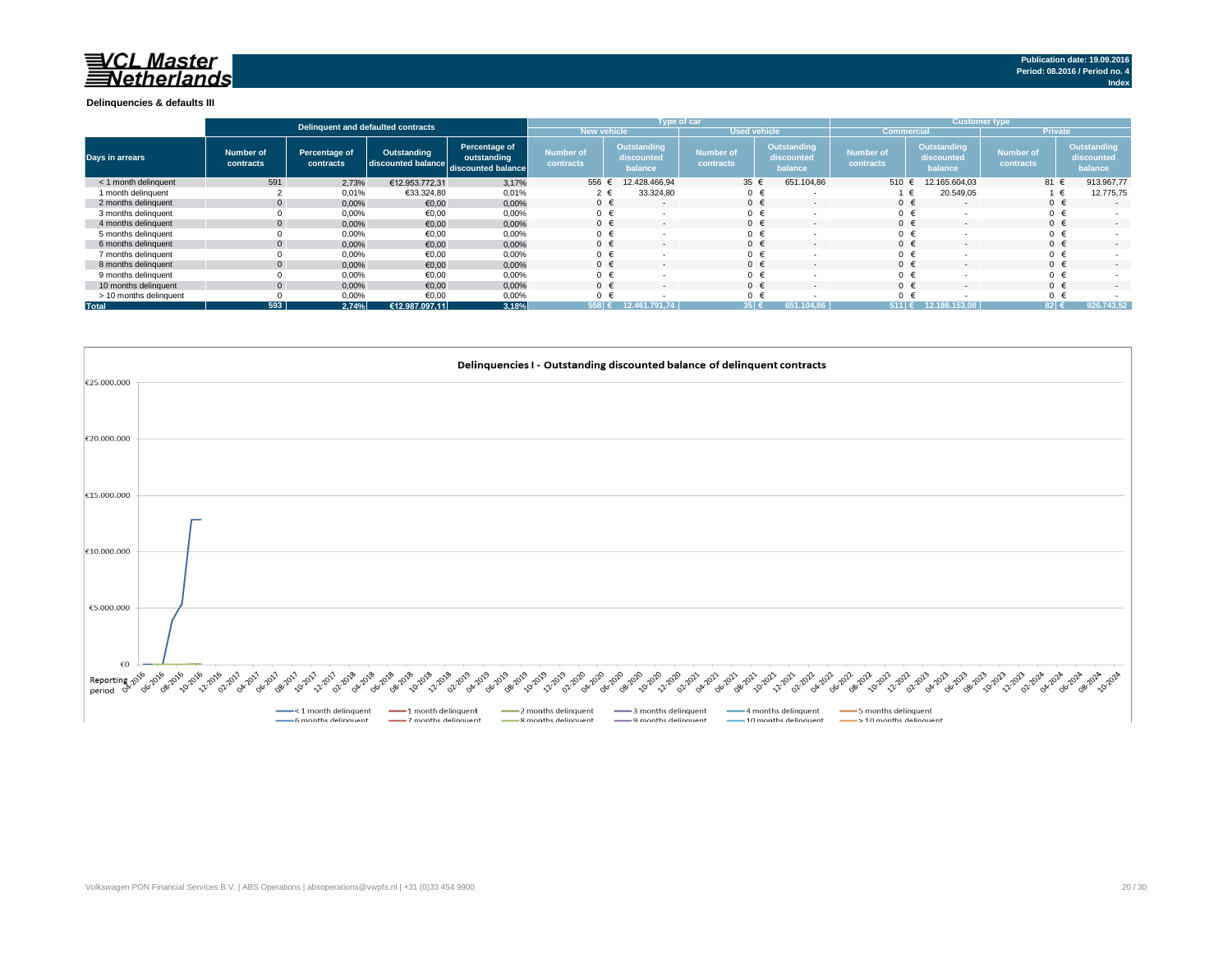#### **Delinquencies & defaults III**

|                        |                               |                            | Delinquent and defaulted contracts                   |                              |                               |                    | Type of car                          |                               |                                      | <b>Customer type</b>                 |                                      |                               |                |                                      |  |
|------------------------|-------------------------------|----------------------------|------------------------------------------------------|------------------------------|-------------------------------|--------------------|--------------------------------------|-------------------------------|--------------------------------------|--------------------------------------|--------------------------------------|-------------------------------|----------------|--------------------------------------|--|
|                        |                               |                            |                                                      |                              |                               | <b>New vehicle</b> |                                      | <b>Used vehicle</b>           |                                      | <b>Commercial</b>                    |                                      |                               | <b>Private</b> |                                      |  |
| Days in arrears        | <b>Number of</b><br>contracts | Percentage of<br>contracts | Outstanding<br>discounted balance discounted balance | Percentage of<br>outstanding | <b>Number of</b><br>contracts |                    | Outstanding<br>discounted<br>balance | <b>Number of</b><br>contracts | Outstanding<br>discounted<br>balance | <b>Number of</b><br><b>contracts</b> | Outstanding<br>discounted<br>balance | <b>Number of</b><br>contracts |                | Outstanding<br>discounted<br>balance |  |
| < 1 month delinquent   | 591                           | 2,73%                      | €12.953.772.31                                       | 3,17%                        | 556                           |                    | 12.428.466.94                        | 35f                           | 651.104,86                           | 510 $\epsilon$                       | 12.165.604.03                        |                               | 81 €           | 913.967,77                           |  |
| 1 month delinquent     |                               | 0,01%                      | €33.324,80                                           | 0,01%                        |                               | 2 €                | 33.324,80                            | $0 \in$                       |                                      |                                      | 20.549,05<br>$\epsilon$              |                               | $\epsilon$     | 12.775,75                            |  |
| 2 months delinquent    | $\mathbf{0}$                  | 0,00%                      | €0,00                                                | 0,00%                        |                               | $0 \in$            | . .                                  | $0 \in$                       | $\sim$                               | $0 \in$                              | ۰.                                   |                               | $0 \in$        | $\sim$                               |  |
| 3 months delinguent    |                               | 0,00%                      | €0,00                                                | 0,00%                        | $0 \in$                       |                    | $\sim$                               | $0 \in$                       |                                      | $0 \in$                              |                                      |                               | $0 \in$        | . .                                  |  |
| 4 months delinguent    |                               | 0,00%                      | €0,00                                                | 0,00%                        |                               | $0 \in$            | $\sim$                               | $0 \in$                       | $\sim$                               | $0 \in$                              | ۰.                                   |                               | $0 \in$        | $\sim$                               |  |
| 5 months delinquent    |                               | 0,00%                      | €0,00                                                | 0,00%                        |                               |                    |                                      |                               |                                      | 0 <sup>1</sup>                       |                                      |                               |                |                                      |  |
| 6 months delinguent    |                               | 0,00%                      | €0,00                                                | 0,00%                        |                               | $0 \in$            | $\sim$                               |                               | $\sim$                               | $0 \in$                              |                                      |                               |                | . .                                  |  |
| 7 months delinquent    |                               | 0,00%                      | €0,00                                                | 0,00%                        |                               |                    |                                      |                               |                                      | $\mathbf{0}$                         |                                      |                               |                |                                      |  |
| 8 months delinquent    |                               | 0,00%                      | €0,00                                                | 0,00%                        | $0 \in$                       |                    | $\sim$                               | $\mathbf{0}$                  | $\sim$                               | $0 \in$                              |                                      |                               | $0 \in$        | $\sim$                               |  |
| 9 months delinguent    |                               | 0,00%                      | €0,00                                                | 0,00%                        |                               |                    |                                      |                               |                                      | 0 <sub>0</sub>                       |                                      |                               |                |                                      |  |
| 10 months delinguent   |                               | 0,00%                      | €0.00                                                | 0,00%                        | $0 \in$                       |                    | $\sim$                               | $\mathbf{0}$                  | $\sim$                               | $0 \in$                              |                                      |                               | $0 \in$        | $\sim$                               |  |
| > 10 months delinquent |                               | 0,00%                      | €0.00                                                | 0,00%                        |                               |                    |                                      |                               |                                      | $\mathbf{0}$                         |                                      |                               |                |                                      |  |
| <b>Total</b>           | 593                           | 2.74%                      | €12.987.097.11                                       | 3.18%                        | 558 €                         |                    | 12.461.791.74                        | 35 €                          | 651.104.86                           | $511 \in$                            | 12.186.153.08                        |                               | 82 €           | 926.743,52                           |  |

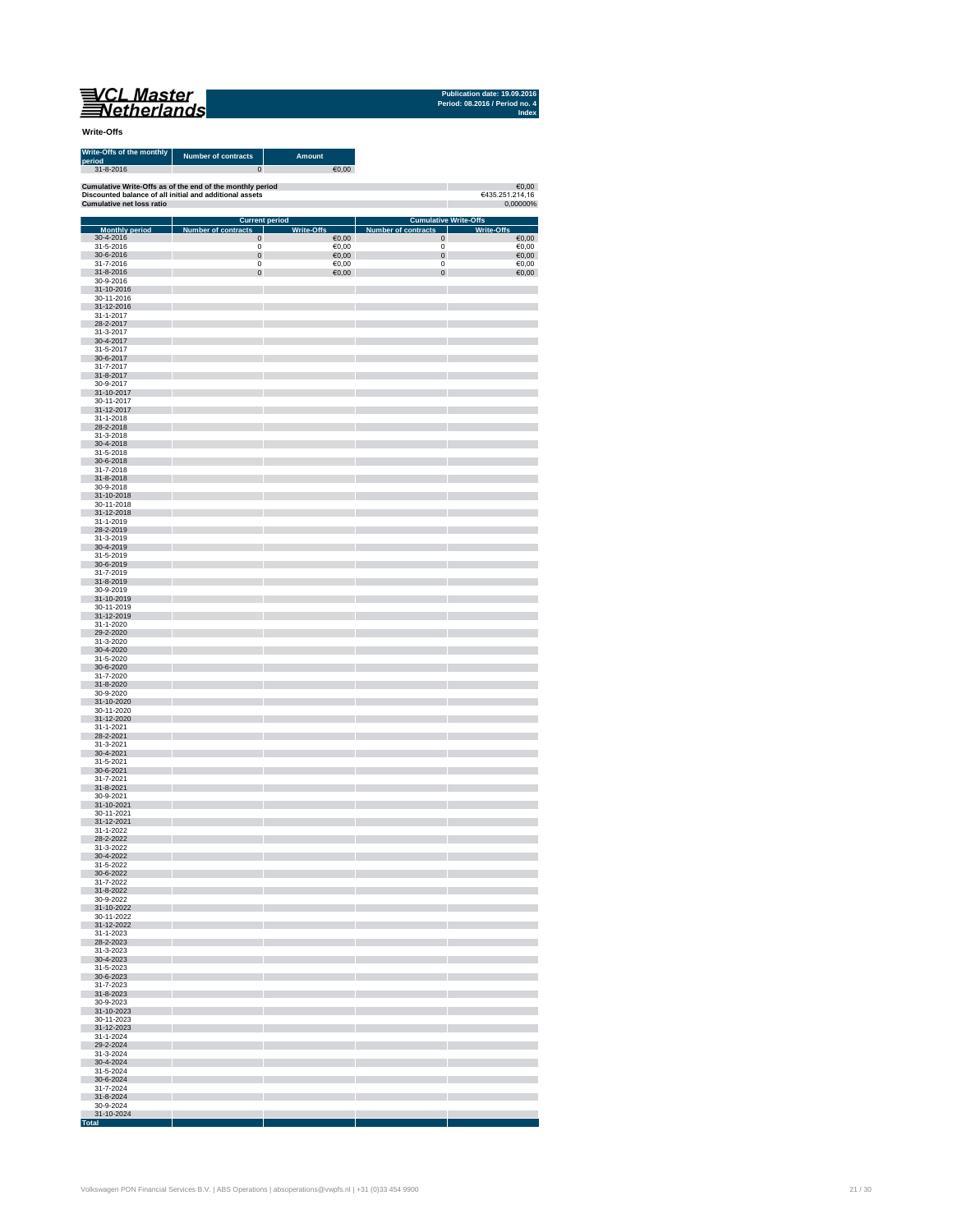| 'CL Master  |  |
|-------------|--|
| letherlands |  |

**Publication date: 19.09.201** 

| <b>Write-Offs</b>                                |                                                           |                        |                            |                              |
|--------------------------------------------------|-----------------------------------------------------------|------------------------|----------------------------|------------------------------|
| Write-Offs of the monthly<br>period<br>31-8-2016 | <b>Number of contracts</b><br>$\mathbf 0$                 | <b>Amount</b><br>€0,00 |                            |                              |
|                                                  | Cumulative Write-Offs as of the end of the monthly period |                        |                            | 60,00                        |
| <b>Cumulative net loss ratio</b>                 | Discounted balance of all initial and additional assets   |                        |                            | €435.251.214,16<br>0,00000%  |
|                                                  | <b>Current period</b>                                     |                        |                            | <b>Cumulative Write-Offs</b> |
| <b>Monthly period</b>                            | Number of contracts                                       | <b>Write-Offs</b>      | <b>Number of contracts</b> | <b>Write-Offs</b>            |
| 30-4-2016<br>31-5-2016                           | $\mathbf 0$<br>0                                          | €0,00<br>€0,00         | $\mathbf 0$<br>0           | $\epsilon$ 0,00<br>€0,00     |
| 30-6-2016                                        | $\mathbf 0$                                               | €0,00                  | $\pmb{0}$                  | €0,00                        |
| 31-7-2016<br>31-8-2016                           | 0<br>$\mathbf 0$                                          | €0,00<br>60,00         | 0<br>$\pmb{0}$             | €0,00<br>€0,00               |
| 30-9-2016                                        |                                                           |                        |                            |                              |
| 31-10-2016                                       |                                                           |                        |                            |                              |
| 30-11-2016<br>31-12-2016                         |                                                           |                        |                            |                              |
| 31-1-2017                                        |                                                           |                        |                            |                              |
| 28-2-2017<br>31-3-2017                           |                                                           |                        |                            |                              |
| 30-4-2017                                        |                                                           |                        |                            |                              |
| 31-5-2017<br>30-6-2017                           |                                                           |                        |                            |                              |
| 31-7-2017                                        |                                                           |                        |                            |                              |
| 31-8-2017<br>30-9-2017                           |                                                           |                        |                            |                              |
| 31-10-2017                                       |                                                           |                        |                            |                              |
| 30-11-2017                                       |                                                           |                        |                            |                              |
| 31-12-2017<br>31-1-2018                          |                                                           |                        |                            |                              |
| 28-2-2018                                        |                                                           |                        |                            |                              |
| 31-3-2018<br>30-4-2018                           |                                                           |                        |                            |                              |
| 31-5-2018                                        |                                                           |                        |                            |                              |
| 30-6-2018                                        |                                                           |                        |                            |                              |
| 31-7-2018<br>31-8-2018                           |                                                           |                        |                            |                              |
| 30-9-2018                                        |                                                           |                        |                            |                              |
| 31-10-2018<br>30-11-2018                         |                                                           |                        |                            |                              |
| 31-12-2018                                       |                                                           |                        |                            |                              |
| 31-1-2019                                        |                                                           |                        |                            |                              |
| 28-2-2019<br>31-3-2019                           |                                                           |                        |                            |                              |
| 30-4-2019                                        |                                                           |                        |                            |                              |
| 31-5-2019                                        |                                                           |                        |                            |                              |
| 30-6-2019<br>31-7-2019                           |                                                           |                        |                            |                              |
| 31-8-2019                                        |                                                           |                        |                            |                              |
| 30-9-2019<br>31-10-2019                          |                                                           |                        |                            |                              |
| 30-11-2019                                       |                                                           |                        |                            |                              |
| 31-12-2019                                       |                                                           |                        |                            |                              |
| 31-1-2020<br>29-2-2020                           |                                                           |                        |                            |                              |
| 31-3-2020                                        |                                                           |                        |                            |                              |
| 30-4-2020<br>31-5-2020                           |                                                           |                        |                            |                              |
| 30-6-2020                                        |                                                           |                        |                            |                              |
| 31-7-2020<br>31-8-2020                           |                                                           |                        |                            |                              |
| 30-9-2020                                        |                                                           |                        |                            |                              |
| 31-10-2020                                       |                                                           |                        |                            |                              |
| 30-11-2020<br>31-12-2020                         |                                                           |                        |                            |                              |
| 31-1-2021                                        |                                                           |                        |                            |                              |
| 28-2-2021<br>31-3-2021                           |                                                           |                        |                            |                              |
| 30-4-2021                                        |                                                           |                        |                            |                              |
| 31-5-2021                                        |                                                           |                        |                            |                              |
| 30-6-2021<br>31-7-2021                           |                                                           |                        |                            |                              |
| 31-8-2021                                        |                                                           |                        |                            |                              |
| 30-9-2021                                        |                                                           |                        |                            |                              |
| 31-10-2021<br>30-11-2021                         |                                                           |                        |                            |                              |
| 31-12-2021                                       |                                                           |                        |                            |                              |
| 31-1-2022<br>28-2-2022                           |                                                           |                        |                            |                              |
| 31-3-2022                                        |                                                           |                        |                            |                              |
| 30-4-2022                                        |                                                           |                        |                            |                              |
| 31-5-2022<br>30-6-2022                           |                                                           |                        |                            |                              |
| 31-7-2022                                        |                                                           |                        |                            |                              |
| 31-8-2022<br>30-9-2022                           |                                                           |                        |                            |                              |
| 31-10-2022                                       |                                                           |                        |                            |                              |
| 30-11-2022                                       |                                                           |                        |                            |                              |
| 31-12-2022<br>31-1-2023                          |                                                           |                        |                            |                              |
| 28-2-2023                                        |                                                           |                        |                            |                              |
| 31-3-2023<br>30-4-2023                           |                                                           |                        |                            |                              |
| 31-5-2023                                        |                                                           |                        |                            |                              |
| 30-6-2023                                        |                                                           |                        |                            |                              |
| 31-7-2023<br>31-8-2023                           |                                                           |                        | T                          |                              |
| 30-9-2023                                        |                                                           |                        |                            |                              |
| 31-10-2023                                       |                                                           |                        |                            |                              |
| 30-11-2023<br>31-12-2023                         |                                                           |                        |                            |                              |
| 31-1-2024                                        |                                                           |                        |                            |                              |
| 29-2-2024<br>31-3-2024                           |                                                           |                        |                            |                              |
| 30-4-2024                                        |                                                           |                        |                            |                              |
| 31-5-2024                                        |                                                           |                        |                            |                              |
| 30-6-2024<br>31-7-2024                           |                                                           |                        |                            |                              |
| 31-8-2024                                        |                                                           |                        |                            |                              |
| 30-9-2024                                        |                                                           |                        |                            |                              |

m li

m T

m n

**Total**

T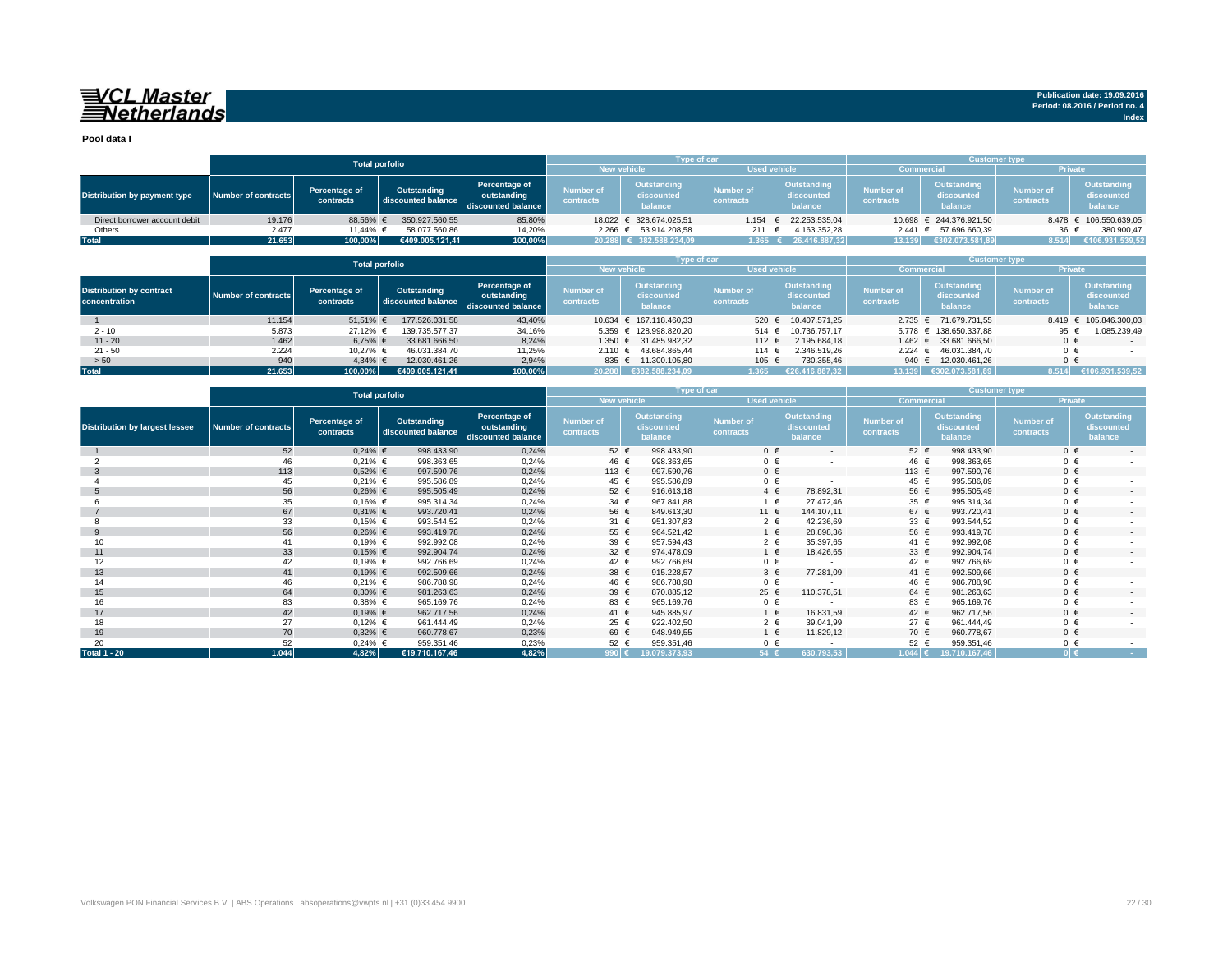## VCL Master<br>Netherlands

**Publication date: 19.09.2016 Period: 08.2016 / Period no. 4 Index**

**Pool data I**

|                                                  |                     |                            | <b>Total porfolio</b>             |                                                    |                               |                                      | Type of car                   |                                             | <b>Customer type</b>          |                                             |                               |                                             |  |  |
|--------------------------------------------------|---------------------|----------------------------|-----------------------------------|----------------------------------------------------|-------------------------------|--------------------------------------|-------------------------------|---------------------------------------------|-------------------------------|---------------------------------------------|-------------------------------|---------------------------------------------|--|--|
|                                                  |                     |                            |                                   |                                                    |                               | <b>New vehicle</b>                   |                               | <b>Used vehicle</b>                         |                               | <b>Commercial</b>                           | <b>Private</b>                |                                             |  |  |
| <b>Distribution by payment type</b>              | Number of contracts | Percentage of<br>contracts | Outstanding<br>discounted balance | Percentage of<br>outstanding<br>discounted balance | <b>Number of</b><br>contracts | Outstanding<br>discounted<br>balance | <b>Number of</b><br>contracts | Outstanding<br>discounted<br>balance        | <b>Number of</b><br>contracts | <b>Outstanding</b><br>discounted<br>balance | <b>Number of</b><br>contracts | Outstanding<br>discounted<br>balance        |  |  |
| Direct borrower account debit                    | 19.176              | 88,56%                     | 350.927.560,55                    | 85,80%                                             | 18.022 $∈$                    | 328.674.025.51                       | 1.154                         | 22.253.535,04                               | 10.698                        | € 244.376.921.50                            | 8.478                         | 106.550.639,05                              |  |  |
| Others                                           | 2.477               | 11,44%                     | 58.077.560,86                     | 14,20%                                             |                               | 2.266 € 53.914.208,58                | 211                           | 4.163.352.28<br>€                           | $2.441 \in$                   | 57.696.660.39                               | 36 €                          | 380.900,47                                  |  |  |
| <b>Total</b>                                     | 21.653              | 100,00%                    | €409.005.121.41                   | 100,00%                                            |                               | 20.288 € 382.588.234.09              | 1.365 $\epsilon$              | 26.416.887.32                               | 13.139                        | €302.073.581.89                             | 8.514                         | €106.931.539,52                             |  |  |
|                                                  |                     |                            |                                   |                                                    |                               |                                      |                               |                                             |                               |                                             |                               |                                             |  |  |
|                                                  |                     |                            | <b>Total porfolio</b>             |                                                    |                               |                                      | <b>Type of car</b>            |                                             |                               | <b>Customer type</b>                        |                               |                                             |  |  |
|                                                  |                     |                            |                                   |                                                    |                               | <b>New vehicle</b>                   | <b>Used vehicle</b>           |                                             |                               | <b>Commercia</b>                            | Private                       |                                             |  |  |
| <b>Distribution by contract</b><br>concentration | Number of contracts | Percentage of<br>contracts | Outstanding<br>discounted balance | Percentage of<br>outstanding<br>discounted balance | <b>Number of</b><br>contracts | Outstanding<br>discounted<br>balance | <b>Number of</b><br>contracts | <b>Outstanding</b><br>discounted<br>balance | <b>Number of</b><br>contracts | Outstanding<br>discounted<br>balance        | <b>Number of</b><br>contracts | <b>Outstanding</b><br>discounted<br>balance |  |  |
|                                                  | 11.154              | 51,51%                     | 177,526,031,58                    | 43.40%                                             | 10.634                        | $6$ 167.118.460.33                   | 520                           | 10.407.571.25                               | 2.735 ∈                       | 71.679.731.55                               | 8.419                         | 105.846.300.03<br>$\epsilon$                |  |  |
| $2 - 10$                                         | 5.873               | 27,12% €                   | 139.735.577.37                    | 34,16%                                             |                               | 5.359 € 128.998.820,20               | 514 $\in$                     | 10.736.757.17                               |                               | 5.778 € 138.650.337,88                      | 95 €                          | .085.239,49                                 |  |  |
| $11 - 20$                                        | 1.462               | 6,75% €                    | 33.681.666,50                     | 8.24%                                              | $1.350 \in$                   | 31.485.982,32                        | 112 $\epsilon$                | 2.195.684.18                                | 1.462 $∈$                     | 33.681.666.50                               | $0 \in$                       |                                             |  |  |
| $21 - 50$                                        | 2.224               | 10,27% €                   | 46.031.384,70                     | 11,25%                                             | 2.110 ∈                       | 43.684.865.44                        | 114 $∈$                       | 2.346.519.26                                | 2.224 ∈                       | 46.031.384.70                               | $0 \in$                       |                                             |  |  |
| > 50                                             | 940                 | 4,34% €                    | 12.030.461,26                     | 2,94%                                              | 835 €                         | 11.300.105.80                        | 105 €                         | 730.355,46                                  | 940 €                         | 12.030.461.26                               | $0 \in$                       |                                             |  |  |
| <b>Total</b>                                     | 21.653              | 100,00%                    | €409.005.121.41                   | 100,00%                                            | 20.288                        | €382.588.234.09                      | 1.365                         | €26.416.887.32                              | 13.139                        | €302.073.581.89                             | 8.514                         | €106.931.539,52                             |  |  |

|                                       |                            | <b>Total porfolio</b>      |                                   |                                                    |                               |                                      | <b>Type of car</b>            | Customer type,                              |                               |                                             |                               |                                      |  |  |
|---------------------------------------|----------------------------|----------------------------|-----------------------------------|----------------------------------------------------|-------------------------------|--------------------------------------|-------------------------------|---------------------------------------------|-------------------------------|---------------------------------------------|-------------------------------|--------------------------------------|--|--|
|                                       |                            |                            |                                   |                                                    | New vehicle                   |                                      | <b>Used vehicle</b>           |                                             | <b>Commercial</b>             |                                             | <b>Private</b>                |                                      |  |  |
| <b>Distribution by largest lessee</b> | <b>Number of contracts</b> | Percentage of<br>contracts | Outstanding<br>discounted balance | Percentage of<br>outstanding<br>discounted balance | <b>Number of</b><br>contracts | Outstanding<br>discounted<br>balance | <b>Number of</b><br>contracts | <b>Outstanding</b><br>discounted<br>balance | <b>Number of</b><br>contracts | <b>Outstanding</b><br>discounted<br>balance | <b>Number of</b><br>contracts | Outstanding<br>discounted<br>balance |  |  |
|                                       | 52                         | $0,24%$ €                  | 998.433,90                        | 0,24%                                              | $52 \in$                      | 998.433,90                           | $0 \in$                       | $\sim$                                      | $52 \epsilon$                 | 998.433,90                                  | $0 \in$                       | $\sim$                               |  |  |
|                                       | 46                         | $0,21%$ €                  | 998.363,65                        | 0,24%                                              | 46 €                          | 998.363,65                           | $0 \in$                       |                                             | 46 €                          | 998.363,65                                  | $0 \in$                       |                                      |  |  |
|                                       | 113                        | $0,52%$ €                  | 997.590,76                        | 0,24%                                              | 113 €                         | 997.590,76                           | $0 \in$                       | $\sim$                                      | 113 $\epsilon$                | 997.590,76                                  | $0 \in$                       | $\sim$                               |  |  |
|                                       | 45                         | $0,21%$ €                  | 995.586,89                        | 0,24%                                              | 45 €                          | 995.586,89                           | $0 \in$                       |                                             | 45 €                          | 995.586,89                                  | 0 €                           |                                      |  |  |
|                                       | 56                         | $0,26%$ €                  | 995.505,49                        | 0,24%                                              | $52 \in$                      | 916.613,18                           | $4 \in$                       | 78.892,31                                   | 56 €                          | 995.505,49                                  | $0 \in$                       | $\sim$                               |  |  |
|                                       | 35                         | $0,16%$ €                  | 995.314,34                        | 0,24%                                              | 34 $\in$                      | 967.841,88                           | $1 \in$                       | 27.472,46                                   | 35 $\epsilon$                 | 995.314,34                                  | $0 \in$                       |                                      |  |  |
|                                       | 67                         | $0,31%$ €                  | 993.720,41                        | 0,24%                                              | 56 €                          | 849.613,30                           | 11 €                          | 144.107,11                                  | 67 €                          | 993.720,41                                  | $0 \in$                       | $\sim$                               |  |  |
|                                       | 33                         | $0,15%$ €                  | 993.544,52                        | 0,24%                                              | 31 $\epsilon$                 | 951.307,83                           | $2 \in$                       | 42.236,69                                   | 33 $\epsilon$                 | 993.544,52                                  | 0 €                           |                                      |  |  |
| -9                                    | 56                         | $0,26%$ €                  | 993.419,78                        | 0,24%                                              | $55 \in$                      | 964.521,42                           | $1 \in$                       | 28.898,36                                   | 56 €                          | 993.419,78                                  | $0 \in$                       | $\sim$                               |  |  |
| 10 <sup>1</sup>                       | 41                         | $0,19%$ €                  | 992.992.08                        | 0,24%                                              | 39 $\in$                      | 957.594,43                           | $2 \in$                       | 35.397,65                                   | 41 €                          | 992.992.08                                  | $0 \in$                       |                                      |  |  |
| 11                                    | 33                         | $0,15%$ €                  | 992.904,74                        | 0,24%                                              | 32 $\epsilon$                 | 974.478,09                           | $1 \in$                       | 18.426,65                                   | 33 $\epsilon$                 | 992.904,74                                  | $0 \in$                       | $\sim$                               |  |  |
| 12                                    | 42                         | $0,19%$ €                  | 992.766,69                        | 0,24%                                              | 42 €                          | 992.766,69                           | $0 \in$                       |                                             | 42 €                          | 992.766,69                                  | 0 €                           |                                      |  |  |
| 13                                    | 41                         | $0,19%$ €                  | 992.509,66                        | 0,24%                                              | 38 $\epsilon$                 | 915.228,57                           | $3 \in$                       | 77.281,09                                   | 41 $\in$                      | 992.509,66                                  | $0 \in$                       | $\sim$                               |  |  |
| 14                                    | 46                         | $0,21%$ €                  | 986,788.98                        | 0,24%                                              | 46 €                          | 986.788,98                           | $0 \in$                       |                                             | 46 €                          | 986,788.98                                  | $0 \in$                       |                                      |  |  |
| 15                                    | 64                         | $0,30%$ €                  | 981.263,63                        | 0,24%                                              | 39 $\epsilon$                 | 870.885,12                           | 25 €                          | 110.378,51                                  | 64 €                          | 981.263,63                                  | $0 \in$                       |                                      |  |  |
| 16                                    | 83                         | $0,38%$ €                  | 965.169,76                        | 0,24%                                              | 83 €                          | 965.169,76                           | $0 \in$                       |                                             | 83 €                          | 965.169,76                                  | $0 \in$                       |                                      |  |  |
| 17                                    | 42                         | $0,19%$ €                  | 962.717.56                        | 0,24%                                              | 41 $\in$                      | 945.885.97                           | $1 \in$                       | 16.831.59                                   | 42 $\in$                      | 962.717.56                                  | $0 \in$                       | $\sim$                               |  |  |
| 18                                    | 27                         | $0,12%$ €                  | 961.444,49                        | 0,24%                                              | 25 €                          | 922.402,50                           | $2 \in$                       | 39.041,99                                   | 27 $\epsilon$                 | 961.444,49                                  | $0 \in$                       |                                      |  |  |
| 19                                    | 70                         | $0,32%$ €                  | 960.778,67                        | 0,23%                                              | 69 €                          | 948.949,55                           | $1 \in$                       | 11.829,12                                   | 70 €                          | 960.778,67                                  | $0 \in$                       | $\sim$                               |  |  |
| 20                                    | 52                         | $0,24%$ €                  | 959.351,46                        | 0,23%                                              | $52 \in$                      | 959.351,46                           | $0 \in$                       |                                             | 52 €                          | 959.351,46                                  | $0 \in$                       |                                      |  |  |
| <b>Total 1 - 20</b>                   | 1.044                      | 4,82%                      | €19.710.167,46                    | 4,82%                                              | 990 $\epsilon$                | 19.079.373,93                        | 54 €                          | 630.793,53                                  | $1.044$ €                     | 19.710.167,46                               | 0 <sub>0</sub>                | <b>Contractor</b>                    |  |  |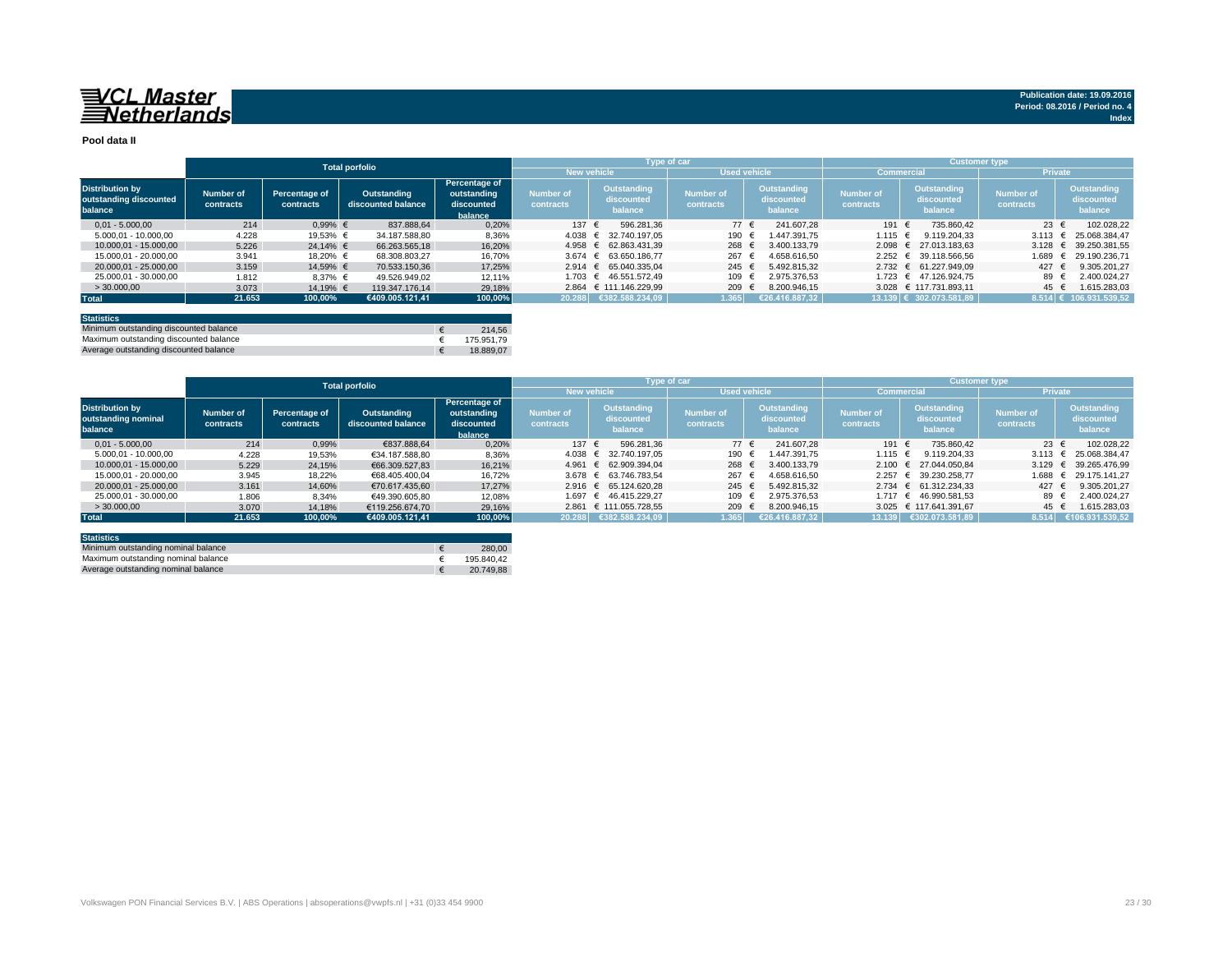## VCL Master<br>Netherlands

**Pool data II**

|                                                             |                        |                            | <b>Total porfolio</b>             |                                                       |                                           |                                      | Type of car                   |                                      | <b>Customer type</b>                |                                      |                               |                                      |  |  |
|-------------------------------------------------------------|------------------------|----------------------------|-----------------------------------|-------------------------------------------------------|-------------------------------------------|--------------------------------------|-------------------------------|--------------------------------------|-------------------------------------|--------------------------------------|-------------------------------|--------------------------------------|--|--|
|                                                             |                        |                            |                                   |                                                       | <b>New vehicle</b><br><b>Used vehicle</b> |                                      |                               |                                      | <b>Private</b><br><b>Commercial</b> |                                      |                               |                                      |  |  |
| <b>Distribution by</b><br>outstanding discounted<br>balance | Number of<br>contracts | Percentage of<br>contracts | Outstanding<br>discounted balance | Percentage of<br>outstanding<br>discounted<br>balance | <b>Number of</b><br>contracts             | Outstanding<br>discounted<br>balance | <b>Number of</b><br>contracts | Outstanding<br>discounted<br>balance | <b>Number of</b><br>contracts       | Outstanding<br>discounted<br>balance | <b>Number of</b><br>contracts | Outstanding<br>discounted<br>balance |  |  |
| $0.01 - 5.000.00$                                           | 214                    | $0.99%$ €                  | 837.888.64                        | 0.20%                                                 | 137 $\epsilon$                            | 596.281.36                           | 77 €                          | 241.607.28                           | 191 €                               | 735.860.42                           | 23 $\epsilon$                 | 102.028.22                           |  |  |
| 5.000.01 - 10.000.00                                        | 4.228                  | 19,53% €                   | 34.187.588.80                     | 8,36%                                                 | 4.038 ∈                                   | 32.740.197.05                        | 190                           | 1.447.391.75                         | 1.115 $∈$                           | 9.119.204.33                         | 3.113                         | 25.068.384.47                        |  |  |
| 10.000.01 - 15.000.00                                       | 5.226                  | 24.14% €                   | 66.263.565.18                     | 16.20%                                                | 4.958 $∈$                                 | 62.863.431.39                        | 268                           | 3.400.133.79                         |                                     | 2.098 € 27.013.183.63                |                               | 3.128 € 39.250.381.55                |  |  |
| 15.000.01 - 20.000.00                                       | 3.941                  | 18.20% €                   | 68.308.803.27                     | 16,70%                                                |                                           | 3.674 € 63.650.186.77                | 267                           | 4.658.616.50                         |                                     | 2.252 € 39.118.566.56                | 1.689                         | 29.190.236.71                        |  |  |
| 20.000.01 - 25.000.00                                       | 3.159                  | 14.59% €                   | 70.533.150.36                     | 17.25%                                                |                                           | 2.914 € 65.040.335.04                | 245 $\in$                     | 5.492.815.32                         |                                     | 2.732 € 61.227.949.09                | 427 $\in$                     | 9.305.201.27                         |  |  |
| 25.000.01 - 30.000.00                                       | 1.812                  | $8.37%$ €                  | 49.526.949.02                     | 12.11%                                                | 1.703 €                                   | 46.551.572.49                        | 109                           | 2.975.376.53                         |                                     | 1.723 € 47.126.924.75                | 89                            | 2.400.024.27                         |  |  |
| >30.000,00                                                  | 3.073                  | 14.19% €                   | 119.347.176.14                    | 29.18%                                                |                                           | 2.864 € 111.146.229.99               | 209                           | 8.200.946.15                         |                                     | 3.028 € 117.731.893.11               | 45 €                          | 1.615.283.03                         |  |  |
| <b>Total</b>                                                | 21.653                 | 100,00%                    | €409.005.121.41                   | 100,00%                                               | 20.288                                    | €382.588.234.09                      | 1.365                         | €26.416.887.32                       |                                     | 13.139 € 302.073.581.89              |                               | $8.514$ € 106.931.539.52             |  |  |
|                                                             |                        |                            |                                   |                                                       |                                           |                                      |                               |                                      |                                     |                                      |                               |                                      |  |  |

| <b>Statistics</b>                      |            |
|----------------------------------------|------------|
| Minimum outstanding discounted balance | 214.56     |
| Maximum outstanding discounted balance | 175.951.79 |
| Average outstanding discounted balance | 18.889.07  |

|                                                          |                        |                            | <b>Total porfolio</b>             |                                                       | <b>Customer type</b><br>Type of car |                                      |                               |                                      |                                     |                                      |                               |                                      |  |  |
|----------------------------------------------------------|------------------------|----------------------------|-----------------------------------|-------------------------------------------------------|-------------------------------------|--------------------------------------|-------------------------------|--------------------------------------|-------------------------------------|--------------------------------------|-------------------------------|--------------------------------------|--|--|
|                                                          |                        |                            |                                   |                                                       |                                     | <b>New vehicle</b>                   | <b>Used vehicle</b>           |                                      | <b>Private</b><br><b>Commercial</b> |                                      |                               |                                      |  |  |
| <b>Distribution by</b><br>outstanding nominal<br>balance | Number of<br>contracts | Percentage of<br>contracts | Outstanding<br>discounted balance | Percentage of<br>outstanding<br>discounted<br>balance | <b>Number of</b><br>contracts       | Outstanding<br>discounted<br>balance | <b>Number of</b><br>contracts | Outstanding<br>discounted<br>balance | <b>Number of</b><br>contracts       | Outstanding<br>discounted<br>balance | <b>Number of</b><br>contracts | Outstanding<br>discounted<br>balance |  |  |
| $0.01 - 5.000.00$                                        | 214                    | 0.99%                      | €837,888,64                       | 0.20%                                                 | 137 €                               | 596.281.36                           | 77 €                          | 241.607.28                           | 191 €                               | 735.860.42                           | 23 $\epsilon$                 | 102.028.22                           |  |  |
| 5.000.01 - 10.000.00                                     | 4.228                  | 19.53%                     | €34.187.588.80                    | 8,36%                                                 |                                     | 4.038 € 32.740.197.05                | 190                           | 1.447.391.75                         | 1.115 €                             | 9.119.204.33                         | 3.113 $\epsilon$              | 25.068.384.47                        |  |  |
| 10.000.01 - 15.000.00                                    | 5.229                  | 24,15%                     | €66,309,527,83                    | 16.21%                                                |                                     | 4.961 € 62.909.394.04                | 268                           | 3.400.133.79                         |                                     | 2.100 € 27.044.050.84                | 3.129 $\in$                   | 39.265.476.99                        |  |  |
| 15.000.01 - 20.000.00                                    | 3.945                  | 18,22%                     | €68.405.400.04                    | 16.72%                                                |                                     | 3.678 € 63.746.783.54                | 267                           | 4.658.616.50                         |                                     | 2.257 € 39.230.258.77                | 1.688                         | 29.175.141.27                        |  |  |
| 20.000.01 - 25.000.00                                    | 3.161                  | 14.60%                     | €70.617.435.60                    | 17.27%                                                |                                     | 2.916 € 65.124.620.28                | 245 $\in$                     | 5.492.815.32                         |                                     | $2.734 \in 61.312.234.33$            | 427                           | 9.305.201.27                         |  |  |
| 25.000.01 - 30.000.00                                    | 1.806                  | 8,34%                      | €49.390.605.80                    | 12,08%                                                |                                     | 1.697 € 46.415.229.27                | 109                           | 2.975.376.53                         |                                     | 1.717 € 46.990.581.53                | 89                            | 2.400.024.27                         |  |  |
| >30.000,00                                               | 3.070                  | 14,18%                     | €119.256.674.70                   | 29.16%                                                |                                     | 2.861 € 111.055.728,55               | 209                           | 8.200.946.15                         |                                     | 3.025 € 117.641.391.67               | 45 $\in$                      | 1.615.283.03                         |  |  |
| <b>Total</b>                                             | 21.653                 | 100.00%                    | €409.005.121.41                   | 100,00%                                               | 20.288                              | 6382.588.234.09                      | 1.365                         | €26.416.887.32                       | 13.139                              | €302.073.581.89                      | 8.514                         | €106.931.539,52                      |  |  |

| <b>Statistics</b>                   |            |
|-------------------------------------|------------|
| Minimum outstanding nominal balance | 280.00     |
| Maximum outstanding nominal balance | 195.840.42 |
| Average outstanding nominal balance | 20.749.88  |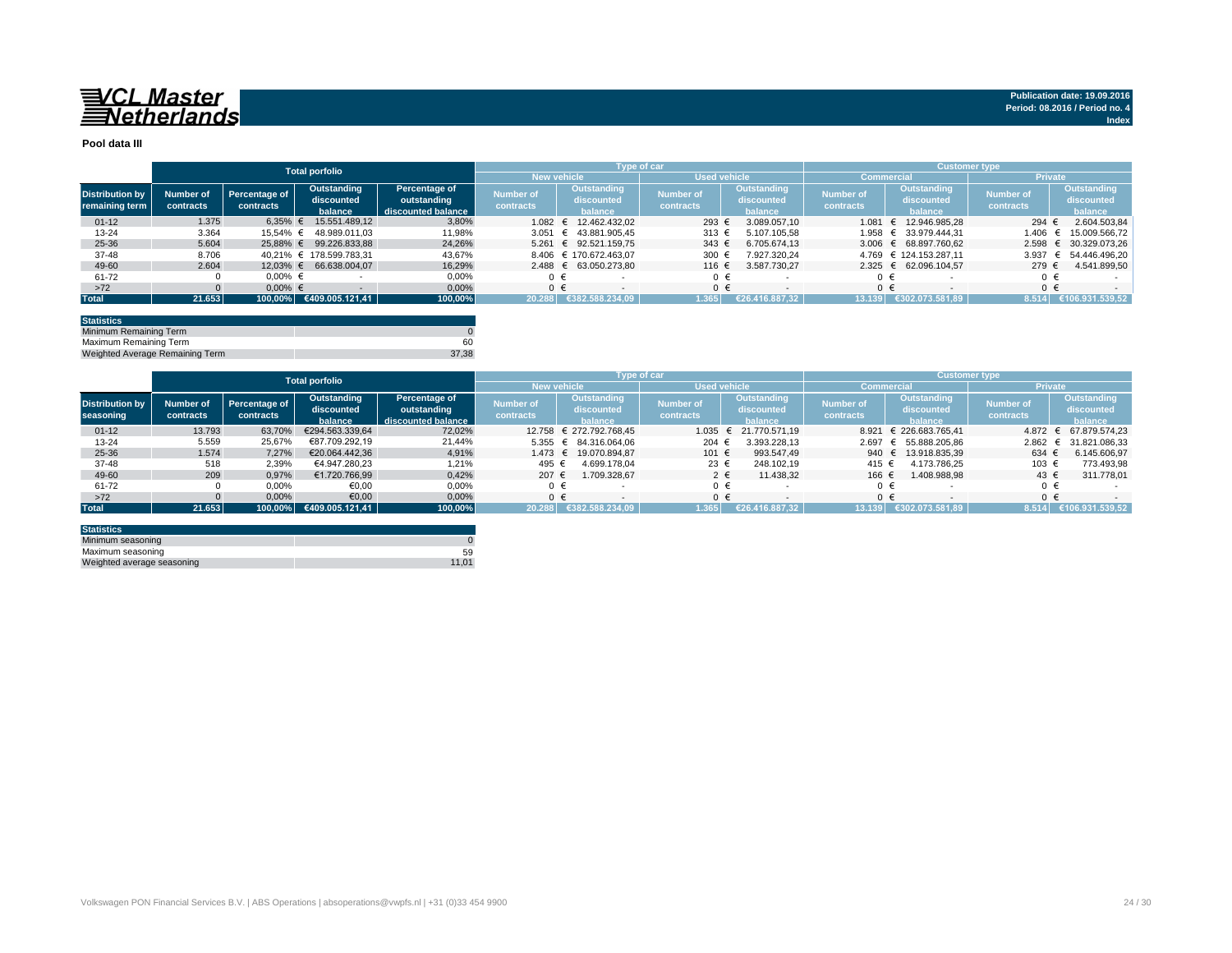## VCL Master<br>ENetherlands

**Pool data III**

|                        |           |               | <b>Total porfolio</b>   |                    |                                    | Type of car |                          |           |         |                                     |                  |         | <b>Customer type</b>   |  |                  |            |                       |  |
|------------------------|-----------|---------------|-------------------------|--------------------|------------------------------------|-------------|--------------------------|-----------|---------|-------------------------------------|------------------|---------|------------------------|--|------------------|------------|-----------------------|--|
|                        |           |               |                         |                    | Used vehicle<br><b>New vehicle</b> |             |                          |           |         | <b>Commercial</b><br><b>Private</b> |                  |         |                        |  |                  |            |                       |  |
| <b>Distribution by</b> | Number of | Percentage of | Outstanding             | Percentage of      | <b>Number of</b>                   |             | Outstanding              | Number of |         | Outstanding                         | <b>Number of</b> |         | Outstanding            |  | <b>Number of</b> |            | Outstanding           |  |
| remaining term         | contracts | contracts     | discounted              | outstanding        | contracts                          |             | discounted               | contracts |         | discounted                          | contracts        |         | discounted             |  | contracts        |            | discounted            |  |
|                        |           |               | balance                 | discounted balance |                                    |             | balance                  |           |         | balance                             |                  |         | balance                |  |                  |            | balance               |  |
| $01 - 12$              | 1.375     | $6.35\%$ €    | 15.551.489.12           | 3,80%              |                                    |             | 1.082 € 12.462.432.02    | 293 €     |         | 3.089.057.10                        |                  | 1.081   | € 12.946.985.28        |  | 294 €            |            | 2.604.503,84          |  |
| 13-24                  | 3.364     | 15.54% €      | 48.989.011.03           | 11,98%             | 3.051                              |             | € 43.881.905.45          | 313 €     |         | 5.107.105.58                        |                  |         | 1.958 € 33.979.444,31  |  | 1.406            |            | 15.009.566,72         |  |
| 25-36                  | 5.604     |               | 25,88% € 99.226.833,88  | 24,26%             |                                    |             | 5.261 € 92.521.159.75    | $343 \in$ |         | 6.705.674.13                        |                  |         | 3.006 € 68.897.760.62  |  | 2.598            |            | € 30.329.073.26       |  |
| $37 - 48$              | 8.706     |               | 40.21% € 178.599.783.31 | 43,67%             |                                    |             | 8.406 € 170.672.463.07   | 300 €     |         | 7.927.320.24                        |                  |         | 4.769 € 124.153.287.11 |  | 3.937            | $\epsilon$ | 54.446.496.20         |  |
| 49-60                  | 2.604     |               | 12,03% € 66.638.004,07  | 16,29%             |                                    |             | 2.488 € 63.050.273,80    | 116 €     |         | 3.587.730.27                        |                  |         | 2.325 € 62.096.104,57  |  | 279€             |            | 4.541.899,50          |  |
| 61-72                  |           | $0.00\%$ €    |                         | 0.00%              |                                    |             | $\overline{\phantom{a}}$ |           | $0 \in$ |                                     |                  | 0 €     |                        |  | $\Omega$         |            |                       |  |
| >72                    |           | $0.00\%$ €    |                         | 0.00%              |                                    | $0 \in$     |                          |           | $0 \in$ | $\overline{\phantom{a}}$            |                  | $0 \in$ |                        |  | $0 \in$          |            |                       |  |
| <b>Total</b>           | 21.653    |               | 100,00% €409.005.121,41 | 100,00%            |                                    |             | 20.288 €382.588.234,09   | 1.365     |         | €26.416.887.32                      |                  | 13.139  | €302.073.581.89        |  |                  |            | 8.514 €106.931.539,52 |  |
|                        |           |               |                         |                    |                                    |             |                          |           |         |                                     |                  |         |                        |  |                  |            |                       |  |

| <b>Statistics</b>               |       |
|---------------------------------|-------|
| Minimum Remaining Term          |       |
| Maximum Remaining Term          | 60    |
| Weighted Average Remaining Term | 37.38 |

|                        |           |               | <b>Total porfolio</b> |                    |                    |                         | <b>Type of car</b>  |                          | <b>Customer type</b> |                        |                  |                       |  |  |
|------------------------|-----------|---------------|-----------------------|--------------------|--------------------|-------------------------|---------------------|--------------------------|----------------------|------------------------|------------------|-----------------------|--|--|
|                        |           |               |                       |                    | <b>New vehicle</b> |                         | <b>Used vehicle</b> |                          | <b>Commercial</b>    |                        |                  | <b>Private</b>        |  |  |
| <b>Distribution by</b> | Number of | Percentage of | Outstanding           | Percentage of      | <b>Number of</b>   | Outstanding             | <b>Number of</b>    | Outstanding              | <b>Number of</b>     | Outstanding            | <b>Number of</b> | Outstanding           |  |  |
|                        | contracts | contracts     | discounted            | outstanding        | contracts          | discounted              | contracts           | discounted               | contracts            | discounted             | contracts        | discounted            |  |  |
| seasoning              |           |               | balance               | discounted balance |                    | <b>balance</b>          |                     | <b>halance</b>           |                      | halance                |                  | halance               |  |  |
| $01 - 12$              | 13.793    | 63.70%        | €294.563.339.64       | 72.02%             |                    | 12.758 € 272.792.768.45 | 1.035               | $\epsilon$ 21.770.571.19 |                      | 8.921 € 226.683.765.41 | $4.872 \in$      | 67.879.574.23         |  |  |
| $13 - 24$              | 5.559     | 25,67%        | €87.709.292.19        | 21.44%             |                    | 5.355 € 84.316.064.06   | 204                 | 3.393.228.13             |                      | 2.697 € 55.888.205.86  |                  | 2.862 € 31.821.086,33 |  |  |
| 25-36                  | 1.574     | 7.27%         | €20.064.442.36        | 4.91%              |                    | 1.473 € 19.070.894.87   | 101 €               | 993.547.49               | 940                  | € 13.918.835.39        | 634 €            | 6.145.606,97          |  |  |
| 37-48                  | 518       | 2,39%         | €4.947.280.23         | 1,21%              | 495 €              | 4.699.178.04            | 23 €                | 248.102.19               | 415 €                | 4.173.786.25           | 103 €            | 773.493,98            |  |  |
| 49-60                  | 209       | 0.97%         | €1.720.766.99         | 0.42%              | 207 €              | 1.709.328.67            | $2 \epsilon$        | 11.438.32                | 166 €                | 1.408.988.98           | $43 \epsilon$    | 311.778,01            |  |  |
| 61-72                  |           | 0,00%         | €0,00                 | 0.00%              | $0 \in$            |                         | ∩ €                 |                          | $0 \in$              |                        | $\Omega$         |                       |  |  |
| $>72$                  |           | 0,00%         | 0.09                  | 0,00%              | $0 \in$            | $\sim$                  | ∩ €                 | $\overline{\phantom{0}}$ | $0 \in$              |                        | $\Omega$         | $\sim$                |  |  |
| <b>Total</b>           | 21.653    | 100.00%       | €409.005.121.41       | 100.00%            | 20.288             | €382.588.234.09         | 1.365               | €26.416.887.32           | 13.139               | €302.073.581.89        | 8.514            | €106.931.539.52       |  |  |

| <b>Statistics</b>          |       |
|----------------------------|-------|
| Minimum seasoning          |       |
| Maximum seasoning          | 59    |
| Weighted average seasoning | 11.01 |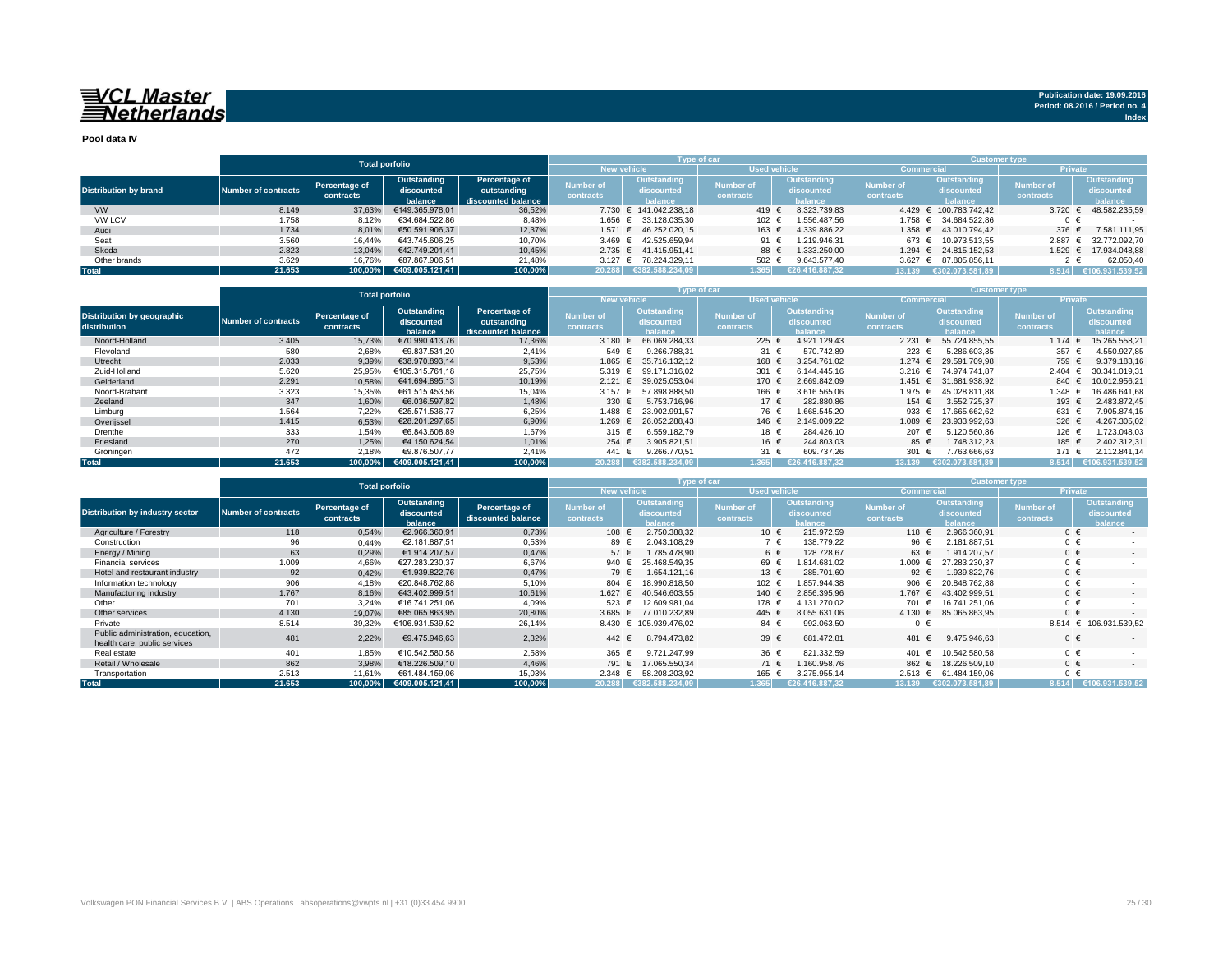## VCL Master<br>ENetherlands

**Publication date: 19.09.2016 Period: 08.2016 / Period no. 4 Index**

**Pool data IV**

|                              |                     |               | <b>Total porfolio</b>      |                    |                    | Type of car            |                     |                |                  | <b>Customer type</b>   |                  |                 |
|------------------------------|---------------------|---------------|----------------------------|--------------------|--------------------|------------------------|---------------------|----------------|------------------|------------------------|------------------|-----------------|
|                              |                     |               |                            |                    | <b>New vehicle</b> |                        | <b>Used vehicle</b> |                | Commercia        |                        | <b>Private</b>   |                 |
|                              |                     | Percentage of | Outstanding                | Percentage of      | Number of          | Outstanding            | <b>Number of</b>    | Outstanding    | <b>Number of</b> | Outstanding            | <b>Number of</b> | Outstanding     |
| <b>Distribution by brand</b> | Number of contracts |               | discounted                 | outstanding        |                    | discounted             |                     | discounted     |                  | discounted             |                  | discounted      |
|                              |                     | contracts     | balance.                   | discounted balance | contracts          | halance                | contracts           | balance        | contracts        | balance                | contracts        | balance         |
| <b>VW</b>                    | 8.149               | 37,63%        | €149.365.978.01            | 36,52%             |                    | 7.730 € 141.042.238.18 | 419 €               | 8.323.739.83   |                  | 4.429 € 100.783.742.42 | 3.720            | 48.582.235.59   |
| VW LCV                       | 1.758               | 8,12%         | €34.684.522.86             | 8,48%              |                    | 1.656 € 33.128.035,30  | 102 €               | .556.487.56    |                  | 1.758 € 34.684.522,86  |                  |                 |
| Audi                         | 1.734               | 8,01%         | €50.591.906.37             | 12,37%             | $1.571$ €          | 46.252.020.15          | 163 €               | 4.339.886.22   | 1.358 €          | 43.010.794.42          | 376 €            | 7.581.111,95    |
| Seat                         | 3.560               | 16,44%        | €43.745.606.25             | 10,70%             |                    | 3.469 € 42.525.659.94  | 91 €                | .219.946.31    | 673 €            | 10.973.513.55          | 2.887            | 32.772.092.70   |
| Skoda                        | 2.823               | 13.04%        | €42.749.201.41             | 10,45%             |                    | 2.735 € 41.415.951.41  | 88 €                | .333.250.00    |                  | 1.294 € 24.815.152.53  | 1.529            | € 17.934.048,88 |
| Other brands                 | 3.629               | 16.76%        | €87.867.906.51             | 21,48%             |                    | 3.127 € 78.224.329.11  | 502 $\epsilon$      | 9.643.577.40   | 3.627 $\in$      | 87.805.856.11          |                  | 62.050,40       |
| <b>Total</b>                 | 21.653              |               | $100,00\%$ €409.005.121,41 | 100,00%            |                    | 20.288 €382.588.234.09 | 1.365               | €26.416.887.32 | 13.139           | €302.073.581.89        | 8.514            | €106.931.539,52 |

|                                            |                            | <b>Total porfolio</b>      |                                      |                                                    |                               |                                             | <b>Type of car</b>            |                                             |                               | <b>Customer type</b>                 |                               |                                             |
|--------------------------------------------|----------------------------|----------------------------|--------------------------------------|----------------------------------------------------|-------------------------------|---------------------------------------------|-------------------------------|---------------------------------------------|-------------------------------|--------------------------------------|-------------------------------|---------------------------------------------|
|                                            |                            |                            |                                      |                                                    | <b>New vehicle</b>            |                                             | <b>Used vehicle</b>           |                                             | Commercia                     |                                      | <b>Private</b>                |                                             |
| Distribution by geographic<br>distribution | <b>Number of contracts</b> | Percentage of<br>contracts | Outstanding<br>discounted<br>balance | Percentage of<br>outstanding<br>discounted balance | <b>Number of</b><br>contracts | <b>Outstanding</b><br>discounted<br>halance | <b>Number of</b><br>contracts | <b>Outstanding</b><br>discounted<br>balance | <b>Number of</b><br>contracts | Outstanding<br>discounted<br>halance | <b>Number of</b><br>contracts | <b>Outstanding</b><br>discounted<br>balance |
| Noord-Holland                              | 3.405                      | 15,73%                     | €70.990.413.76                       | 17,36%                                             | 3.180 $\in$                   | 66.069.284.33                               | 225 $\in$                     | 4.921.129.43                                | 2.231                         | 55.724.855.55                        | 1.174                         | 15.265.558.21                               |
| Flevoland                                  | 580                        | 2,68%                      | €9.837.531.20                        | 2,41%                                              | 549 $∈$                       | 9.266.788.31                                | 31 €                          | 570.742.89                                  | 223                           | 5.286.603.35                         | 357                           | 4.550.927.85                                |
| Utrecht                                    | 2.033                      | 9,39%                      | €38.970.893.14                       | 9,53%                                              | 1.865 €                       | 35.716.132.12                               | 168 €                         | 3.254.761.02                                | 1.274 €                       | 29.591.709.98                        | 759 €                         | 9.379.183,16                                |
| Zuid-Holland                               | 5.620                      | 25.95%                     | €105.315.761.18                      | 25,75%                                             | $5.319$ €                     | 99.171.316.02                               | 301                           | 6.144.445.16                                | $3.216$ €                     | 74.974.741.87                        | 2.404                         | 30.341.019.31                               |
| Gelderland                                 | 2.291                      | 10,58%                     | €41.694.895.13                       | 10,19%                                             | 2.121 ∈                       | 39.025.053.04                               | 170 €                         | 2.669.842.09                                | 1.451 €                       | 31.681.938.92                        | 840 €                         | 10.012.956.21                               |
| Noord-Brabant                              | 3.323                      | 15,35%                     | €61.515.453.56                       | 15,04%                                             | 3.157 $\epsilon$              | 57.898.888.50                               | 166 €                         | 3.616.565,06                                | 1.975 €                       | 45.028.811.88                        | 1.348                         | 16.486.641.68                               |
| Zeeland                                    | 347                        | 1,60%                      | €6.036.597.82                        | 1,48%                                              | 330 $\epsilon$                | 5.753.716.96                                | 17 $\in$                      | 282.880,86                                  | 154 €                         | 3.552.725.37                         | 193 €                         | 2.483.872,45                                |
| Limburg                                    | 1.564                      | 7,22%                      | €25.571.536.77                       | 6,25%                                              | 1.488 €                       | 23.902.991.57                               | 76 €                          | .668.545.20                                 | 933 $\epsilon$                | 17.665.662.62                        | 631 $\epsilon$                | 7.905.874.15                                |
| Overijssel                                 | 1.415                      | 6,53%                      | €28.201.297.65                       | 6,90%                                              | $1.269$ €                     | 26.052.288.43                               | 146 €                         | 2.149.009.22                                | 1.089 €                       | 23.933.992.63                        | 326 $\epsilon$                | 4.267.305.02                                |
| Drenthe                                    | 333                        | 1,54%                      | €6.843.608.89                        | 1,67%                                              | 315 $\epsilon$                | 6.559.182.79                                | 18 €                          | 284.426.10                                  | 207 €                         | 5.120.560.86                         | $126 \text{ } 6$              | .723.048.03                                 |
| Friesland                                  | 270                        | 1,25%                      | €4.150.624.54                        | 1,01%                                              | 254 ∈                         | 3.905.821.51                                | 16 €                          | 244.803.03                                  | 85 €                          | 1.748.312.23                         | 185 €                         | 2.402.312,31                                |
| Groningen                                  | 472                        | 2,18%                      | €9.876.507.77                        | 2,41%                                              | 441                           | 9.266.770.51                                | 31 €                          | 609.737,26                                  | 301                           | 7.763.666,63                         | 171 €                         | 2.112.841,14                                |
| <b>Total</b>                               | 21.653                     | 100,00%                    | €409.005.121.41                      | 100,00%                                            | 20.288                        | 8.234.09<br>€382.58                         | 1.365                         | €26.416.887.32                              | 13.139                        | €302.073.581.89                      | 8.514                         | 106.931.539.52                              |

|                                                                   |                     |                            |                                             | <b>Type of car</b>                  |                               | <b>Customer type</b>                        |                               |                                      |                        |                                             |                               |                                      |
|-------------------------------------------------------------------|---------------------|----------------------------|---------------------------------------------|-------------------------------------|-------------------------------|---------------------------------------------|-------------------------------|--------------------------------------|------------------------|---------------------------------------------|-------------------------------|--------------------------------------|
|                                                                   |                     | <b>Total porfolio</b>      |                                             |                                     | <b>New vehicle</b>            |                                             | <b>Used vehicle</b>           |                                      | <b>Commercial</b>      |                                             | Private                       |                                      |
| <b>Distribution by industry sector</b>                            | Number of contracts | Percentage of<br>contracts | <b>Outstanding</b><br>discounted<br>balance | Percentage of<br>discounted balance | Number of<br><b>contracts</b> | <b>Outstanding</b><br>discounted<br>balance | <b>Number of</b><br>contracts | Outstanding<br>discounted<br>balance | Number of<br>contracts | <b>Outstanding</b><br>discounted<br>balance | <b>Number of</b><br>contracts | Outstanding<br>discounted<br>balance |
| Agriculture / Forestry                                            | 118                 | 0,54%                      | €2.966.360.91                               | 0,73%                               | 108 $\in$                     | 2.750.388.32                                | 10 €                          | 215.972.59                           | 118 €                  | 2.966.360.91                                | $0 \in$                       | $\sim$                               |
| Construction                                                      | 96                  | 0,44%                      | €2.181.887,51                               | 0,53%                               | 89 €                          | 2.043.108.29                                | $7 \in$                       | 138.779,22                           | 96 €                   | 2.181.887.51                                | $0 \in$                       |                                      |
| Energy / Mining                                                   | 63                  | 0,29%                      | €1.914.207.57                               | 0,47%                               | 57 $\epsilon$                 | 1.785.478.90                                | 6 €                           | 128,728.67                           | 63 €                   | 1.914.207.57                                | $0 \in$                       | . .                                  |
| <b>Financial services</b>                                         | 1.009               | 4,66%                      | €27.283.230.37                              | 6,67%                               | 940 €                         | 25.468.549.35                               | 69 €                          | .814.681.02                          | 1.009 $∈$              | 27.283.230.37                               | $0 \in$                       |                                      |
| Hotel and restaurant industry                                     | 92                  | 0,42%                      | €1.939.822.76                               | 0,47%                               | 79 €                          | 1.654.121.16                                | 13 €                          | 285,701.60                           | 92 $\in$               | 1.939.822.76                                | $0 \in$                       | $\sim$                               |
| Information technology                                            | 906                 | 4,18%                      | €20.848.762.88                              | 5,10%                               | 804                           | 18.990.818.50<br>€                          | 102 €                         | 1.857.944.38                         | 906 $\epsilon$         | 20.848.762.88                               | $0 \in$                       |                                      |
| Manufacturing industry                                            | 1.767               | 8,16%                      | €43.402.999,51                              | 10,61%                              | 1.627 $∈$                     | 40.546.603.55                               | 140 €                         | 2.856.395,96                         | 1.767                  | 43.402.999,51<br>$\epsilon$                 | $0 \in$                       | . .                                  |
| Other                                                             | 701                 | 3,24%                      | €16.741.251.06                              | 4,09%                               | 523 €                         | 12.609.981.04                               | 178 €                         | 4.131.270.02                         | 701                    | 16.741.251.06<br>$\epsilon$                 | $0 \in$                       |                                      |
| Other services                                                    | 4.130               | 19,07%                     | €85.065.863.95                              | 20,80%                              | 3.685 $\in$                   | 77.010.232,89                               | 445 $∈$                       | 8.055.631.06                         | 4.130 $∈$              | 85.065.863.95                               | $0 \in$                       |                                      |
| Private                                                           | 8.514               | 39,32%                     | €106.931.539,52                             | 26,14%                              |                               | 8.430 € 105.939.476.02                      | 84 €                          | 992.063,50                           | $0 \in$                |                                             | 8.514                         | € 106.931.539.52                     |
| Public administration, education,<br>health care, public services | 481                 | 2,22%                      | €9.475.946,63                               | 2,32%                               | 442 $\in$                     | 8.794.473.82                                | 39 $\epsilon$                 | 681.472.81                           | 481                    | 9.475.946,63                                | $0 \in$                       |                                      |
| Real estate                                                       | 401                 | 1,85%                      | €10.542.580.58                              | 2,58%                               | 365 €                         | 9.721.247.99                                | 36 €                          | 821.332.59                           | 401                    | 10.542.580.58                               | $0 \in$                       |                                      |
| Retail / Wholesale                                                | 862                 | 3,98%                      | €18,226,509.10                              | 4,46%                               | 791                           | 17.065.550.34<br>€                          | 71 €                          | .160.958.76                          | 862 €                  | 18,226,509.10                               | $0 \in$                       | . .                                  |
| Transportation                                                    | 2.513               | 11.61%                     | €61.484.159,06                              | 15,03%                              | 2.348 ∈                       | 58.208.203.92                               | 165 €                         | 3.275.955,14                         | $2.513$ €              | 61.484.159.06                               | $0 \in$                       |                                      |
| <b>Total</b>                                                      | 21.653              | 100.00%                    | €409.005.121.41                             | 100,00%                             | 20.288                        | €382.588.234.09                             | 1.365                         | €26.416.887.32                       | 13.139                 | €302.073.581.89                             | 8.514                         | €106.931.539.52                      |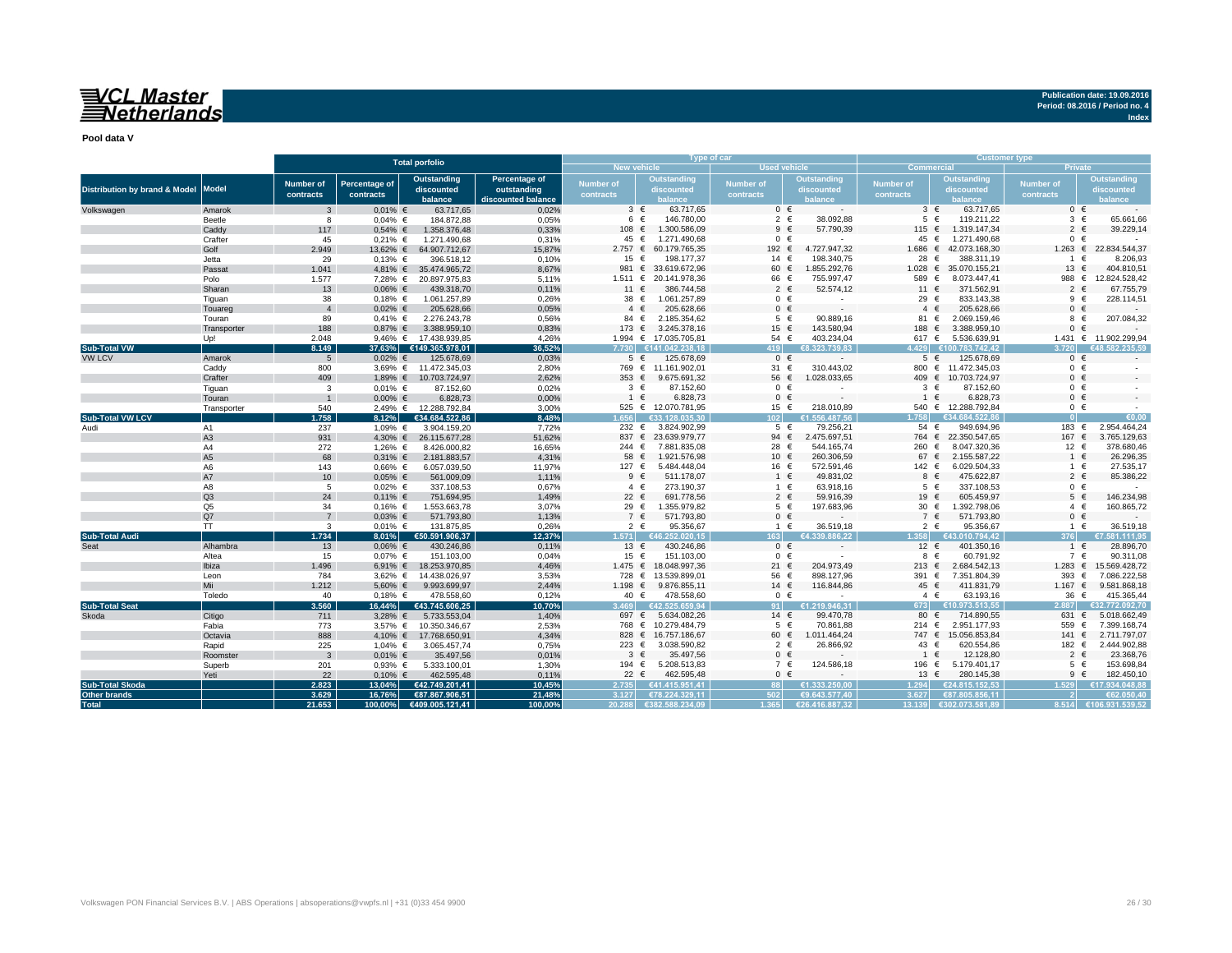## VCL Master<br>Setherlands

**Pool data V**

|                                     |                |                               |                            |                                   |                    |                        | Type of car                     |                        |                             |                                     | <b>Customer type</b>            |                               |                                         |  |
|-------------------------------------|----------------|-------------------------------|----------------------------|-----------------------------------|--------------------|------------------------|---------------------------------|------------------------|-----------------------------|-------------------------------------|---------------------------------|-------------------------------|-----------------------------------------|--|
|                                     |                |                               |                            | <b>Total porfolio</b>             |                    | <b>New vehicle</b>     |                                 | Used vehicle           |                             | <b>Commercial</b><br><b>Private</b> |                                 |                               |                                         |  |
|                                     |                |                               |                            | <b>Outstanding</b>                | Percentage of      |                        | <b>Outstanding</b>              |                        | <b>Outstanding</b>          |                                     | Outstanding                     |                               | <b>Outstanding</b>                      |  |
| Distribution by brand & Model Model |                | <b>Number of</b><br>contracts | Percentage of<br>contracts | discounted                        | outstanding        | Number of<br>contracts | discounted                      | Number of<br>contracts | discounted                  | Number of<br>contracts              | discounted                      | <b>Number of</b><br>contracts | discounted                              |  |
|                                     |                |                               |                            | balance                           | discounted balance |                        | balance                         |                        | halance                     |                                     | palance                         |                               | <b>alance</b>                           |  |
| Volkswagen                          | Amarok         | 3                             | $0.01\%$ €                 | 63.717,65                         | 0,02%              | $3 \in$                | 63.717,65                       | $0 \in$                | $\sim$                      | $3 \in$                             | 63.717,65                       | $0 \in$                       |                                         |  |
|                                     | Beetle         | 8                             | $0.04\%$ €                 | 184.872,88                        | 0,05%              | 6                      | 146,780.00<br>$\epsilon$        | $2 \in$                | 38.092,88                   | $5 \in$                             | 119.211,22                      | $3 \in$                       | 65.661,66                               |  |
|                                     | Caddy          | 117                           | $0,54%$ €                  | 1.358.376,48                      | 0,33%              | 108 €                  | 1.300.586,09                    | $9 \in$                | 57.790,39                   | 115 $∈$                             | 1.319.147,34                    | $\overline{2}$                | 39.229,14                               |  |
|                                     | Crafter        | 45                            | $0.21\%$ €                 | 1.271.490,68                      | 0.31%              | 45 €                   | 1.271.490,68                    | $0 \in$                |                             | 45                                  | €<br>1.271.490,68               |                               | $0 \in$                                 |  |
|                                     | Golf           | 2.949                         | 13,62% €                   | 64.907.712,67                     | 15,87%             | 2.757 ∈                | 60.179.765.35                   | 192 €                  | 4.727.947.32                | $1.686$ €                           | 42.073.168.30                   | $1.263$ €                     | 22.834.544.37                           |  |
|                                     | Jetta          | 29                            | $0,13%$ €                  | 396.518,12                        | 0,10%              | 15 $\epsilon$          | 198.177,37                      | 14 €                   | 198.340,75                  | 28                                  | 388.311,19<br>€                 | $\mathbf{1}$                  | 8.206,93<br>€                           |  |
|                                     | Passat         | 1.041                         |                            | 4,81% € 35.474.965,72             | 8.67%              | 981 €                  | 33.619.672,96                   | 60 €                   | 1.855.292,76                | 1.028                               | 35.070.155,21<br>€              | 13                            | 404.810,51<br>€                         |  |
|                                     | Polo           | 1.577                         | 7.28% €                    | 20.897.975,83                     | 5,11%              | 1.511 $∈$              | 20.141.978.36                   | 66 €                   | 755.997,47                  | 589 €                               | 8.073.447,41                    | 988 €                         | 12.824.528,42                           |  |
|                                     | Sharan         | 13                            | $0.06\%$ €                 | 439.318,70                        | 0,11%              | 11 €                   | 386.744,58                      | $2 \in$                | 52.574,12                   | 11 $\epsilon$                       | 371.562,91                      | $\overline{2}$                | 67.755,79                               |  |
|                                     | Tiguan         | 38                            | $0.18%$ €                  | 1.061.257,89                      | 0.26%              | 38 €                   | 1.061.257,89                    | $0 \in$                | $\overline{\phantom{a}}$    | 29 €                                | 833.143,38                      | $9 \in$                       | 228.114,51                              |  |
|                                     | Touareg        | $\overline{4}$                | $0.02\%$ €                 | 205.628,66                        | 0,05%              | $4 \in$                | 205.628.66                      | $0 \in$                | $\sim$                      | $4 \in$                             | 205.628,66                      | $0 \in$                       |                                         |  |
|                                     | Touran         | 89                            | $0,41%$ €                  | 2.276.243,78                      | 0,56%              | 84 €                   | 2.185.354,62                    | $5 \in$                | 90.889,16                   | 81 €                                | 2.069.159,46                    | 8                             | 207.084,32                              |  |
|                                     | Transporter    | 188                           | $0.87%$ €                  | 3.388.959,10                      | 0,83%              |                        | 173 € 3.245.378,16              | 15 $\epsilon$          | 143.580,94                  | 188 €                               | 3.388.959,10                    |                               | $0 \in$                                 |  |
|                                     | Up!            | 2.048                         |                            | 9,46% € 17.438.939,85             | 4,26%              |                        | 1.994 € 17.035.705.81           | 54 $\in$               | 403.234.04<br>€8.323.739.83 | 617 $\epsilon$                      | 5.536.639.91                    | 3.720                         | 1.431 € 11.902.299,94<br>€48.582.235.59 |  |
| <b>Sub-Total VW</b>                 |                | 8.149                         |                            | 37,63% €149.365.978,01            | 36,52%             | 7.730                  | €141.042.238.18                 |                        |                             | 4.429                               | €100.783.742.42                 |                               |                                         |  |
| <b>VW LCV</b>                       | Amarok         | 5                             | $0.02\%$ €                 | 125.678,69                        | 0,03%              | $5 \in$                | 125.678,69                      | $0 \in$                | $\sim$                      | $5 \in$                             | 125.678,69                      |                               | $0 \in$                                 |  |
|                                     | Caddy          | 800<br>409                    |                            | 3,69% € 11.472.345,03             | 2,80%<br>2,62%     |                        | 769 € 11.161.902,01             | 31 $\epsilon$<br>56 €  | 310.443,02<br>1.028.033,65  |                                     | 800 € 11.472.345,03             | $0 \in$<br>$0 \in$            |                                         |  |
|                                     | Crafter        | 3                             |                            | 1,89% € 10.703.724,97             |                    |                        | 353 € 9.675.691,32              |                        | ×.                          |                                     | 409 € 10.703.724,97             |                               |                                         |  |
|                                     | Tiguan         | $\overline{1}$                | $0.01\%$ €                 | 87.152,60                         | 0,02%              | $3 \in$                | 87.152,60                       | $0 \in$                | $\sim$                      | $3 \in$<br>$1 \in$                  | 87.152,60                       |                               | $0 \in$                                 |  |
|                                     | Touran         | 540                           | $0.00\%$ €                 | 6.828,73<br>2,49% € 12.288.792,84 | 0,00%<br>3,00%     | $1 \in$                | 6.828,73<br>525 € 12.070.781,95 | $0 \in$<br>15 €        | 218.010,89                  |                                     | 6.828,73<br>540 € 12.288.792,84 | $0 \in$                       | $0 \in$                                 |  |
| <b>Sub-Total VW LCV</b>             | Transporter    | 1.758                         |                            | €34.684.522.86                    | 8,48%              |                        | $1.656$ $633.128.035.30$        | 102                    | €1.556.487.56               | 1.758                               | €34.684.522.86                  |                               | €0.00                                   |  |
|                                     | A1             | 237                           | 8,12%<br>1,09% $∈$         | 3.904.159,20                      | 7,72%              | 232 €                  | 3.824.902,99                    | $5 \in$                | 79.256,21                   | $54 \in$                            | 949.694,96                      | 183 €                         | 2.954.464,24                            |  |
| Audi                                | A3             | 931                           |                            | 4,30% € 26.115.677,28             | 51,62%             | 837 €                  | 23.639.979,77                   | 94 $\in$               | 2.475.697,51                |                                     | 764 € 22.350.547,65             | 167 €                         | 3.765.129,63                            |  |
|                                     | A4             | 272                           | 1,26% $∈$                  | 8.426.000,82                      | 16,65%             | 244 €                  | 7.881.835,08                    | 28 €                   | 544.165,74                  | 260 €                               | 8.047.320,36                    | 12 €                          | 378.680,46                              |  |
|                                     | A <sub>5</sub> | 68                            | $0.31\%$ €                 | 2.181.883,57                      | 4,31%              | 58 €                   | 1.921.576,98                    | 10 €                   | 260.306,59                  | 67 €                                | 2.155.587,22                    | $1 \in$                       | 26.296,35                               |  |
|                                     | A <sub>6</sub> | 143                           | $0.66%$ €                  | 6.057.039,50                      | 11.97%             | 127 €                  | 5.484.448,04                    | 16 €                   | 572.591,46                  | 142 €                               | 6.029.504,33                    | $1 \in$                       | 27.535,17                               |  |
|                                     | A7             | 10                            | $0.05%$ €                  | 561.009,09                        | 1,11%              | 9                      | $\epsilon$<br>511.178,07        | $1 \in$                | 49.831,02                   | 8 €                                 | 475.622,87                      |                               | $2 \in$<br>85.386,22                    |  |
|                                     | A8             | 5                             | $0.02%$ €                  | 337.108,53                        | 0,67%              | 4 €                    | 273.190,37                      | $1 \in$                | 63.918,16                   | $5 \in$                             | 337.108,53                      |                               | $0 \in$                                 |  |
|                                     | Q3             | 24                            | $0,11%$ €                  | 751.694,95                        | 1,49%              | 22 $\epsilon$          | 691.778,56                      | $2 \in$                | 59.916,39                   | 19 €                                | 605.459,97                      |                               | 146.234,98<br>$5 \in$                   |  |
|                                     | Q <sub>5</sub> | 34                            | $0,16%$ €                  | 1.553.663,78                      | 3,07%              | 29 €                   | 1.355.979,82                    | $5 \in$                | 197.683.96                  | 30 $\epsilon$                       | 1.392.798,06                    |                               | 160.865.72<br>$4 \in$                   |  |
|                                     | Q7             | $\overline{7}$                | $0.03%$ €                  | 571.793,80                        | 1,13%              | 7 €                    | 571.793,80                      | $0 \in$                |                             | 7 €                                 | 571.793,80                      |                               | $0 \in$                                 |  |
|                                     | TT.            | 3                             | $0.01\%$ €                 | 131.875.85                        | 0.26%              | $2 \in$                | 95.356,67                       | $1 \in$                | 36.519,18                   | $2 \in$                             | 95.356,67                       |                               | 36.519,18<br>1 €                        |  |
| <b>Sub-Total Audi</b>               |                | 1.734                         | 8,01%                      | €50.591.906,37                    | 12,37%             |                        | 1.571 €46.252.020.15            | 163 <sup>1</sup>       | £4 339 886 22               |                                     | 1.358 €43.010.794.42            |                               | €7.581.111.95                           |  |
| Seat                                | Alhambra       | 13                            | $0.06\%$ €                 | 430.246,86                        | 0,11%              | 13 $\epsilon$          | 430.246,86                      | $0 \in$                |                             | 12 $\in$                            | 401.350,16                      | 1                             | 28.896,70                               |  |
|                                     | Altea          | 15                            | $0.07%$ €                  | 151.103,00                        | 0,04%              | 15 $\epsilon$          | 151.103,00                      | $0 \in$                | $\overline{\phantom{a}}$    | 8 €                                 | 60.791,92                       | 7 €                           | 90.311,08                               |  |
|                                     | Ibiza          | 1.496                         |                            | 6,91% € 18.253.970,85             | 4,46%              |                        | 1.475 € 18.048.997.36           | 21 $\in$               | 204.973.49                  | 213 $\epsilon$                      | 2.684.542.13                    |                               | 1.283 € 15.569.428,72                   |  |
|                                     | Leon           | 784                           |                            | 3,62% € 14.438.026,97             | 3,53%              |                        | 728 € 13.539.899,01             | 56 €                   | 898.127,96                  | 391 €                               | 7.351.804,39                    | 393 $\epsilon$                | 7.086.222,58                            |  |
|                                     | Mii            | 1.212                         | 5,60% $€$                  | 9.993.699,97                      | 2,44%              |                        | 1.198 € 9.876.855,11            | 14 €                   | 116.844,86                  | 45 $\in$                            | 411.831,79                      | 1.167 $∈$                     | 9.581.868,18                            |  |
|                                     | Toledo         | 40                            | $0.18%$ €                  | 478.558.60                        | 0,12%              | 40 €                   | 478.558.60                      | $0 \in$                |                             | $4 \in$                             | 63.193,16                       | 36                            | 415.365,44<br>€                         |  |
| <b>Sub-Total Seat</b>               |                | 3.560                         | 16,44%                     | €43.745.606,25                    | 10,70%             | 3.469                  | €42.525.659,94                  | 91                     | €1.219.946,31               | 673                                 | €10.973.513,55                  | 2.887                         | €32.772.092,70                          |  |
| Skoda                               | Citigo         | 711                           | $3,28%$ €                  | 5.733.553,04                      | 1,40%              | 697 €                  | 5.634.082,26                    | 14 €                   | 99.470,78                   | 80 €                                | 714.890,55                      | 631 $\epsilon$                | 5.018.662,49                            |  |
|                                     | Fabia          | 773                           |                            | 3,57% € 10.350.346,67             | 2,53%              |                        | 768 € 10.279.484,79             | $5 \in$                | 70.861,88                   | 214 $∈$                             | 2.951.177,93                    | 559                           | 7.399.168,74<br>$\epsilon$              |  |
|                                     | Octavia        | 888                           |                            | 4,10% € 17.768.650,91             | 4,34%              |                        | 828 € 16.757.186,67             | 60 €                   | 1.011.464,24                | 747 $\in$                           | 15.056.853,84                   | 141 $\in$                     | 2.711.797,07                            |  |
|                                     | Rapid          | 225                           | 1,04% $∈$                  | 3.065.457,74                      | 0,75%              | 223 €                  | 3.038.590,82                    | $2 \in$                | 26.866,92                   | 43 €                                | 620.554,86                      | 182 €                         | 2.444.902,88                            |  |
|                                     | Roomster       | $\mathbf{3}$                  | $0.01\%$ €                 | 35.497,56                         | 0,01%              | $3 \in$                | 35.497,56                       | $0 \in$                |                             | $1 \in$                             | 12.128,80                       | $\overline{2}$                | 23.368,76                               |  |
|                                     | Superb         | 201                           | $0.93%$ €                  | 5.333.100,01                      | 1,30%              | 194 €                  | 5.208.513,83                    | 7 €                    | 124.586,18                  | 196 €                               | 5.179.401,17                    |                               | 153.698,84<br>$5 \in$                   |  |
|                                     | Yeti           | 22                            | $0,10%$ €                  | 462.595,48                        | 0,11%              | 22 $\epsilon$          | 462.595,48                      | $0 \in$                |                             | 13 $\epsilon$                       | 280.145,38                      |                               | $9 \in$<br>182.450,10                   |  |
| <b>Sub-Total Skoda</b>              |                | 2.823                         | 13.04%                     | €42.749.201,41                    | 10,45%             |                        | 2.735 €41.415.951,41            |                        | €1.333.250.00               | 1.294                               | €24.815.152.53                  | 1.529                         | €17.934.048.88                          |  |
| Other brands                        |                | 3.629                         | 16,76%                     | €87.867.906,51                    | 21.48%             |                        | 3.127 €78.224.329.11            | 502                    | €9.643.577.40               | 3.627                               | €87.805.856.11                  |                               | €62.050.40                              |  |
| <b>Total</b>                        |                | 21.653                        |                            | 100,00% €409.005.121,41           | 100.00%            |                        | 20.288 6382.588.234.09          |                        | 1.365 €26.416.887.32        |                                     | 13.139 €302.073.581.89          |                               | 8.514 €106.931.539.52                   |  |

**Index**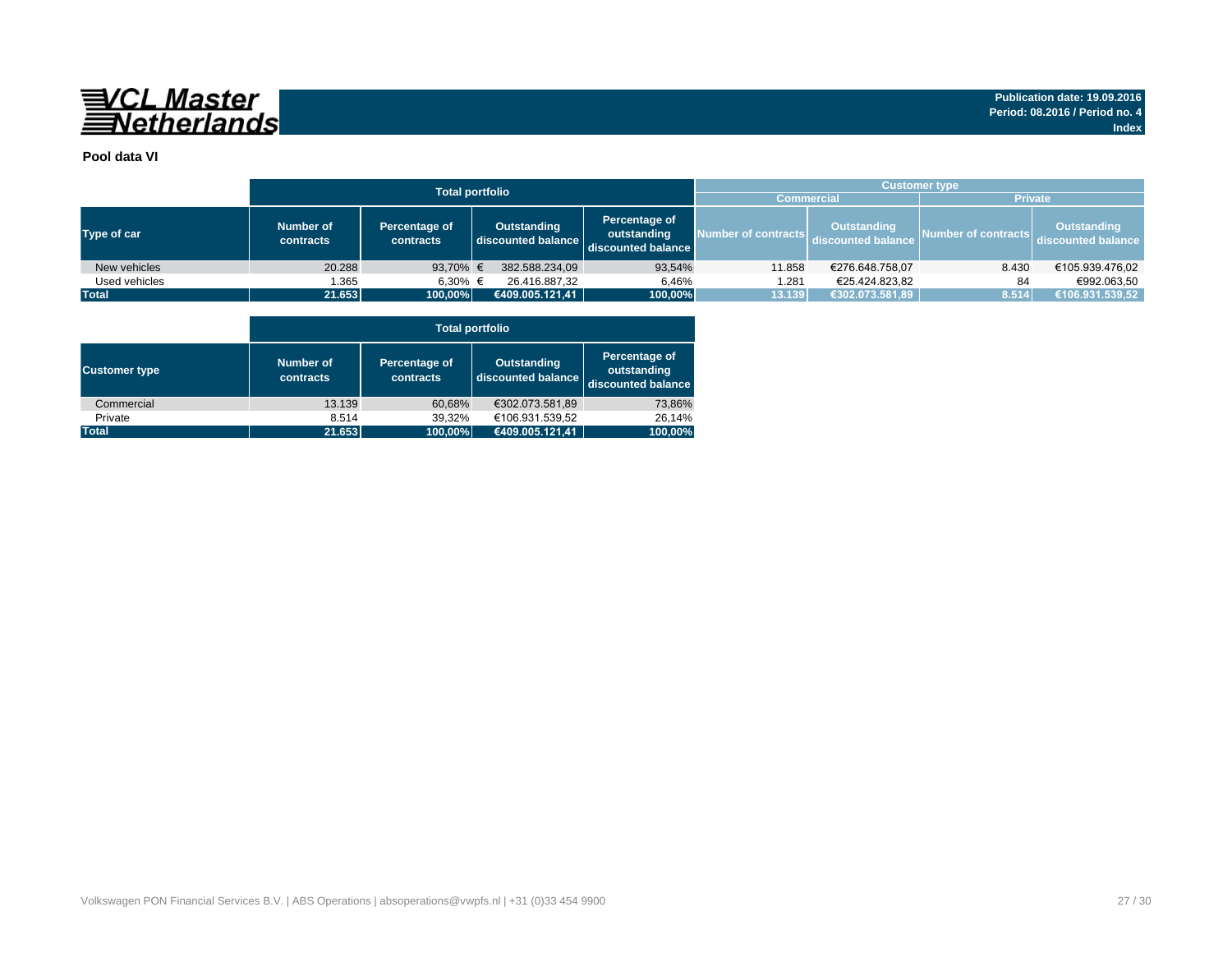

### **Pool data VI**

|               |                        | <b>Total portfolio</b>     | <b>Customer type</b>              |                                                    |                     |                                   |                     |                                   |  |  |  |
|---------------|------------------------|----------------------------|-----------------------------------|----------------------------------------------------|---------------------|-----------------------------------|---------------------|-----------------------------------|--|--|--|
|               |                        |                            |                                   |                                                    |                     | <b>Commercial</b>                 | <b>Private</b>      |                                   |  |  |  |
| Type of car   | Number of<br>contracts | Percentage of<br>contracts | Outstanding<br>discounted balance | Percentage of<br>outstanding<br>discounted balance | Number of contracts | Outstanding<br>discounted balance | Number of contracts | Outstanding<br>discounted balance |  |  |  |
| New vehicles  | 20.288                 | 93,70% €                   | 382.588.234,09                    | 93,54%                                             | 11.858              | €276.648.758,07                   | 8.430               | €105.939.476.02                   |  |  |  |
| Used vehicles | 1.365                  | 6.30% €                    | 26.416.887.32                     | 6.46%                                              | 1.281               | €25.424.823.82                    | 84                  | €992.063.50                       |  |  |  |
| <b>Total</b>  | 21.653                 | 100,00%                    | (€409.005.121,41                  | 100,00%                                            | 13.139              | €302.073.581,89                   | 8.514               | €106.931.539,52                   |  |  |  |

|                      | <b>Total portfolio</b> |                            |                                          |                                                    |  |  |  |  |  |  |  |  |
|----------------------|------------------------|----------------------------|------------------------------------------|----------------------------------------------------|--|--|--|--|--|--|--|--|
| <b>Customer type</b> | Number of<br>contracts | Percentage of<br>contracts | <b>Outstanding</b><br>discounted balance | Percentage of<br>outstanding<br>discounted balance |  |  |  |  |  |  |  |  |
| Commercial           | 13.139                 | 60,68%                     | €302.073.581,89                          | 73,86%                                             |  |  |  |  |  |  |  |  |
| Private              | 8.514                  | 39.32%                     | €106.931.539,52                          | 26.14%                                             |  |  |  |  |  |  |  |  |
| <b>Total</b>         | 21.653                 | 100,00%                    | €409.005.121,41                          | 100,00%                                            |  |  |  |  |  |  |  |  |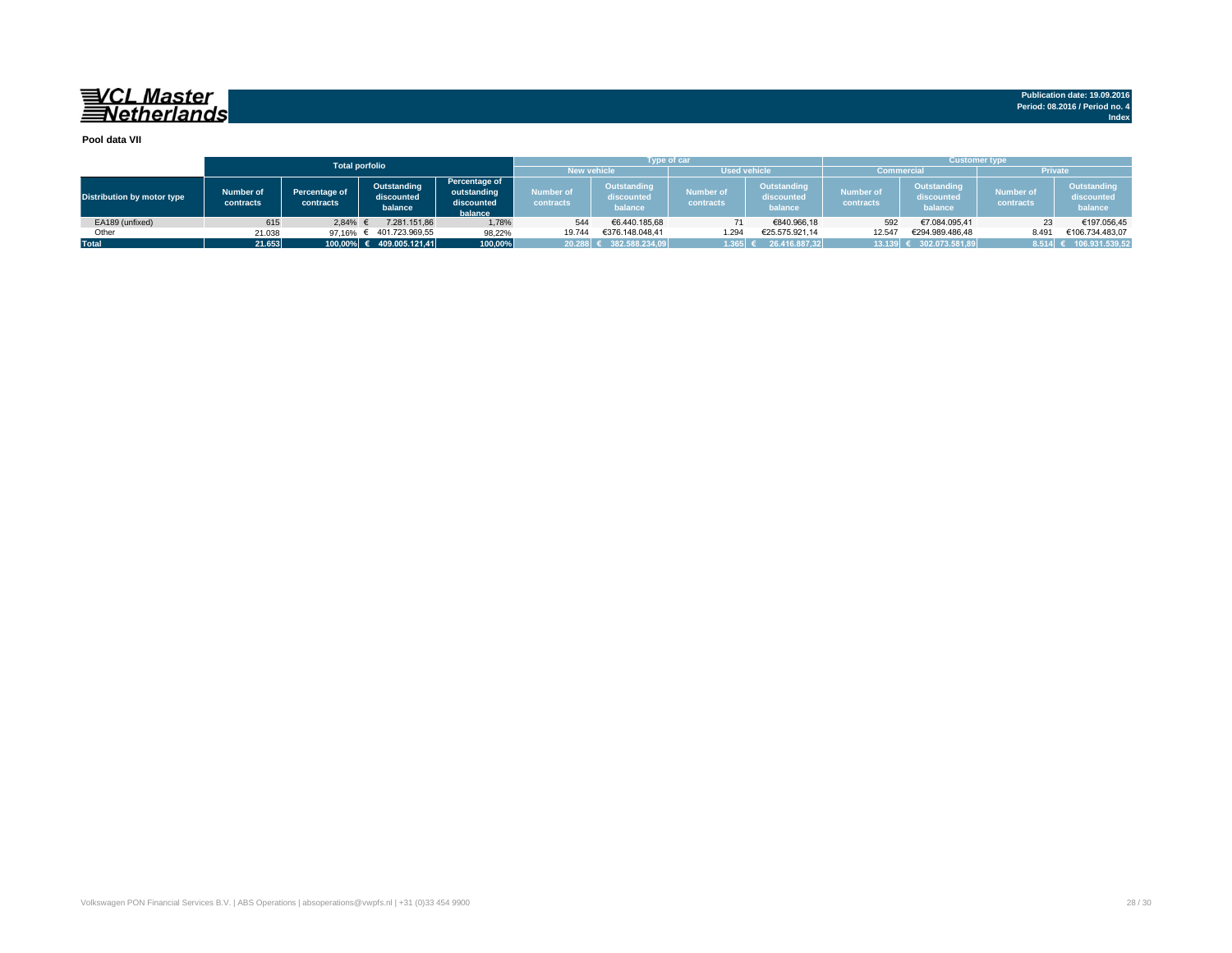## VCL Master<br>ENetherlands

**Publication date: 19.09.2016 Period: 08.2016 / Period no. 4 Index**

#### **Pool data VII**

|                            |                               |                            | <b>Total porfolio</b>                |                                                       | <b>New vehicle</b>              | Type of car.                         | <b>Used vehicle</b>           |                                      |                               | <b>Customer type</b><br><b>Private</b><br><b>Commercial</b> |                               |                                      |  |
|----------------------------|-------------------------------|----------------------------|--------------------------------------|-------------------------------------------------------|---------------------------------|--------------------------------------|-------------------------------|--------------------------------------|-------------------------------|-------------------------------------------------------------|-------------------------------|--------------------------------------|--|
| Distribution by motor type | <b>Number of</b><br>contracts | Percentage of<br>contracts | Outstanding<br>discounted<br>balance | Percentage of<br>outstanding<br>discounted<br>balance | Number of <b>N</b><br>contracts | Outstanding<br>discounted<br>balance | <b>Number of</b><br>contracts | Outstanding<br>discounted<br>balance | <b>Number of</b><br>contracts | Outstanding<br>discounted<br>balance                        | <b>Number of</b><br>contracts | Outstanding<br>discounted<br>balance |  |
| EA189 (unfixed)            | 615                           | 2.84%                      | 7.281.151.86                         | 1,78%                                                 | 544                             | €6.440.185.68                        |                               | €840,966,18                          | 592                           | €7.084.095.41                                               | 23                            | €197.056.45                          |  |
| Other                      | 21.038                        | 97.16% $\in$               | € 401.723.969.55                     | 98,22%                                                | 19.744                          | €376.148.048.41                      | 1.294                         | €25.575.921.14                       | 12.547                        | €294.989.486.48                                             | 8.491                         | €106.734.483.07                      |  |
| <b>Total</b>               | 21.653                        |                            | 100,00% € 409.005.121,41             | 100,00%                                               |                                 | 20.288 € 382.588.234,09              | 1.365                         | 26.416.887.32                        |                               | 13.139 € 302.073.581,89                                     | 8.514                         | 106.931.539,52                       |  |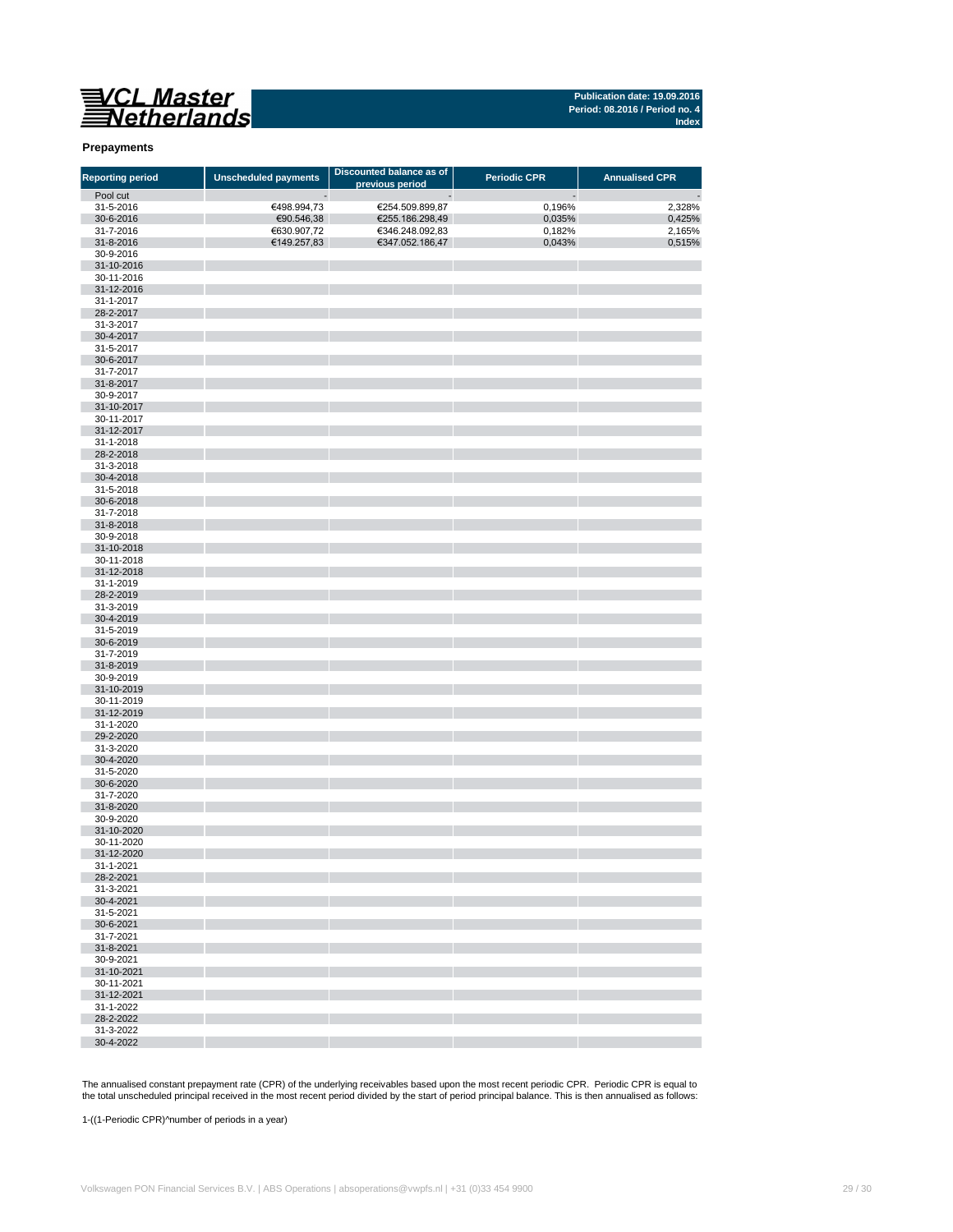# VCL Master<br>Netherlands

**Publication date: 19.09.2016 Period: 08.2016 / Period no. 4 Index**

### **Prepayments**

| <b>Reporting period</b> | <b>Unscheduled payments</b> | Discounted balance as of | <b>Periodic CPR</b> | <b>Annualised CPR</b> |
|-------------------------|-----------------------------|--------------------------|---------------------|-----------------------|
| Pool cut                |                             | previous period<br>-     |                     |                       |
| 31-5-2016               | €498.994,73                 | €254.509.899,87          | 0,196%              | 2,328%                |
| 30-6-2016               | €90.546,38                  | €255.186.298,49          | 0,035%              | 0,425%                |
| 31-7-2016               | €630.907,72                 | €346.248.092,83          | 0,182%              | 2,165%                |
| 31-8-2016               | €149.257,83                 | €347.052.186,47          | 0,043%              | 0,515%                |
| 30-9-2016               |                             |                          |                     |                       |
| 31-10-2016              |                             |                          |                     |                       |
| 30-11-2016              |                             |                          |                     |                       |
| 31-12-2016              |                             |                          |                     |                       |
| 31-1-2017               |                             |                          |                     |                       |
| 28-2-2017               |                             |                          |                     |                       |
| 31-3-2017               |                             |                          |                     |                       |
| 30-4-2017               |                             |                          |                     |                       |
| 31-5-2017               |                             |                          |                     |                       |
| 30-6-2017               |                             |                          |                     |                       |
| 31-7-2017               |                             |                          |                     |                       |
| 31-8-2017               |                             |                          |                     |                       |
| 30-9-2017               |                             |                          |                     |                       |
| 31-10-2017              |                             |                          |                     |                       |
| 30-11-2017              |                             |                          |                     |                       |
| 31-12-2017<br>31-1-2018 |                             |                          |                     |                       |
| 28-2-2018               |                             |                          |                     |                       |
| 31-3-2018               |                             |                          |                     |                       |
| 30-4-2018               |                             |                          |                     |                       |
| 31-5-2018               |                             |                          |                     |                       |
| 30-6-2018               |                             |                          |                     |                       |
| 31-7-2018               |                             |                          |                     |                       |
| 31-8-2018               |                             |                          |                     |                       |
| 30-9-2018               |                             |                          |                     |                       |
| 31-10-2018              |                             |                          |                     |                       |
| 30-11-2018              |                             |                          |                     |                       |
| 31-12-2018              |                             |                          |                     |                       |
| 31-1-2019               |                             |                          |                     |                       |
| 28-2-2019               |                             |                          |                     |                       |
| 31-3-2019               |                             |                          |                     |                       |
| 30-4-2019               |                             |                          |                     |                       |
| 31-5-2019               |                             |                          |                     |                       |
| 30-6-2019               |                             |                          |                     |                       |
| 31-7-2019               |                             |                          |                     |                       |
| 31-8-2019               |                             |                          |                     |                       |
| 30-9-2019               |                             |                          |                     |                       |
| 31-10-2019              |                             |                          |                     |                       |
| 30-11-2019              |                             |                          |                     |                       |
| 31-12-2019              |                             |                          |                     |                       |
| 31-1-2020               |                             |                          |                     |                       |
| 29-2-2020               |                             |                          |                     |                       |
| 31-3-2020               |                             |                          |                     |                       |
| 30-4-2020               |                             |                          |                     |                       |
| 31-5-2020               |                             |                          |                     |                       |
| 30-6-2020<br>31-7-2020  |                             |                          |                     |                       |
| 31-8-2020               |                             |                          |                     |                       |
| 30-9-2020               |                             |                          |                     |                       |
| 31-10-2020              |                             |                          |                     |                       |
| 30-11-2020              |                             |                          |                     |                       |
| 31-12-2020              |                             |                          |                     |                       |
| 31-1-2021               |                             |                          |                     |                       |
| 28-2-2021               |                             |                          |                     |                       |
| 31-3-2021               |                             |                          |                     |                       |
| 30-4-2021               |                             |                          |                     |                       |
| 31-5-2021               |                             |                          |                     |                       |
| 30-6-2021               |                             |                          |                     |                       |
| 31-7-2021               |                             |                          |                     |                       |
| 31-8-2021               |                             |                          |                     |                       |
| 30-9-2021               |                             |                          |                     |                       |
| 31-10-2021              |                             |                          |                     |                       |
| 30-11-2021              |                             |                          |                     |                       |
| 31-12-2021              |                             |                          |                     |                       |
| 31-1-2022               |                             |                          |                     |                       |
| 28-2-2022               |                             |                          |                     |                       |
| 31-3-2022               |                             |                          |                     |                       |
| 30-4-2022               |                             |                          |                     |                       |

The annualised constant prepayment rate (CPR) of the underlying receivables based upon the most recent periodic CPR. Periodic CPR is equal to the total unscheduled principal received in the most recent period divided by the start of period principal balance. This is then annualised as follows:

1-((1-Periodic CPR)^number of periods in a year)